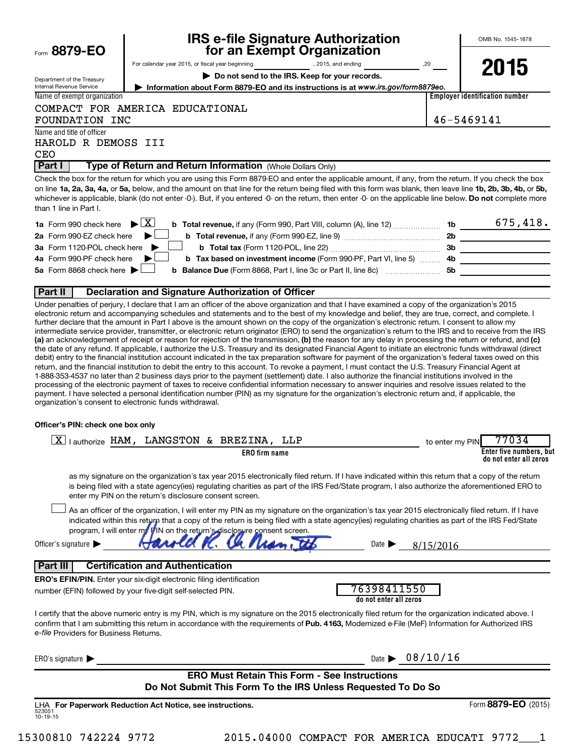| Form 8879-EO                                                | <b>IRS e-file Signature Authorization</b><br>for an Exempt Organization                                                                                                                                                                                                                                                                                                                                                                                                                                                                                                                                                                                                                                                                                                                                                                                                                                                                                                                                                                                                                                                                                                                                                                                                                                                                                                                                                                                                                                                                                                                                                                                                                                                                                                              |                 | OMB No. 1545-1878                                 |
|-------------------------------------------------------------|--------------------------------------------------------------------------------------------------------------------------------------------------------------------------------------------------------------------------------------------------------------------------------------------------------------------------------------------------------------------------------------------------------------------------------------------------------------------------------------------------------------------------------------------------------------------------------------------------------------------------------------------------------------------------------------------------------------------------------------------------------------------------------------------------------------------------------------------------------------------------------------------------------------------------------------------------------------------------------------------------------------------------------------------------------------------------------------------------------------------------------------------------------------------------------------------------------------------------------------------------------------------------------------------------------------------------------------------------------------------------------------------------------------------------------------------------------------------------------------------------------------------------------------------------------------------------------------------------------------------------------------------------------------------------------------------------------------------------------------------------------------------------------------|-----------------|---------------------------------------------------|
|                                                             | For calendar year 2015, or fiscal year beginning example to the set of 2015, and ending the set of 20                                                                                                                                                                                                                                                                                                                                                                                                                                                                                                                                                                                                                                                                                                                                                                                                                                                                                                                                                                                                                                                                                                                                                                                                                                                                                                                                                                                                                                                                                                                                                                                                                                                                                |                 |                                                   |
|                                                             | Do not send to the IRS. Keep for your records.                                                                                                                                                                                                                                                                                                                                                                                                                                                                                                                                                                                                                                                                                                                                                                                                                                                                                                                                                                                                                                                                                                                                                                                                                                                                                                                                                                                                                                                                                                                                                                                                                                                                                                                                       |                 | 2015                                              |
| Department of the Treasury<br>Internal Revenue Service      | Information about Form 8879-EO and its instructions is at www.irs.gov/form8879eo.                                                                                                                                                                                                                                                                                                                                                                                                                                                                                                                                                                                                                                                                                                                                                                                                                                                                                                                                                                                                                                                                                                                                                                                                                                                                                                                                                                                                                                                                                                                                                                                                                                                                                                    |                 |                                                   |
| Name of exempt organization                                 |                                                                                                                                                                                                                                                                                                                                                                                                                                                                                                                                                                                                                                                                                                                                                                                                                                                                                                                                                                                                                                                                                                                                                                                                                                                                                                                                                                                                                                                                                                                                                                                                                                                                                                                                                                                      |                 | <b>Employer identification number</b>             |
|                                                             | COMPACT FOR AMERICA EDUCATIONAL                                                                                                                                                                                                                                                                                                                                                                                                                                                                                                                                                                                                                                                                                                                                                                                                                                                                                                                                                                                                                                                                                                                                                                                                                                                                                                                                                                                                                                                                                                                                                                                                                                                                                                                                                      |                 |                                                   |
| FOUNDATION INC                                              |                                                                                                                                                                                                                                                                                                                                                                                                                                                                                                                                                                                                                                                                                                                                                                                                                                                                                                                                                                                                                                                                                                                                                                                                                                                                                                                                                                                                                                                                                                                                                                                                                                                                                                                                                                                      |                 | 46-5469141                                        |
| Name and title of officer                                   |                                                                                                                                                                                                                                                                                                                                                                                                                                                                                                                                                                                                                                                                                                                                                                                                                                                                                                                                                                                                                                                                                                                                                                                                                                                                                                                                                                                                                                                                                                                                                                                                                                                                                                                                                                                      |                 |                                                   |
| HAROLD R DEMOSS III                                         |                                                                                                                                                                                                                                                                                                                                                                                                                                                                                                                                                                                                                                                                                                                                                                                                                                                                                                                                                                                                                                                                                                                                                                                                                                                                                                                                                                                                                                                                                                                                                                                                                                                                                                                                                                                      |                 |                                                   |
| <b>CEO</b>                                                  |                                                                                                                                                                                                                                                                                                                                                                                                                                                                                                                                                                                                                                                                                                                                                                                                                                                                                                                                                                                                                                                                                                                                                                                                                                                                                                                                                                                                                                                                                                                                                                                                                                                                                                                                                                                      |                 |                                                   |
| Part I                                                      | Type of Return and Return Information (Whole Dollars Only)                                                                                                                                                                                                                                                                                                                                                                                                                                                                                                                                                                                                                                                                                                                                                                                                                                                                                                                                                                                                                                                                                                                                                                                                                                                                                                                                                                                                                                                                                                                                                                                                                                                                                                                           |                 |                                                   |
| than 1 line in Part I.                                      | Check the box for the return for which you are using this Form 8879-EO and enter the applicable amount, if any, from the return. If you check the box<br>on line 1a, 2a, 3a, 4a, or 5a, below, and the amount on that line for the return being filed with this form was blank, then leave line 1b, 2b, 3b, 4b, or 5b,<br>whichever is applicable, blank (do not enter -0-). But, if you entered -0- on the return, then enter -0- on the applicable line below. Do not complete more                                                                                                                                                                                                                                                                                                                                                                                                                                                                                                                                                                                                                                                                                                                                                                                                                                                                                                                                                                                                                                                                                                                                                                                                                                                                                                |                 |                                                   |
| 1a Form 990 check here $\triangleright$ $\lfloor X \rfloor$ |                                                                                                                                                                                                                                                                                                                                                                                                                                                                                                                                                                                                                                                                                                                                                                                                                                                                                                                                                                                                                                                                                                                                                                                                                                                                                                                                                                                                                                                                                                                                                                                                                                                                                                                                                                                      |                 |                                                   |
| 2a Form 990-EZ check here                                   |                                                                                                                                                                                                                                                                                                                                                                                                                                                                                                                                                                                                                                                                                                                                                                                                                                                                                                                                                                                                                                                                                                                                                                                                                                                                                                                                                                                                                                                                                                                                                                                                                                                                                                                                                                                      |                 |                                                   |
| 3a Form 1120-POL check here                                 |                                                                                                                                                                                                                                                                                                                                                                                                                                                                                                                                                                                                                                                                                                                                                                                                                                                                                                                                                                                                                                                                                                                                                                                                                                                                                                                                                                                                                                                                                                                                                                                                                                                                                                                                                                                      |                 |                                                   |
| 4a Form 990-PF check here                                   | b Tax based on investment income (Form 990-PF, Part VI, line 5)  4b ______________________                                                                                                                                                                                                                                                                                                                                                                                                                                                                                                                                                                                                                                                                                                                                                                                                                                                                                                                                                                                                                                                                                                                                                                                                                                                                                                                                                                                                                                                                                                                                                                                                                                                                                           |                 |                                                   |
| 5a Form 8868 check here $\blacktriangleright$               |                                                                                                                                                                                                                                                                                                                                                                                                                                                                                                                                                                                                                                                                                                                                                                                                                                                                                                                                                                                                                                                                                                                                                                                                                                                                                                                                                                                                                                                                                                                                                                                                                                                                                                                                                                                      |                 |                                                   |
| <b>Part II</b>                                              | Declaration and Signature Authorization of Officer                                                                                                                                                                                                                                                                                                                                                                                                                                                                                                                                                                                                                                                                                                                                                                                                                                                                                                                                                                                                                                                                                                                                                                                                                                                                                                                                                                                                                                                                                                                                                                                                                                                                                                                                   |                 |                                                   |
|                                                             | Under penalties of perjury, I declare that I am an officer of the above organization and that I have examined a copy of the organization's 2015<br>electronic return and accompanying schedules and statements and to the best of my knowledge and belief, they are true, correct, and complete. I<br>further declare that the amount in Part I above is the amount shown on the copy of the organization's electronic return. I consent to allow my<br>intermediate service provider, transmitter, or electronic return originator (ERO) to send the organization's return to the IRS and to receive from the IRS<br>(a) an acknowledgement of receipt or reason for rejection of the transmission, (b) the reason for any delay in processing the return or refund, and (c)<br>the date of any refund. If applicable, I authorize the U.S. Treasury and its designated Financial Agent to initiate an electronic funds withdrawal (direct<br>debit) entry to the financial institution account indicated in the tax preparation software for payment of the organization's federal taxes owed on this<br>return, and the financial institution to debit the entry to this account. To revoke a payment, I must contact the U.S. Treasury Financial Agent at<br>1-888-353-4537 no later than 2 business days prior to the payment (settlement) date. I also authorize the financial institutions involved in the<br>processing of the electronic payment of taxes to receive confidential information necessary to answer inquiries and resolve issues related to the<br>payment. I have selected a personal identification number (PIN) as my signature for the organization's electronic return and, if applicable, the<br>organization's consent to electronic funds withdrawal. |                 |                                                   |
| Officer's PIN: check one box only                           |                                                                                                                                                                                                                                                                                                                                                                                                                                                                                                                                                                                                                                                                                                                                                                                                                                                                                                                                                                                                                                                                                                                                                                                                                                                                                                                                                                                                                                                                                                                                                                                                                                                                                                                                                                                      |                 |                                                   |
|                                                             | $\overline{X}$   authorize HAM, LANGSTON & BREZINA, LLP                                                                                                                                                                                                                                                                                                                                                                                                                                                                                                                                                                                                                                                                                                                                                                                                                                                                                                                                                                                                                                                                                                                                                                                                                                                                                                                                                                                                                                                                                                                                                                                                                                                                                                                              | to enter my PIN | 77034                                             |
|                                                             | ERO firm name                                                                                                                                                                                                                                                                                                                                                                                                                                                                                                                                                                                                                                                                                                                                                                                                                                                                                                                                                                                                                                                                                                                                                                                                                                                                                                                                                                                                                                                                                                                                                                                                                                                                                                                                                                        |                 | Enter five numbers, but<br>do not enter all zeros |
|                                                             | as my signature on the organization's tax year 2015 electronically filed return. If I have indicated within this return that a copy of the return<br>is being filed with a state agency(ies) regulating charities as part of the IRS Fed/State program, I also authorize the aforementioned ERO to<br>enter my PIN on the return's disclosure consent screen.                                                                                                                                                                                                                                                                                                                                                                                                                                                                                                                                                                                                                                                                                                                                                                                                                                                                                                                                                                                                                                                                                                                                                                                                                                                                                                                                                                                                                        |                 |                                                   |
| Officer's signature $\blacktriangleright$                   | As an officer of the organization, I will enter my PIN as my signature on the organization's tax year 2015 electronically filed return. If I have<br>indicated within this return that a copy of the return is being filed with a state agency(ies) regulating charities as part of the IRS Fed/State<br>program, I will enter my FIN on the return's disclosure consent screen.<br>Date $\blacktriangleright$                                                                                                                                                                                                                                                                                                                                                                                                                                                                                                                                                                                                                                                                                                                                                                                                                                                                                                                                                                                                                                                                                                                                                                                                                                                                                                                                                                       | 8/15/2016       |                                                   |

#### **Part III Certification and Authentication**

**ERO's EFIN/PIN.** Enter your six-digit electronic filing identification number (EFIN) followed by your five-digit self-selected PIN.

| 76398411550            |
|------------------------|
| do not enter all zeros |

confirm that I am submitting this return in accordance with the requirements of Pub. 4163, Modernized e-File (MeF) Information for Authorized IRS *e-file*  Providers for Business Returns. I certify that the above numeric entry is my PIN, which is my signature on the 2015 electronically filed return for the organization indicated above. I

| $ERO's$ signature $\blacktriangleright$ |                                                              | Date $\triangleright$ 08/10/16 |
|-----------------------------------------|--------------------------------------------------------------|--------------------------------|
|                                         |                                                              |                                |
|                                         | <b>ERO Must Retain This Form - See Instructions</b>          |                                |
|                                         | Do Not Submit This Form To the IRS Unless Requested To Do So |                                |

523051 10-19-15 **For Paperwork Reduction Act Notice, see instructions.** LHA Form (2015) **8879-EO**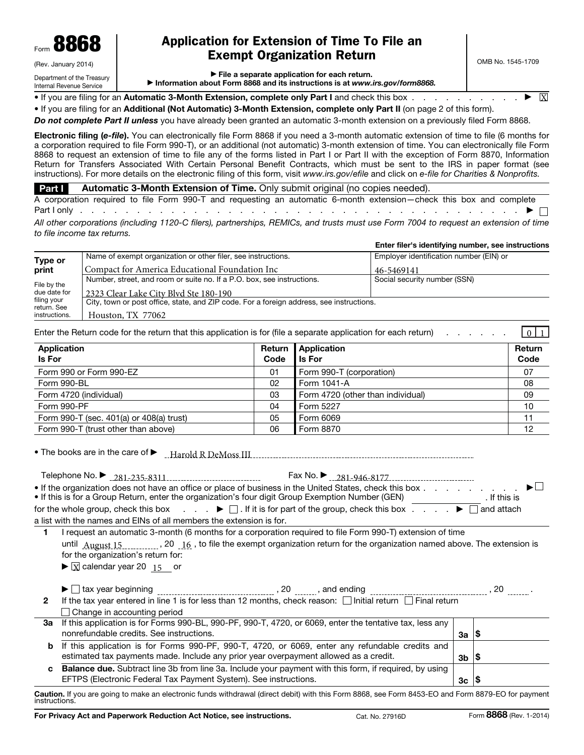| OQG<br>n<br>$_{\rm Form}$ 0000 |
|--------------------------------|
|                                |

(Rev. January 2014)

Department of the Treasury Internal Revenue Service

# **Application for Extension of Time To File an**

X

**Exempt Organization Return** a **File a separate application for each return.**

▶ Information about Form 8868 and its instructions is at *www.irs.gov/form8868.* 

• If you are filing for an **Automatic 3-Month Extension, complete only Part I** and check this box .......

• If you are filing for an **Additional (Not Automatic) 3-Month Extension, complete only Part II** (on page 2 of this form).

*Do not complete Part II unless* you have already been granted an automatic 3-month extension on a previously filed Form 8868.

**Electronic filing (***e-file***).** You can electronically file Form 8868 if you need a 3-month automatic extension of time to file (6 months for a corporation required to file Form 990-T), or an additional (not automatic) 3-month extension of time. You can electronically file Form 8868 to request an extension of time to file any of the forms listed in Part I or Part II with the exception of Form 8870, Information Return for Transfers Associated With Certain Personal Benefit Contracts, which must be sent to the IRS in paper format (see instructions). For more details on the electronic filing of this form, visit www.irs.gov/efile and click on e-file for Charities & Nonprofits.

**Part I** Automatic 3-Month Extension of Time. Only submit original (no copies needed). A corporation required to file Form 990-T and requesting an automatic 6-month extension—check this box and complete

Part I only . . . . . . . . . . . . . . . . . . . . . . . . . . . . . . . . . . . . . . . a

All other corporations (including 1120-C filers), partnerships, REMICs, and trusts must use Form 7004 to request an extension of time to file income tax returns.

|                            |                                                                                          | Enter filer's identifying number, see instructions |
|----------------------------|------------------------------------------------------------------------------------------|----------------------------------------------------|
| Type or                    | Name of exempt organization or other filer, see instructions.                            | Employer identification number (EIN) or            |
| print                      | Compact for America Educational Foundation Inc                                           | 46-5469141                                         |
| File by the                | Number, street, and room or suite no. If a P.O. box, see instructions.                   | Social security number (SSN)                       |
| due date for               | 2323 Clear Lake City Blyd Ste 180-190                                                    |                                                    |
| filing your<br>return. See | City, town or post office, state, and ZIP code. For a foreign address, see instructions. |                                                    |
| instructions.              | Houston, TX 77062                                                                        |                                                    |

Enter the Return code for the return that this application is for (file a separate application for each return)  $0<sup>1</sup>1$ 

| Application<br><b>Is For</b>             | Return<br>Code | <b>Application</b><br>l Is For    | Return<br>Code |
|------------------------------------------|----------------|-----------------------------------|----------------|
| Form 990 or Form 990-EZ                  | 01             | Form 990-T (corporation)          | 07             |
| Form 990-BL                              | 02             | Form 1041-A                       | 08             |
| Form 4720 (individual)                   | 03             | Form 4720 (other than individual) | 09             |
| Form 990-PF                              | 04             | Form 5227                         | 10             |
| Form 990-T (sec. 401(a) or 408(a) trust) | 05             | Form 6069                         | 11             |
| Form 990-T (trust other than above)      | 06             | Form 8870                         | 12             |

| • The books are in the care of $\blacktriangleright$ |                                                                                                         |                                                                                                                                                                                                                                      |              |
|------------------------------------------------------|---------------------------------------------------------------------------------------------------------|--------------------------------------------------------------------------------------------------------------------------------------------------------------------------------------------------------------------------------------|--------------|
|                                                      |                                                                                                         |                                                                                                                                                                                                                                      |              |
|                                                      |                                                                                                         | • If the organization does not have an office or place of business in the United States, check this box $\blacktriangleright\Box$<br>If this is for a Group Return, enter the organization's four digit Group Exemption Number (GEN) | . If this is |
|                                                      |                                                                                                         | for the whole group, check this box $\ldots$ $\blacktriangleright \Box$ . If it is for part of the group, check this box $\ldots$ $\blacktriangleright \Box$ and attach                                                              |              |
|                                                      | a list with the names and EINs of all members the extension is for.                                     |                                                                                                                                                                                                                                      |              |
| 1                                                    | request an automatic 3-month (6 months for a corporation required to file Form 990-T) extension of time |                                                                                                                                                                                                                                      |              |
|                                                      |                                                                                                         | until August 15 . 20 16, to file the exempt organization return for the organization named above. The extension is                                                                                                                   |              |
|                                                      | for the organization's return for:                                                                      |                                                                                                                                                                                                                                      |              |
|                                                      | $\blacktriangleright \boxed{\mathbf{x}}$ calendar year 20 15 or                                         |                                                                                                                                                                                                                                      |              |
|                                                      |                                                                                                         | ] tax year beginning <sub>________________________________</sub> ,20 <sub>_______</sub> ,and ending __________________________________                                                                                               | 20           |

**2** If the tax year entered in line 1 is for less than 12 months, check reason:  $\Box$  Initial return  $\Box$  Final return □ Change in accounting period

| 3a If this application is for Forms 990-BL, 990-PF, 990-T, 4720, or 6069, enter the tentative tax, less any |         |  |
|-------------------------------------------------------------------------------------------------------------|---------|--|
| nonrefundable credits. See instructions.                                                                    | За      |  |
| <b>b</b> If this application is for Forms 990-PF, 990-T, 4720, or 6069, enter any refundable credits and    |         |  |
| estimated tax payments made. Include any prior year overpayment allowed as a credit.                        | 3b      |  |
| c Balance due. Subtract line 3b from line 3a. Include your payment with this form, if required, by using    |         |  |
| EFTPS (Electronic Federal Tax Payment System). See instructions.                                            | 3c   \$ |  |

**Caution.** If you are going to make an electronic funds withdrawal (direct debit) with this Form 8868, see Form 8453-EO and Form 8879-EO for payment instructions.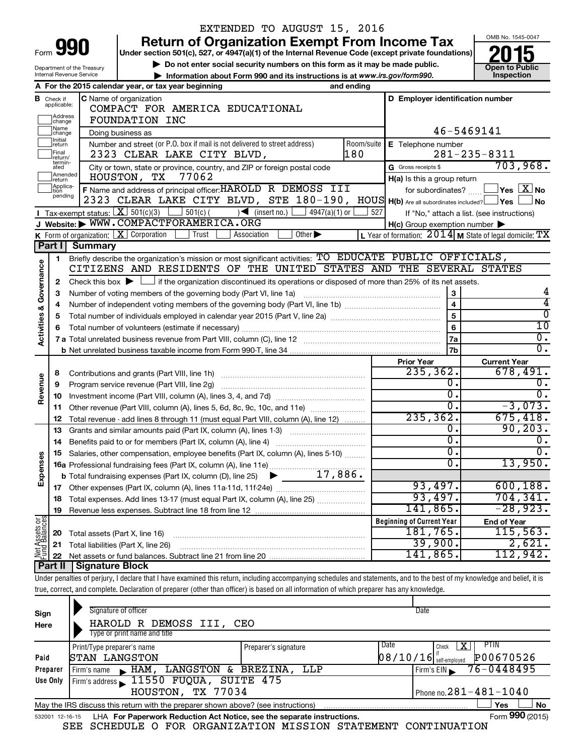|                         |                             |                                       | EXTENDED TO AUGUST 15, 2016                                                                                                                                                              |            |                                                     |                                                             |
|-------------------------|-----------------------------|---------------------------------------|------------------------------------------------------------------------------------------------------------------------------------------------------------------------------------------|------------|-----------------------------------------------------|-------------------------------------------------------------|
|                         |                             |                                       | <b>Return of Organization Exempt From Income Tax</b>                                                                                                                                     |            |                                                     | OMB No. 1545-0047                                           |
| Form                    |                             | 990                                   | Under section 501(c), 527, or 4947(a)(1) of the Internal Revenue Code (except private foundations)                                                                                       |            |                                                     |                                                             |
|                         |                             | Department of the Treasury            | Do not enter social security numbers on this form as it may be made public.                                                                                                              |            |                                                     | Open to Public                                              |
|                         |                             | Internal Revenue Service              | Information about Form 990 and its instructions is at www.irs.gov/form990.                                                                                                               |            |                                                     | <b>Inspection</b>                                           |
|                         |                             |                                       | A For the 2015 calendar year, or tax year beginning<br>and ending                                                                                                                        |            |                                                     |                                                             |
| в                       | Check if<br>applicable:     |                                       | C Name of organization<br>COMPACT FOR AMERICA EDUCATIONAL                                                                                                                                |            | D Employer identification number                    |                                                             |
|                         | Address<br>change           |                                       | FOUNDATION INC                                                                                                                                                                           |            |                                                     |                                                             |
|                         | Name<br>change              |                                       | Doing business as                                                                                                                                                                        |            | 46-5469141                                          |                                                             |
|                         | Initial<br> return          |                                       | Number and street (or P.O. box if mail is not delivered to street address)                                                                                                               | Room/suite | E Telephone number                                  |                                                             |
|                         | Final<br>return/            |                                       | 180<br>2323 CLEAR LAKE CITY BLVD,                                                                                                                                                        |            |                                                     | $281 - 235 - 8311$                                          |
|                         | termin-<br>ated             |                                       | City or town, state or province, country, and ZIP or foreign postal code                                                                                                                 |            | G Gross receipts \$                                 | 703,968.                                                    |
|                         | Amended<br>return           |                                       | HOUSTON, TX<br>77062                                                                                                                                                                     |            | H(a) Is this a group return                         |                                                             |
|                         | Applica-<br>tion<br>pending |                                       | F Name and address of principal officer: HAROLD R DEMOSS III                                                                                                                             |            | for subordinates?                                   | $\Box$ Yes $[\overline{\mathrm{X}}]$ No                     |
|                         |                             |                                       | 2323 CLEAR LAKE CITY BLVD, STE 180-190, HOUS H(b) Are all subordinates included? Yes                                                                                                     |            |                                                     | No                                                          |
|                         |                             | Tax-exempt status: $X \mid 501(c)(3)$ | $501(c)$ (<br>$\mathcal{A}$ (insert no.)<br>$4947(a)(1)$ or                                                                                                                              | 527        |                                                     | If "No," attach a list. (see instructions)                  |
|                         |                             |                                       | J Website: WWW.COMPACTFORAMERICA.ORG                                                                                                                                                     |            | $H(c)$ Group exemption number $\blacktriangleright$ |                                                             |
|                         | Part II                     |                                       | K Form of organization: $X$ Corporation<br>Trust<br>Other $\blacktriangleright$<br>Association                                                                                           |            |                                                     | L Year of formation: $2014$ M State of legal domicile: $TX$ |
|                         |                             | <b>Summary</b>                        | Briefly describe the organization's mission or most significant activities: TO EDUCATE PUBLIC OFFICIALS,                                                                                 |            |                                                     |                                                             |
|                         | 1                           |                                       | CITIZENS AND RESIDENTS OF THE UNITED STATES AND THE SEVERAL STATES                                                                                                                       |            |                                                     |                                                             |
| Activities & Governance | 2                           |                                       | Check this box $\blacktriangleright$ $\Box$ if the organization discontinued its operations or disposed of more than 25% of its net assets.                                              |            |                                                     |                                                             |
|                         | З                           |                                       | Number of voting members of the governing body (Part VI, line 1a)                                                                                                                        |            | 3                                                   |                                                             |
|                         | 4                           |                                       |                                                                                                                                                                                          |            | $\overline{\mathbf{4}}$                             | 4                                                           |
|                         | 5                           |                                       |                                                                                                                                                                                          |            | $\overline{5}$                                      | $\overline{0}$                                              |
|                         | 6                           |                                       |                                                                                                                                                                                          |            | 6                                                   | $\overline{10}$                                             |
|                         |                             |                                       |                                                                                                                                                                                          |            | 7a                                                  | $\overline{0}$ .                                            |
|                         |                             |                                       |                                                                                                                                                                                          |            | 7b                                                  | $\overline{0}$ .                                            |
|                         |                             |                                       |                                                                                                                                                                                          |            | <b>Prior Year</b><br>235, 362.                      | <b>Current Year</b>                                         |
|                         | 8                           |                                       | Contributions and grants (Part VIII, line 1h)                                                                                                                                            |            | о.                                                  | 678,491.<br>О.                                              |
| Revenue                 | 9                           |                                       | Program service revenue (Part VIII, line 2g)                                                                                                                                             |            | σ.                                                  | 0.                                                          |
|                         | 10<br>11                    |                                       | Other revenue (Part VIII, column (A), lines 5, 6d, 8c, 9c, 10c, and 11e)                                                                                                                 |            | σ.                                                  | $-3,073.$                                                   |
|                         | 12                          |                                       | Total revenue - add lines 8 through 11 (must equal Part VIII, column (A), line 12)                                                                                                       |            | 235, 362.                                           | 675,418.                                                    |
|                         | 13                          |                                       | Grants and similar amounts paid (Part IX, column (A), lines 1-3)<br><u> 1986 - Jan Stein Stein Stein Stein Stein Stein Stein Stein Stein Stein Stein Stein Stein Stein Stein Stein S</u> |            | О.                                                  | 90, 203.                                                    |
|                         | 14                          |                                       | Benefits paid to or for members (Part IX, column (A), line 4)                                                                                                                            |            | 0                                                   | 0.                                                          |
|                         |                             |                                       | Salaries, other compensation, employee benefits (Part IX, column (A), lines 5-10)                                                                                                        |            | ο.                                                  | υ.                                                          |
|                         |                             |                                       |                                                                                                                                                                                          |            | $\overline{0}$ .                                    | 13,950.                                                     |
| Expenses                |                             |                                       |                                                                                                                                                                                          |            |                                                     |                                                             |
|                         |                             |                                       |                                                                                                                                                                                          |            | 93,497.                                             | 600, 188.                                                   |
|                         | 18                          |                                       | Total expenses. Add lines 13-17 (must equal Part IX, column (A), line 25)                                                                                                                |            | 93,497.                                             | 704, 341.                                                   |
|                         | 19                          |                                       |                                                                                                                                                                                          |            | 141,865.                                            | $-28,923.$                                                  |
| Net Assets or           |                             |                                       |                                                                                                                                                                                          |            | <b>Beginning of Current Year</b><br>181,765.        | <b>End of Year</b><br>115,563.                              |
|                         | 20<br>21                    | Total assets (Part X, line 16)        | Total liabilities (Part X, line 26)                                                                                                                                                      |            | 39,900.                                             | 2,621.                                                      |
|                         | 22                          |                                       |                                                                                                                                                                                          |            | 141,865.                                            | 112,942.                                                    |
|                         | Part II                     | Signature Block                       |                                                                                                                                                                                          |            |                                                     |                                                             |
|                         |                             |                                       | Under penalties of perjury, I declare that I have examined this return, including accompanying schedules and statements, and to the best of my knowledge and belief, it is               |            |                                                     |                                                             |
|                         |                             |                                       | true, correct, and complete. Declaration of preparer (other than officer) is based on all information of which preparer has any knowledge.                                               |            |                                                     |                                                             |
|                         |                             |                                       |                                                                                                                                                                                          |            |                                                     |                                                             |
| Sign                    |                             |                                       | Signature of officer                                                                                                                                                                     |            | Date                                                |                                                             |
| Here                    |                             |                                       | HAROLD R DEMOSS III, CEO                                                                                                                                                                 |            |                                                     |                                                             |

| Here     | HAROLD R DEMOSS III, CEO                                                          |                      |                                                  |
|----------|-----------------------------------------------------------------------------------|----------------------|--------------------------------------------------|
|          | Type or print name and title                                                      |                      |                                                  |
|          | Print/Type preparer's name                                                        | Preparer's signature | Date<br>PTIN<br>l Check                          |
| Paid     | <b>STAN LANGSTON</b>                                                              |                      | P00670526<br>$08/10/16$ self-employed            |
| Preparer | HAM, LANGSTON & BREZINA, LLP<br>Firm's name<br>$\mathbf{K}$ .                     |                      | $76 - 0448495$<br>Firm's EIN                     |
| Use Only | Firm's address 11550 FUQUA, SUITE 475                                             |                      |                                                  |
|          | HOUSTON, TX 77034                                                                 |                      | Phone no. $281 - 481 - 1040$                     |
|          | May the IRS discuss this return with the preparer shown above? (see instructions) |                      | <b>No</b><br>Yes                                 |
|          |                                                                                   |                      | $000 \times 10^{-1}$<br>$\overline{\phantom{0}}$ |

|  |  | 532001 12-16-15 LHA For Paperwork Reduction Act Notice, see the separate instructions. |  | Form 990 (2015) |
|--|--|----------------------------------------------------------------------------------------|--|-----------------|
|  |  | SEE SCHEDULE O FOR ORGANIZATION MISSION STATEMENT CONTINUATION                         |  |                 |

Form **990** (2015)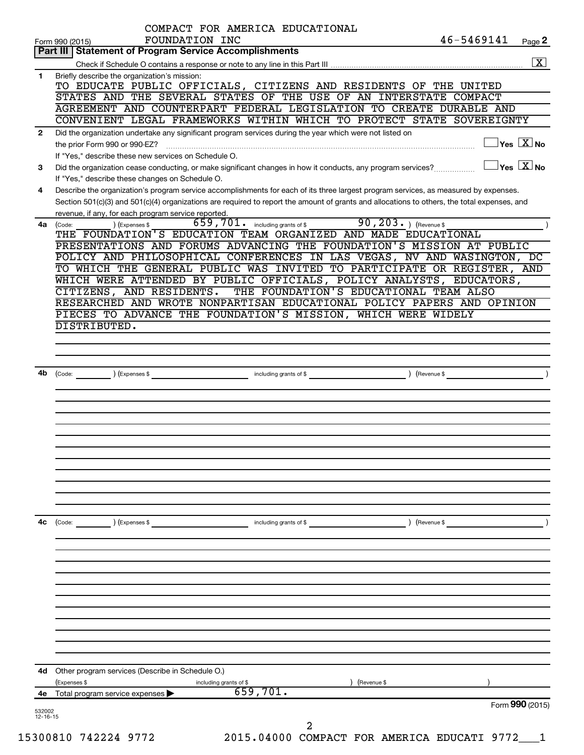| 1<br>$\mathbf{2}$<br>3<br>4<br>4a<br>4b | FOUNDATION INC<br>Form 990 (2015)<br>Part III   Statement of Program Service Accomplishments<br>Briefly describe the organization's mission:<br>TO EDUCATE PUBLIC OFFICIALS, CITIZENS AND RESIDENTS OF THE UNITED<br>STATES AND THE SEVERAL STATES OF THE USE OF AN INTERSTATE COMPACT<br>AGREEMENT AND COUNTERPART FEDERAL LEGISLATION TO CREATE DURABLE AND<br>CONVENIENT LEGAL FRAMEWORKS WITHIN WHICH TO PROTECT STATE SOVEREIGNTY<br>Did the organization undertake any significant program services during the year which were not listed on<br>the prior Form 990 or 990-EZ?<br>If "Yes," describe these new services on Schedule O.<br>Did the organization cease conducting, or make significant changes in how it conducts, any program services?<br>If "Yes," describe these changes on Schedule O.<br>Describe the organization's program service accomplishments for each of its three largest program services, as measured by expenses.<br>Section 501(c)(3) and 501(c)(4) organizations are required to report the amount of grants and allocations to others, the total expenses, and<br>revenue, if any, for each program service reported<br>) (Expenses \$<br>(Code:<br>THE FOUNDATION'S EDUCATION TEAM ORGANIZED AND MADE EDUCATIONAL<br>PRESENTATIONS AND FORUMS ADVANCING THE FOUNDATION'S MISSION AT PUBLIC<br>POLICY AND PHILOSOPHICAL CONFERENCES IN LAS VEGAS, NV AND WASINGTON, DC<br>TO WHICH THE GENERAL PUBLIC WAS INVITED TO PARTICIPATE OR REGISTER, AND<br>WHICH WERE ATTENDED BY PUBLIC OFFICIALS, POLICY ANALYSTS, EDUCATORS,<br>CITIZENS, AND RESIDENTS.<br>RESEARCHED AND WROTE NONPARTISAN EDUCATIONAL POLICY PAPERS AND OPINION<br>PIECES TO ADVANCE THE FOUNDATION'S MISSION, WHICH WERE WIDELY<br>DISTRIBUTED. | $\overline{659}$ , $701$ $\cdot$ including grants of \$ | 46-5469141<br>90, 203. ) (Revenue \$<br>THE FOUNDATION'S EDUCATIONAL TEAM ALSO | Page 2<br>$\overline{\ }$ Yes $\overline{\phantom{a}X}$ No<br>$\sqrt{\mathsf{Yes}\ \mathbf{X}}$ No |
|-----------------------------------------|----------------------------------------------------------------------------------------------------------------------------------------------------------------------------------------------------------------------------------------------------------------------------------------------------------------------------------------------------------------------------------------------------------------------------------------------------------------------------------------------------------------------------------------------------------------------------------------------------------------------------------------------------------------------------------------------------------------------------------------------------------------------------------------------------------------------------------------------------------------------------------------------------------------------------------------------------------------------------------------------------------------------------------------------------------------------------------------------------------------------------------------------------------------------------------------------------------------------------------------------------------------------------------------------------------------------------------------------------------------------------------------------------------------------------------------------------------------------------------------------------------------------------------------------------------------------------------------------------------------------------------------------------------------------------------------------------------------------------------------------------------|---------------------------------------------------------|--------------------------------------------------------------------------------|----------------------------------------------------------------------------------------------------|
|                                         |                                                                                                                                                                                                                                                                                                                                                                                                                                                                                                                                                                                                                                                                                                                                                                                                                                                                                                                                                                                                                                                                                                                                                                                                                                                                                                                                                                                                                                                                                                                                                                                                                                                                                                                                                          |                                                         |                                                                                |                                                                                                    |
|                                         |                                                                                                                                                                                                                                                                                                                                                                                                                                                                                                                                                                                                                                                                                                                                                                                                                                                                                                                                                                                                                                                                                                                                                                                                                                                                                                                                                                                                                                                                                                                                                                                                                                                                                                                                                          |                                                         |                                                                                |                                                                                                    |
|                                         |                                                                                                                                                                                                                                                                                                                                                                                                                                                                                                                                                                                                                                                                                                                                                                                                                                                                                                                                                                                                                                                                                                                                                                                                                                                                                                                                                                                                                                                                                                                                                                                                                                                                                                                                                          |                                                         |                                                                                |                                                                                                    |
|                                         |                                                                                                                                                                                                                                                                                                                                                                                                                                                                                                                                                                                                                                                                                                                                                                                                                                                                                                                                                                                                                                                                                                                                                                                                                                                                                                                                                                                                                                                                                                                                                                                                                                                                                                                                                          |                                                         |                                                                                |                                                                                                    |
|                                         |                                                                                                                                                                                                                                                                                                                                                                                                                                                                                                                                                                                                                                                                                                                                                                                                                                                                                                                                                                                                                                                                                                                                                                                                                                                                                                                                                                                                                                                                                                                                                                                                                                                                                                                                                          |                                                         |                                                                                |                                                                                                    |
|                                         |                                                                                                                                                                                                                                                                                                                                                                                                                                                                                                                                                                                                                                                                                                                                                                                                                                                                                                                                                                                                                                                                                                                                                                                                                                                                                                                                                                                                                                                                                                                                                                                                                                                                                                                                                          |                                                         |                                                                                |                                                                                                    |
|                                         |                                                                                                                                                                                                                                                                                                                                                                                                                                                                                                                                                                                                                                                                                                                                                                                                                                                                                                                                                                                                                                                                                                                                                                                                                                                                                                                                                                                                                                                                                                                                                                                                                                                                                                                                                          |                                                         |                                                                                |                                                                                                    |
|                                         |                                                                                                                                                                                                                                                                                                                                                                                                                                                                                                                                                                                                                                                                                                                                                                                                                                                                                                                                                                                                                                                                                                                                                                                                                                                                                                                                                                                                                                                                                                                                                                                                                                                                                                                                                          |                                                         |                                                                                |                                                                                                    |
|                                         |                                                                                                                                                                                                                                                                                                                                                                                                                                                                                                                                                                                                                                                                                                                                                                                                                                                                                                                                                                                                                                                                                                                                                                                                                                                                                                                                                                                                                                                                                                                                                                                                                                                                                                                                                          |                                                         |                                                                                |                                                                                                    |
|                                         |                                                                                                                                                                                                                                                                                                                                                                                                                                                                                                                                                                                                                                                                                                                                                                                                                                                                                                                                                                                                                                                                                                                                                                                                                                                                                                                                                                                                                                                                                                                                                                                                                                                                                                                                                          |                                                         |                                                                                |                                                                                                    |
|                                         |                                                                                                                                                                                                                                                                                                                                                                                                                                                                                                                                                                                                                                                                                                                                                                                                                                                                                                                                                                                                                                                                                                                                                                                                                                                                                                                                                                                                                                                                                                                                                                                                                                                                                                                                                          |                                                         |                                                                                |                                                                                                    |
|                                         |                                                                                                                                                                                                                                                                                                                                                                                                                                                                                                                                                                                                                                                                                                                                                                                                                                                                                                                                                                                                                                                                                                                                                                                                                                                                                                                                                                                                                                                                                                                                                                                                                                                                                                                                                          |                                                         |                                                                                |                                                                                                    |
|                                         |                                                                                                                                                                                                                                                                                                                                                                                                                                                                                                                                                                                                                                                                                                                                                                                                                                                                                                                                                                                                                                                                                                                                                                                                                                                                                                                                                                                                                                                                                                                                                                                                                                                                                                                                                          |                                                         |                                                                                |                                                                                                    |
|                                         |                                                                                                                                                                                                                                                                                                                                                                                                                                                                                                                                                                                                                                                                                                                                                                                                                                                                                                                                                                                                                                                                                                                                                                                                                                                                                                                                                                                                                                                                                                                                                                                                                                                                                                                                                          |                                                         |                                                                                |                                                                                                    |
|                                         |                                                                                                                                                                                                                                                                                                                                                                                                                                                                                                                                                                                                                                                                                                                                                                                                                                                                                                                                                                                                                                                                                                                                                                                                                                                                                                                                                                                                                                                                                                                                                                                                                                                                                                                                                          |                                                         |                                                                                |                                                                                                    |
|                                         |                                                                                                                                                                                                                                                                                                                                                                                                                                                                                                                                                                                                                                                                                                                                                                                                                                                                                                                                                                                                                                                                                                                                                                                                                                                                                                                                                                                                                                                                                                                                                                                                                                                                                                                                                          |                                                         |                                                                                |                                                                                                    |
|                                         |                                                                                                                                                                                                                                                                                                                                                                                                                                                                                                                                                                                                                                                                                                                                                                                                                                                                                                                                                                                                                                                                                                                                                                                                                                                                                                                                                                                                                                                                                                                                                                                                                                                                                                                                                          |                                                         |                                                                                |                                                                                                    |
|                                         |                                                                                                                                                                                                                                                                                                                                                                                                                                                                                                                                                                                                                                                                                                                                                                                                                                                                                                                                                                                                                                                                                                                                                                                                                                                                                                                                                                                                                                                                                                                                                                                                                                                                                                                                                          |                                                         |                                                                                |                                                                                                    |
|                                         |                                                                                                                                                                                                                                                                                                                                                                                                                                                                                                                                                                                                                                                                                                                                                                                                                                                                                                                                                                                                                                                                                                                                                                                                                                                                                                                                                                                                                                                                                                                                                                                                                                                                                                                                                          |                                                         |                                                                                |                                                                                                    |
|                                         |                                                                                                                                                                                                                                                                                                                                                                                                                                                                                                                                                                                                                                                                                                                                                                                                                                                                                                                                                                                                                                                                                                                                                                                                                                                                                                                                                                                                                                                                                                                                                                                                                                                                                                                                                          |                                                         |                                                                                |                                                                                                    |
|                                         |                                                                                                                                                                                                                                                                                                                                                                                                                                                                                                                                                                                                                                                                                                                                                                                                                                                                                                                                                                                                                                                                                                                                                                                                                                                                                                                                                                                                                                                                                                                                                                                                                                                                                                                                                          |                                                         |                                                                                |                                                                                                    |
|                                         |                                                                                                                                                                                                                                                                                                                                                                                                                                                                                                                                                                                                                                                                                                                                                                                                                                                                                                                                                                                                                                                                                                                                                                                                                                                                                                                                                                                                                                                                                                                                                                                                                                                                                                                                                          |                                                         |                                                                                |                                                                                                    |
|                                         |                                                                                                                                                                                                                                                                                                                                                                                                                                                                                                                                                                                                                                                                                                                                                                                                                                                                                                                                                                                                                                                                                                                                                                                                                                                                                                                                                                                                                                                                                                                                                                                                                                                                                                                                                          |                                                         |                                                                                |                                                                                                    |
|                                         |                                                                                                                                                                                                                                                                                                                                                                                                                                                                                                                                                                                                                                                                                                                                                                                                                                                                                                                                                                                                                                                                                                                                                                                                                                                                                                                                                                                                                                                                                                                                                                                                                                                                                                                                                          |                                                         |                                                                                |                                                                                                    |
|                                         |                                                                                                                                                                                                                                                                                                                                                                                                                                                                                                                                                                                                                                                                                                                                                                                                                                                                                                                                                                                                                                                                                                                                                                                                                                                                                                                                                                                                                                                                                                                                                                                                                                                                                                                                                          |                                                         |                                                                                |                                                                                                    |
|                                         |                                                                                                                                                                                                                                                                                                                                                                                                                                                                                                                                                                                                                                                                                                                                                                                                                                                                                                                                                                                                                                                                                                                                                                                                                                                                                                                                                                                                                                                                                                                                                                                                                                                                                                                                                          |                                                         |                                                                                |                                                                                                    |
|                                         |                                                                                                                                                                                                                                                                                                                                                                                                                                                                                                                                                                                                                                                                                                                                                                                                                                                                                                                                                                                                                                                                                                                                                                                                                                                                                                                                                                                                                                                                                                                                                                                                                                                                                                                                                          |                                                         |                                                                                |                                                                                                    |
|                                         | $\left(\text{Code:}\right)$ $\left(\text{Expenses $}\right)$                                                                                                                                                                                                                                                                                                                                                                                                                                                                                                                                                                                                                                                                                                                                                                                                                                                                                                                                                                                                                                                                                                                                                                                                                                                                                                                                                                                                                                                                                                                                                                                                                                                                                             |                                                         |                                                                                |                                                                                                    |
|                                         |                                                                                                                                                                                                                                                                                                                                                                                                                                                                                                                                                                                                                                                                                                                                                                                                                                                                                                                                                                                                                                                                                                                                                                                                                                                                                                                                                                                                                                                                                                                                                                                                                                                                                                                                                          |                                                         |                                                                                |                                                                                                    |
|                                         |                                                                                                                                                                                                                                                                                                                                                                                                                                                                                                                                                                                                                                                                                                                                                                                                                                                                                                                                                                                                                                                                                                                                                                                                                                                                                                                                                                                                                                                                                                                                                                                                                                                                                                                                                          |                                                         |                                                                                |                                                                                                    |
|                                         |                                                                                                                                                                                                                                                                                                                                                                                                                                                                                                                                                                                                                                                                                                                                                                                                                                                                                                                                                                                                                                                                                                                                                                                                                                                                                                                                                                                                                                                                                                                                                                                                                                                                                                                                                          |                                                         |                                                                                |                                                                                                    |
|                                         |                                                                                                                                                                                                                                                                                                                                                                                                                                                                                                                                                                                                                                                                                                                                                                                                                                                                                                                                                                                                                                                                                                                                                                                                                                                                                                                                                                                                                                                                                                                                                                                                                                                                                                                                                          |                                                         |                                                                                |                                                                                                    |
|                                         |                                                                                                                                                                                                                                                                                                                                                                                                                                                                                                                                                                                                                                                                                                                                                                                                                                                                                                                                                                                                                                                                                                                                                                                                                                                                                                                                                                                                                                                                                                                                                                                                                                                                                                                                                          |                                                         |                                                                                |                                                                                                    |
|                                         |                                                                                                                                                                                                                                                                                                                                                                                                                                                                                                                                                                                                                                                                                                                                                                                                                                                                                                                                                                                                                                                                                                                                                                                                                                                                                                                                                                                                                                                                                                                                                                                                                                                                                                                                                          |                                                         |                                                                                |                                                                                                    |
|                                         |                                                                                                                                                                                                                                                                                                                                                                                                                                                                                                                                                                                                                                                                                                                                                                                                                                                                                                                                                                                                                                                                                                                                                                                                                                                                                                                                                                                                                                                                                                                                                                                                                                                                                                                                                          |                                                         |                                                                                |                                                                                                    |
|                                         |                                                                                                                                                                                                                                                                                                                                                                                                                                                                                                                                                                                                                                                                                                                                                                                                                                                                                                                                                                                                                                                                                                                                                                                                                                                                                                                                                                                                                                                                                                                                                                                                                                                                                                                                                          |                                                         |                                                                                |                                                                                                    |
|                                         |                                                                                                                                                                                                                                                                                                                                                                                                                                                                                                                                                                                                                                                                                                                                                                                                                                                                                                                                                                                                                                                                                                                                                                                                                                                                                                                                                                                                                                                                                                                                                                                                                                                                                                                                                          |                                                         |                                                                                |                                                                                                    |
|                                         |                                                                                                                                                                                                                                                                                                                                                                                                                                                                                                                                                                                                                                                                                                                                                                                                                                                                                                                                                                                                                                                                                                                                                                                                                                                                                                                                                                                                                                                                                                                                                                                                                                                                                                                                                          |                                                         |                                                                                |                                                                                                    |
|                                         |                                                                                                                                                                                                                                                                                                                                                                                                                                                                                                                                                                                                                                                                                                                                                                                                                                                                                                                                                                                                                                                                                                                                                                                                                                                                                                                                                                                                                                                                                                                                                                                                                                                                                                                                                          |                                                         |                                                                                |                                                                                                    |
| 4c                                      | (Code:<br>(Expenses \$                                                                                                                                                                                                                                                                                                                                                                                                                                                                                                                                                                                                                                                                                                                                                                                                                                                                                                                                                                                                                                                                                                                                                                                                                                                                                                                                                                                                                                                                                                                                                                                                                                                                                                                                   | including grants of \$                                  | ) (Revenue \$                                                                  |                                                                                                    |
|                                         |                                                                                                                                                                                                                                                                                                                                                                                                                                                                                                                                                                                                                                                                                                                                                                                                                                                                                                                                                                                                                                                                                                                                                                                                                                                                                                                                                                                                                                                                                                                                                                                                                                                                                                                                                          |                                                         |                                                                                |                                                                                                    |
|                                         |                                                                                                                                                                                                                                                                                                                                                                                                                                                                                                                                                                                                                                                                                                                                                                                                                                                                                                                                                                                                                                                                                                                                                                                                                                                                                                                                                                                                                                                                                                                                                                                                                                                                                                                                                          |                                                         |                                                                                |                                                                                                    |
|                                         |                                                                                                                                                                                                                                                                                                                                                                                                                                                                                                                                                                                                                                                                                                                                                                                                                                                                                                                                                                                                                                                                                                                                                                                                                                                                                                                                                                                                                                                                                                                                                                                                                                                                                                                                                          |                                                         |                                                                                |                                                                                                    |
|                                         |                                                                                                                                                                                                                                                                                                                                                                                                                                                                                                                                                                                                                                                                                                                                                                                                                                                                                                                                                                                                                                                                                                                                                                                                                                                                                                                                                                                                                                                                                                                                                                                                                                                                                                                                                          |                                                         |                                                                                |                                                                                                    |
|                                         |                                                                                                                                                                                                                                                                                                                                                                                                                                                                                                                                                                                                                                                                                                                                                                                                                                                                                                                                                                                                                                                                                                                                                                                                                                                                                                                                                                                                                                                                                                                                                                                                                                                                                                                                                          |                                                         |                                                                                |                                                                                                    |
|                                         |                                                                                                                                                                                                                                                                                                                                                                                                                                                                                                                                                                                                                                                                                                                                                                                                                                                                                                                                                                                                                                                                                                                                                                                                                                                                                                                                                                                                                                                                                                                                                                                                                                                                                                                                                          |                                                         |                                                                                |                                                                                                    |
|                                         |                                                                                                                                                                                                                                                                                                                                                                                                                                                                                                                                                                                                                                                                                                                                                                                                                                                                                                                                                                                                                                                                                                                                                                                                                                                                                                                                                                                                                                                                                                                                                                                                                                                                                                                                                          |                                                         |                                                                                |                                                                                                    |
|                                         |                                                                                                                                                                                                                                                                                                                                                                                                                                                                                                                                                                                                                                                                                                                                                                                                                                                                                                                                                                                                                                                                                                                                                                                                                                                                                                                                                                                                                                                                                                                                                                                                                                                                                                                                                          |                                                         |                                                                                |                                                                                                    |
|                                         |                                                                                                                                                                                                                                                                                                                                                                                                                                                                                                                                                                                                                                                                                                                                                                                                                                                                                                                                                                                                                                                                                                                                                                                                                                                                                                                                                                                                                                                                                                                                                                                                                                                                                                                                                          |                                                         |                                                                                |                                                                                                    |
|                                         |                                                                                                                                                                                                                                                                                                                                                                                                                                                                                                                                                                                                                                                                                                                                                                                                                                                                                                                                                                                                                                                                                                                                                                                                                                                                                                                                                                                                                                                                                                                                                                                                                                                                                                                                                          |                                                         |                                                                                |                                                                                                    |
|                                         |                                                                                                                                                                                                                                                                                                                                                                                                                                                                                                                                                                                                                                                                                                                                                                                                                                                                                                                                                                                                                                                                                                                                                                                                                                                                                                                                                                                                                                                                                                                                                                                                                                                                                                                                                          |                                                         |                                                                                |                                                                                                    |
|                                         |                                                                                                                                                                                                                                                                                                                                                                                                                                                                                                                                                                                                                                                                                                                                                                                                                                                                                                                                                                                                                                                                                                                                                                                                                                                                                                                                                                                                                                                                                                                                                                                                                                                                                                                                                          |                                                         |                                                                                |                                                                                                    |
| 4d                                      | Other program services (Describe in Schedule O.)                                                                                                                                                                                                                                                                                                                                                                                                                                                                                                                                                                                                                                                                                                                                                                                                                                                                                                                                                                                                                                                                                                                                                                                                                                                                                                                                                                                                                                                                                                                                                                                                                                                                                                         |                                                         |                                                                                |                                                                                                    |
|                                         | (Expenses \$                                                                                                                                                                                                                                                                                                                                                                                                                                                                                                                                                                                                                                                                                                                                                                                                                                                                                                                                                                                                                                                                                                                                                                                                                                                                                                                                                                                                                                                                                                                                                                                                                                                                                                                                             | including grants of \$                                  | (Revenue \$                                                                    |                                                                                                    |
| 4e                                      | Total program service expenses                                                                                                                                                                                                                                                                                                                                                                                                                                                                                                                                                                                                                                                                                                                                                                                                                                                                                                                                                                                                                                                                                                                                                                                                                                                                                                                                                                                                                                                                                                                                                                                                                                                                                                                           | 659,701.                                                |                                                                                |                                                                                                    |
| 532002                                  |                                                                                                                                                                                                                                                                                                                                                                                                                                                                                                                                                                                                                                                                                                                                                                                                                                                                                                                                                                                                                                                                                                                                                                                                                                                                                                                                                                                                                                                                                                                                                                                                                                                                                                                                                          |                                                         |                                                                                | Form 990 (2015)                                                                                    |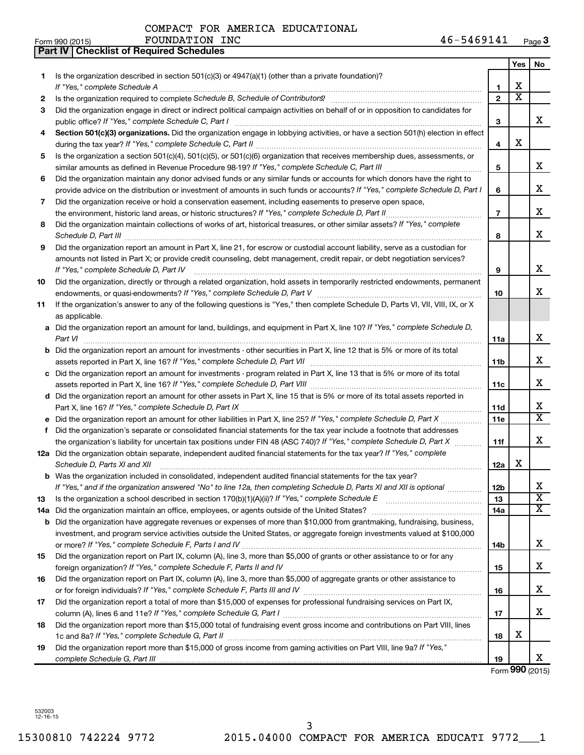| Form 990 (2015) | FOUNDATION<br>INC | 1691ء<br>41<br>Page<br>- 72 |
|-----------------|-------------------|-----------------------------|
|-----------------|-------------------|-----------------------------|

|     | Part IV   Checklist of Required Schedules                                                                                                                                                                                           |                |                       |                         |
|-----|-------------------------------------------------------------------------------------------------------------------------------------------------------------------------------------------------------------------------------------|----------------|-----------------------|-------------------------|
|     |                                                                                                                                                                                                                                     |                | Yes                   | No                      |
| 1   | Is the organization described in section 501(c)(3) or $4947(a)(1)$ (other than a private foundation)?                                                                                                                               |                |                       |                         |
|     |                                                                                                                                                                                                                                     | 1              | X                     |                         |
| 2   | Is the organization required to complete Schedule B, Schedule of Contributors? [11] the organization required to complete Schedule B, Schedule of Contributors?                                                                     | $\overline{2}$ | $\overline{\text{x}}$ |                         |
| 3   | Did the organization engage in direct or indirect political campaign activities on behalf of or in opposition to candidates for                                                                                                     |                |                       |                         |
|     |                                                                                                                                                                                                                                     | 3              |                       | x                       |
| 4   | Section 501(c)(3) organizations. Did the organization engage in lobbying activities, or have a section 501(h) election in effect                                                                                                    |                |                       |                         |
|     |                                                                                                                                                                                                                                     | 4              | X                     |                         |
|     |                                                                                                                                                                                                                                     |                |                       |                         |
| 5   | Is the organization a section 501(c)(4), 501(c)(5), or 501(c)(6) organization that receives membership dues, assessments, or                                                                                                        |                |                       | x                       |
|     |                                                                                                                                                                                                                                     | 5              |                       |                         |
| 6   | Did the organization maintain any donor advised funds or any similar funds or accounts for which donors have the right to                                                                                                           |                |                       |                         |
|     | provide advice on the distribution or investment of amounts in such funds or accounts? If "Yes," complete Schedule D, Part I                                                                                                        | 6              |                       | x                       |
| 7   | Did the organization receive or hold a conservation easement, including easements to preserve open space,                                                                                                                           |                |                       |                         |
|     | the environment, historic land areas, or historic structures? If "Yes," complete Schedule D, Part II                                                                                                                                | $\overline{7}$ |                       | x                       |
| 8   | Did the organization maintain collections of works of art, historical treasures, or other similar assets? If "Yes," complete                                                                                                        |                |                       |                         |
|     | Schedule D, Part III <b>Marting Constructs</b> and the construction of the construction of the construction of the construction of the construction of the construction of the construction of the construction of the construction | 8              |                       | x                       |
| 9   | Did the organization report an amount in Part X, line 21, for escrow or custodial account liability, serve as a custodian for                                                                                                       |                |                       |                         |
|     | amounts not listed in Part X; or provide credit counseling, debt management, credit repair, or debt negotiation services?                                                                                                           |                |                       |                         |
|     | If "Yes," complete Schedule D, Part IV                                                                                                                                                                                              | 9              |                       | x                       |
| 10  | Did the organization, directly or through a related organization, hold assets in temporarily restricted endowments, permanent                                                                                                       |                |                       |                         |
|     |                                                                                                                                                                                                                                     | 10             |                       | x                       |
| 11  | If the organization's answer to any of the following questions is "Yes," then complete Schedule D, Parts VI, VII, VIII, IX, or X                                                                                                    |                |                       |                         |
|     | as applicable.                                                                                                                                                                                                                      |                |                       |                         |
|     | a Did the organization report an amount for land, buildings, and equipment in Part X, line 10? If "Yes," complete Schedule D,                                                                                                       |                |                       |                         |
|     | Part VI                                                                                                                                                                                                                             | 11a            |                       | x                       |
|     | <b>b</b> Did the organization report an amount for investments - other securities in Part X, line 12 that is 5% or more of its total                                                                                                |                |                       |                         |
|     |                                                                                                                                                                                                                                     | 11b            |                       | x                       |
|     | c Did the organization report an amount for investments - program related in Part X, line 13 that is 5% or more of its total                                                                                                        |                |                       |                         |
|     |                                                                                                                                                                                                                                     | 11c            |                       | x                       |
|     | d Did the organization report an amount for other assets in Part X, line 15 that is 5% or more of its total assets reported in                                                                                                      |                |                       |                         |
|     |                                                                                                                                                                                                                                     | 11d            |                       | x                       |
|     | Did the organization report an amount for other liabilities in Part X, line 25? If "Yes," complete Schedule D, Part X                                                                                                               | 11e            |                       | $\overline{\mathtt{x}}$ |
| f   | Did the organization's separate or consolidated financial statements for the tax year include a footnote that addresses                                                                                                             |                |                       |                         |
|     | the organization's liability for uncertain tax positions under FIN 48 (ASC 740)? If "Yes," complete Schedule D, Part X                                                                                                              | 11f            |                       | x                       |
|     | 12a Did the organization obtain separate, independent audited financial statements for the tax year? If "Yes," complete                                                                                                             |                |                       |                         |
|     | Schedule D, Parts XI and XII                                                                                                                                                                                                        | 12a            | х                     |                         |
| b   | Was the organization included in consolidated, independent audited financial statements for the tax year?                                                                                                                           |                |                       |                         |
|     | If "Yes," and if the organization answered "No" to line 12a, then completing Schedule D, Parts XI and XII is optional                                                                                                               | 12b            |                       | х                       |
| 13  |                                                                                                                                                                                                                                     | 13             |                       | $\overline{\texttt{x}}$ |
| 14a | Did the organization maintain an office, employees, or agents outside of the United States?                                                                                                                                         | 14a            |                       | $\overline{\mathtt{x}}$ |
| b   | Did the organization have aggregate revenues or expenses of more than \$10,000 from grantmaking, fundraising, business,                                                                                                             |                |                       |                         |
|     | investment, and program service activities outside the United States, or aggregate foreign investments valued at \$100,000                                                                                                          |                |                       |                         |
|     |                                                                                                                                                                                                                                     | 14b            |                       | x                       |
| 15  | Did the organization report on Part IX, column (A), line 3, more than \$5,000 of grants or other assistance to or for any                                                                                                           |                |                       |                         |
|     |                                                                                                                                                                                                                                     | 15             |                       | x                       |
| 16  | Did the organization report on Part IX, column (A), line 3, more than \$5,000 of aggregate grants or other assistance to                                                                                                            |                |                       |                         |
|     |                                                                                                                                                                                                                                     | 16             |                       | x                       |
|     |                                                                                                                                                                                                                                     |                |                       |                         |
| 17  | Did the organization report a total of more than \$15,000 of expenses for professional fundraising services on Part IX,                                                                                                             |                |                       | x                       |
|     |                                                                                                                                                                                                                                     | 17             |                       |                         |
| 18  | Did the organization report more than \$15,000 total of fundraising event gross income and contributions on Part VIII, lines                                                                                                        |                | х                     |                         |
|     |                                                                                                                                                                                                                                     | 18             |                       |                         |
| 19  | Did the organization report more than \$15,000 of gross income from gaming activities on Part VIII, line 9a? If "Yes,"                                                                                                              |                |                       | X.                      |
|     |                                                                                                                                                                                                                                     | 19             |                       | Form 990 (2015)         |
|     |                                                                                                                                                                                                                                     |                |                       |                         |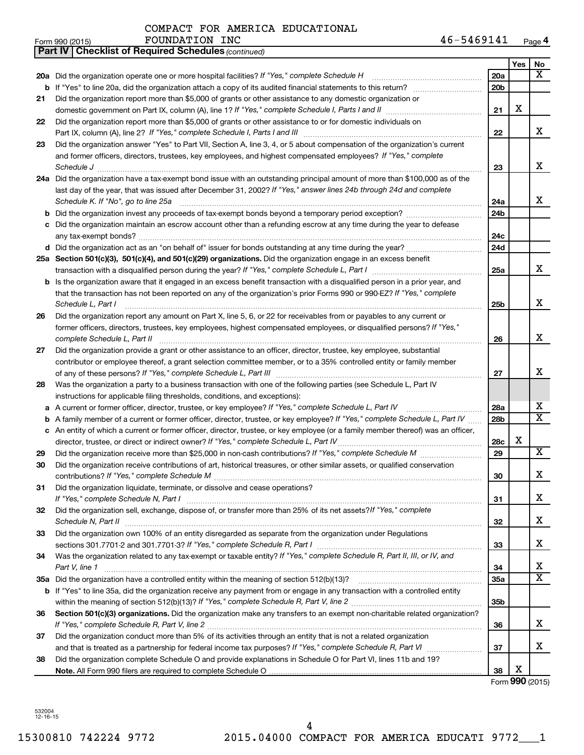|    | 46-5469141<br>FOUNDATION INC<br>Form 990 (2015)                                                                                     |                 |     | Page 4                  |
|----|-------------------------------------------------------------------------------------------------------------------------------------|-----------------|-----|-------------------------|
|    | Part IV   Checklist of Required Schedules (continued)                                                                               |                 |     |                         |
|    |                                                                                                                                     |                 | Yes | No                      |
|    |                                                                                                                                     | 20a             |     | X                       |
|    |                                                                                                                                     | 20 <sub>b</sub> |     |                         |
| 21 | Did the organization report more than \$5,000 of grants or other assistance to any domestic organization or                         |                 |     |                         |
|    |                                                                                                                                     | 21              | X   |                         |
| 22 | Did the organization report more than \$5,000 of grants or other assistance to or for domestic individuals on                       |                 |     |                         |
|    |                                                                                                                                     | 22              |     | x                       |
| 23 | Did the organization answer "Yes" to Part VII, Section A, line 3, 4, or 5 about compensation of the organization's current          |                 |     |                         |
|    | and former officers, directors, trustees, key employees, and highest compensated employees? If "Yes," complete                      |                 |     |                         |
|    | Schedule J <b>Execute Schedule J Execute Schedule J</b>                                                                             | 23              |     | x                       |
|    | 24a Did the organization have a tax-exempt bond issue with an outstanding principal amount of more than \$100,000 as of the         |                 |     |                         |
|    | last day of the year, that was issued after December 31, 2002? If "Yes," answer lines 24b through 24d and complete                  |                 |     |                         |
|    | Schedule K. If "No", go to line 25a                                                                                                 | 24a             |     | x                       |
|    |                                                                                                                                     | 24 <sub>b</sub> |     |                         |
|    | c Did the organization maintain an escrow account other than a refunding escrow at any time during the year to defease              |                 |     |                         |
|    |                                                                                                                                     | 24c             |     |                         |
|    |                                                                                                                                     | 24d             |     |                         |
|    | 25a Section 501(c)(3), 501(c)(4), and 501(c)(29) organizations. Did the organization engage in an excess benefit                    |                 |     |                         |
|    |                                                                                                                                     | 25a             |     | x                       |
|    | <b>b</b> Is the organization aware that it engaged in an excess benefit transaction with a disqualified person in a prior year, and |                 |     |                         |
|    | that the transaction has not been reported on any of the organization's prior Forms 990 or 990-EZ? If "Yes," complete               |                 |     |                         |
|    | Schedule L, Part I                                                                                                                  | 25b             |     | x                       |
| 26 | Did the organization report any amount on Part X, line 5, 6, or 22 for receivables from or payables to any current or               |                 |     |                         |
|    | former officers, directors, trustees, key employees, highest compensated employees, or disqualified persons? If "Yes,"              |                 |     |                         |
|    | complete Schedule L, Part II                                                                                                        | 26              |     | x                       |
| 27 | Did the organization provide a grant or other assistance to an officer, director, trustee, key employee, substantial                |                 |     |                         |
|    | contributor or employee thereof, a grant selection committee member, or to a 35% controlled entity or family member                 |                 |     |                         |
|    |                                                                                                                                     | 27              |     | х                       |
| 28 | Was the organization a party to a business transaction with one of the following parties (see Schedule L, Part IV                   |                 |     |                         |
|    | instructions for applicable filing thresholds, conditions, and exceptions):                                                         |                 |     |                         |
|    | a A current or former officer, director, trustee, or key employee? If "Yes," complete Schedule L, Part IV                           | 28a             |     | х                       |
|    | <b>b</b> A family member of a current or former officer, director, trustee, or key employee? If "Yes," complete Schedule L, Part IV | 28 <sub>b</sub> |     | $\overline{\mathtt{x}}$ |
|    | c An entity of which a current or former officer, director, trustee, or key employee (or a family member thereof) was an officer,   |                 |     |                         |
|    |                                                                                                                                     | 28c             | х   |                         |
| 29 |                                                                                                                                     | 29              |     | $\overline{X}$          |
| 30 | Did the organization receive contributions of art, historical treasures, or other similar assets, or qualified conservation         |                 |     |                         |
|    |                                                                                                                                     | 30              |     | х                       |
| 31 | Did the organization liquidate, terminate, or dissolve and cease operations?                                                        |                 |     |                         |
|    |                                                                                                                                     | 31              |     | х                       |
| 32 | Did the organization sell, exchange, dispose of, or transfer more than 25% of its net assets? If "Yes," complete                    |                 |     |                         |
|    |                                                                                                                                     | 32              |     | х                       |
| 33 | Did the organization own 100% of an entity disregarded as separate from the organization under Regulations                          |                 |     |                         |
|    |                                                                                                                                     | 33              |     | х                       |
| 34 | Was the organization related to any tax-exempt or taxable entity? If "Yes," complete Schedule R, Part II, III, or IV, and           |                 |     |                         |
|    | Part V, line 1                                                                                                                      | 34              |     | x                       |
|    |                                                                                                                                     | 35a             |     | $\overline{\mathtt{x}}$ |
|    | b If "Yes" to line 35a, did the organization receive any payment from or engage in any transaction with a controlled entity         |                 |     |                         |
|    |                                                                                                                                     | 35 <sub>b</sub> |     |                         |
| 36 | Section 501(c)(3) organizations. Did the organization make any transfers to an exempt non-charitable related organization?          |                 |     |                         |
|    |                                                                                                                                     | 36              |     | х                       |
| 37 | Did the organization conduct more than 5% of its activities through an entity that is not a related organization                    |                 |     |                         |
|    |                                                                                                                                     | 37              |     | х                       |
| 38 | Did the organization complete Schedule O and provide explanations in Schedule O for Part VI, lines 11b and 19?                      |                 |     |                         |
|    |                                                                                                                                     | 38              | х   |                         |
|    |                                                                                                                                     |                 |     | Form 990 (2015)         |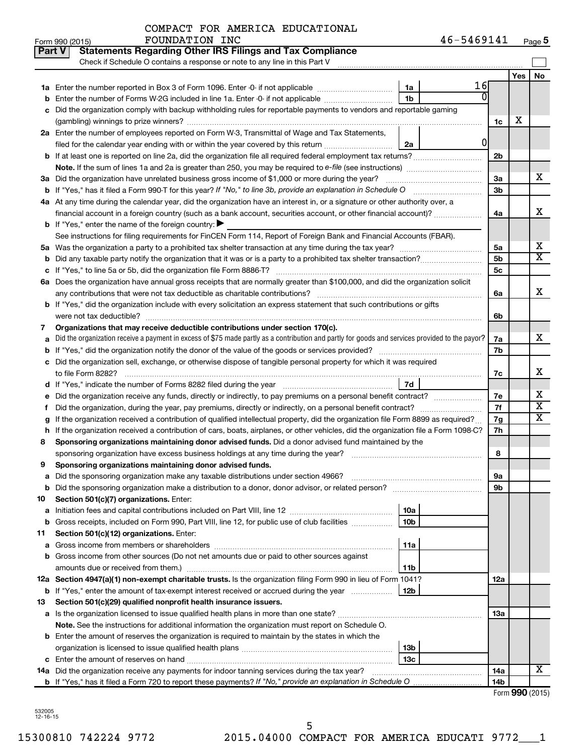|                |  | COMPACT FOR AMERICA EDUCATIONAL |
|----------------|--|---------------------------------|
| FOUNDATION INC |  |                                 |

| <b>Part V</b> | <b>Statements Regarding Other IRS Filings and Tax Compliance</b>                                                                                      |                |     |                              |  |  |  |  |  |  |  |
|---------------|-------------------------------------------------------------------------------------------------------------------------------------------------------|----------------|-----|------------------------------|--|--|--|--|--|--|--|
|               | Check if Schedule O contains a response or note to any line in this Part V                                                                            |                |     |                              |  |  |  |  |  |  |  |
|               |                                                                                                                                                       |                | Yes | No                           |  |  |  |  |  |  |  |
|               | 1a                                                                                                                                                    | 16             |     |                              |  |  |  |  |  |  |  |
|               | 1b<br><b>b</b> Enter the number of Forms W-2G included in line 1a. Enter -0- if not applicable                                                        |                |     |                              |  |  |  |  |  |  |  |
|               | Did the organization comply with backup withholding rules for reportable payments to vendors and reportable gaming                                    |                |     |                              |  |  |  |  |  |  |  |
|               |                                                                                                                                                       |                |     |                              |  |  |  |  |  |  |  |
|               | 2a Enter the number of employees reported on Form W-3, Transmittal of Wage and Tax Statements,                                                        |                |     |                              |  |  |  |  |  |  |  |
|               | 0 <br>filed for the calendar year ending with or within the year covered by this return<br>2a                                                         |                |     |                              |  |  |  |  |  |  |  |
|               | <b>b</b> If at least one is reported on line 2a, did the organization file all required federal employment tax returns?                               | 2 <sub>b</sub> |     |                              |  |  |  |  |  |  |  |
|               |                                                                                                                                                       |                |     |                              |  |  |  |  |  |  |  |
|               | 3a Did the organization have unrelated business gross income of \$1,000 or more during the year?                                                      | За             |     | x                            |  |  |  |  |  |  |  |
|               |                                                                                                                                                       | 3b             |     |                              |  |  |  |  |  |  |  |
|               | 4a At any time during the calendar year, did the organization have an interest in, or a signature or other authority over, a                          |                |     |                              |  |  |  |  |  |  |  |
|               | financial account in a foreign country (such as a bank account, securities account, or other financial account)?                                      | 4a             |     | x                            |  |  |  |  |  |  |  |
|               | <b>b</b> If "Yes," enter the name of the foreign country: $\blacktriangleright$                                                                       |                |     |                              |  |  |  |  |  |  |  |
|               | See instructions for filing requirements for FinCEN Form 114, Report of Foreign Bank and Financial Accounts (FBAR).                                   |                |     |                              |  |  |  |  |  |  |  |
|               |                                                                                                                                                       | 5a             |     | x                            |  |  |  |  |  |  |  |
|               |                                                                                                                                                       | 5b             |     | $\overline{\mathtt{x}}$      |  |  |  |  |  |  |  |
|               |                                                                                                                                                       | 5 <sub>c</sub> |     |                              |  |  |  |  |  |  |  |
|               | 6a Does the organization have annual gross receipts that are normally greater than \$100,000, and did the organization solicit                        |                |     |                              |  |  |  |  |  |  |  |
|               | any contributions that were not tax deductible as charitable contributions?                                                                           | 6a             |     | x                            |  |  |  |  |  |  |  |
|               | <b>b</b> If "Yes," did the organization include with every solicitation an express statement that such contributions or gifts                         |                |     |                              |  |  |  |  |  |  |  |
|               | were not tax deductible?                                                                                                                              | 6b             |     |                              |  |  |  |  |  |  |  |
| 7             | Organizations that may receive deductible contributions under section 170(c).                                                                         |                |     |                              |  |  |  |  |  |  |  |
|               | Did the organization receive a payment in excess of \$75 made partly as a contribution and partly for goods and services provided to the payor?       | 7a             |     | x                            |  |  |  |  |  |  |  |
|               |                                                                                                                                                       | 7b             |     |                              |  |  |  |  |  |  |  |
|               | c Did the organization sell, exchange, or otherwise dispose of tangible personal property for which it was required                                   |                |     |                              |  |  |  |  |  |  |  |
|               | to file Form 8282?                                                                                                                                    | 7c             |     | x                            |  |  |  |  |  |  |  |
|               | 7d                                                                                                                                                    |                |     |                              |  |  |  |  |  |  |  |
|               | e Did the organization receive any funds, directly or indirectly, to pay premiums on a personal benefit contract?                                     | 7e             |     | x<br>$\overline{\mathtt{x}}$ |  |  |  |  |  |  |  |
| Ť.            |                                                                                                                                                       | 7f             |     | $\overline{\mathbf{x}}$      |  |  |  |  |  |  |  |
| g             | If the organization received a contribution of qualified intellectual property, did the organization file Form 8899 as required?                      | 7g             |     |                              |  |  |  |  |  |  |  |
|               | h If the organization received a contribution of cars, boats, airplanes, or other vehicles, did the organization file a Form 1098-C?                  | 7h             |     |                              |  |  |  |  |  |  |  |
| 8             | Sponsoring organizations maintaining donor advised funds. Did a donor advised fund maintained by the                                                  |                |     |                              |  |  |  |  |  |  |  |
|               | sponsoring organization have excess business holdings at any time during the year?<br>Sponsoring organizations maintaining donor advised funds.       | 8              |     |                              |  |  |  |  |  |  |  |
| 9             |                                                                                                                                                       |                |     |                              |  |  |  |  |  |  |  |
|               | a Did the sponsoring organization make any taxable distributions under section 4966?                                                                  | 9а<br>9b       |     |                              |  |  |  |  |  |  |  |
|               | <b>b</b> Did the sponsoring organization make a distribution to a donor, donor advisor, or related person?<br>Section 501(c)(7) organizations. Enter: |                |     |                              |  |  |  |  |  |  |  |
| 10<br>a       | 10a                                                                                                                                                   |                |     |                              |  |  |  |  |  |  |  |
| b             | Gross receipts, included on Form 990, Part VIII, line 12, for public use of club facilities<br>10 <sub>b</sub>                                        |                |     |                              |  |  |  |  |  |  |  |
| 11            | Section 501(c)(12) organizations. Enter:                                                                                                              |                |     |                              |  |  |  |  |  |  |  |
|               | 11a                                                                                                                                                   |                |     |                              |  |  |  |  |  |  |  |
|               | <b>b</b> Gross income from other sources (Do not net amounts due or paid to other sources against                                                     |                |     |                              |  |  |  |  |  |  |  |
|               | amounts due or received from them.)<br>11b                                                                                                            |                |     |                              |  |  |  |  |  |  |  |
|               | 12a Section 4947(a)(1) non-exempt charitable trusts. Is the organization filing Form 990 in lieu of Form 1041?                                        | 12a            |     |                              |  |  |  |  |  |  |  |
|               | <b>b</b> If "Yes," enter the amount of tax-exempt interest received or accrued during the year<br>12b                                                 |                |     |                              |  |  |  |  |  |  |  |
| 13            | Section 501(c)(29) qualified nonprofit health insurance issuers.                                                                                      |                |     |                              |  |  |  |  |  |  |  |
|               | a Is the organization licensed to issue qualified health plans in more than one state?                                                                | 13a            |     |                              |  |  |  |  |  |  |  |
|               | Note. See the instructions for additional information the organization must report on Schedule O.                                                     |                |     |                              |  |  |  |  |  |  |  |
|               | <b>b</b> Enter the amount of reserves the organization is required to maintain by the states in which the                                             |                |     |                              |  |  |  |  |  |  |  |
|               | 13 <sub>b</sub>                                                                                                                                       |                |     |                              |  |  |  |  |  |  |  |
|               | 13 <sub>c</sub>                                                                                                                                       |                |     |                              |  |  |  |  |  |  |  |
|               | 14a Did the organization receive any payments for indoor tanning services during the tax year?                                                        | 14a            |     | X                            |  |  |  |  |  |  |  |
|               |                                                                                                                                                       | 14b            |     |                              |  |  |  |  |  |  |  |

| Form 990 (2015) |  |
|-----------------|--|
|-----------------|--|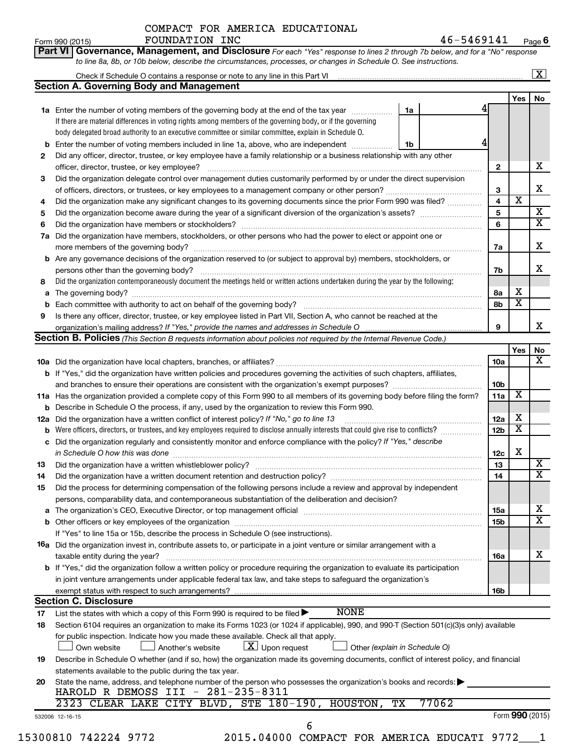**Part VI** Governance, Management, and Disclosure For each "Yes" response to lines 2 through 7b below, and for a "No" response *to line 8a, 8b, or 10b below, describe the circumstances, processes, or changes in Schedule O. See instructions.*

| <b>Section A. Governing Body and Management</b><br>1a Enter the number of voting members of the governing body at the end of the tax year <i>manument</i><br>If there are material differences in voting rights among members of the governing body, or if the governing<br>body delegated broad authority to an executive committee or similar committee, explain in Schedule O.<br>Enter the number of voting members included in line 1a, above, who are independent <i>manumum</i><br>Did any officer, director, trustee, or key employee have a family relationship or a business relationship with any other<br>officer, director, trustee, or key employee?<br>Did the organization delegate control over management duties customarily performed by or under the direct supervision<br>Did the organization make any significant changes to its governing documents since the prior Form 990 was filed?<br>Did the organization have members, stockholders, or other persons who had the power to elect or appoint one or | 1a<br>1b                        | 2                                                                                                               | Yes                                                                                                                                       |
|-----------------------------------------------------------------------------------------------------------------------------------------------------------------------------------------------------------------------------------------------------------------------------------------------------------------------------------------------------------------------------------------------------------------------------------------------------------------------------------------------------------------------------------------------------------------------------------------------------------------------------------------------------------------------------------------------------------------------------------------------------------------------------------------------------------------------------------------------------------------------------------------------------------------------------------------------------------------------------------------------------------------------------------|---------------------------------|-----------------------------------------------------------------------------------------------------------------|-------------------------------------------------------------------------------------------------------------------------------------------|
|                                                                                                                                                                                                                                                                                                                                                                                                                                                                                                                                                                                                                                                                                                                                                                                                                                                                                                                                                                                                                                   |                                 |                                                                                                                 |                                                                                                                                           |
|                                                                                                                                                                                                                                                                                                                                                                                                                                                                                                                                                                                                                                                                                                                                                                                                                                                                                                                                                                                                                                   |                                 |                                                                                                                 |                                                                                                                                           |
|                                                                                                                                                                                                                                                                                                                                                                                                                                                                                                                                                                                                                                                                                                                                                                                                                                                                                                                                                                                                                                   |                                 |                                                                                                                 |                                                                                                                                           |
|                                                                                                                                                                                                                                                                                                                                                                                                                                                                                                                                                                                                                                                                                                                                                                                                                                                                                                                                                                                                                                   |                                 |                                                                                                                 |                                                                                                                                           |
|                                                                                                                                                                                                                                                                                                                                                                                                                                                                                                                                                                                                                                                                                                                                                                                                                                                                                                                                                                                                                                   |                                 |                                                                                                                 |                                                                                                                                           |
|                                                                                                                                                                                                                                                                                                                                                                                                                                                                                                                                                                                                                                                                                                                                                                                                                                                                                                                                                                                                                                   |                                 |                                                                                                                 |                                                                                                                                           |
|                                                                                                                                                                                                                                                                                                                                                                                                                                                                                                                                                                                                                                                                                                                                                                                                                                                                                                                                                                                                                                   |                                 |                                                                                                                 |                                                                                                                                           |
|                                                                                                                                                                                                                                                                                                                                                                                                                                                                                                                                                                                                                                                                                                                                                                                                                                                                                                                                                                                                                                   |                                 |                                                                                                                 |                                                                                                                                           |
|                                                                                                                                                                                                                                                                                                                                                                                                                                                                                                                                                                                                                                                                                                                                                                                                                                                                                                                                                                                                                                   |                                 |                                                                                                                 |                                                                                                                                           |
|                                                                                                                                                                                                                                                                                                                                                                                                                                                                                                                                                                                                                                                                                                                                                                                                                                                                                                                                                                                                                                   |                                 | 3                                                                                                               |                                                                                                                                           |
|                                                                                                                                                                                                                                                                                                                                                                                                                                                                                                                                                                                                                                                                                                                                                                                                                                                                                                                                                                                                                                   |                                 | $\overline{\mathbf{4}}$                                                                                         | $\overline{\textbf{x}}$                                                                                                                   |
|                                                                                                                                                                                                                                                                                                                                                                                                                                                                                                                                                                                                                                                                                                                                                                                                                                                                                                                                                                                                                                   |                                 | 5                                                                                                               |                                                                                                                                           |
|                                                                                                                                                                                                                                                                                                                                                                                                                                                                                                                                                                                                                                                                                                                                                                                                                                                                                                                                                                                                                                   |                                 | 6                                                                                                               |                                                                                                                                           |
|                                                                                                                                                                                                                                                                                                                                                                                                                                                                                                                                                                                                                                                                                                                                                                                                                                                                                                                                                                                                                                   |                                 |                                                                                                                 |                                                                                                                                           |
|                                                                                                                                                                                                                                                                                                                                                                                                                                                                                                                                                                                                                                                                                                                                                                                                                                                                                                                                                                                                                                   |                                 | 7a                                                                                                              |                                                                                                                                           |
| Are any governance decisions of the organization reserved to (or subject to approval by) members, stockholders, or                                                                                                                                                                                                                                                                                                                                                                                                                                                                                                                                                                                                                                                                                                                                                                                                                                                                                                                |                                 |                                                                                                                 |                                                                                                                                           |
| persons other than the governing body?                                                                                                                                                                                                                                                                                                                                                                                                                                                                                                                                                                                                                                                                                                                                                                                                                                                                                                                                                                                            |                                 | 7b                                                                                                              |                                                                                                                                           |
| Did the organization contemporaneously document the meetings held or written actions undertaken during the year by the following:                                                                                                                                                                                                                                                                                                                                                                                                                                                                                                                                                                                                                                                                                                                                                                                                                                                                                                 |                                 |                                                                                                                 |                                                                                                                                           |
|                                                                                                                                                                                                                                                                                                                                                                                                                                                                                                                                                                                                                                                                                                                                                                                                                                                                                                                                                                                                                                   |                                 | 8а                                                                                                              | x                                                                                                                                         |
|                                                                                                                                                                                                                                                                                                                                                                                                                                                                                                                                                                                                                                                                                                                                                                                                                                                                                                                                                                                                                                   |                                 | 8b                                                                                                              | $\overline{\textbf{x}}$                                                                                                                   |
| Is there any officer, director, trustee, or key employee listed in Part VII, Section A, who cannot be reached at the                                                                                                                                                                                                                                                                                                                                                                                                                                                                                                                                                                                                                                                                                                                                                                                                                                                                                                              |                                 |                                                                                                                 |                                                                                                                                           |
|                                                                                                                                                                                                                                                                                                                                                                                                                                                                                                                                                                                                                                                                                                                                                                                                                                                                                                                                                                                                                                   |                                 | 9                                                                                                               |                                                                                                                                           |
| <b>Section B. Policies</b> (This Section B requests information about policies not required by the Internal Revenue Code.)                                                                                                                                                                                                                                                                                                                                                                                                                                                                                                                                                                                                                                                                                                                                                                                                                                                                                                        |                                 |                                                                                                                 |                                                                                                                                           |
|                                                                                                                                                                                                                                                                                                                                                                                                                                                                                                                                                                                                                                                                                                                                                                                                                                                                                                                                                                                                                                   |                                 |                                                                                                                 | Yes                                                                                                                                       |
|                                                                                                                                                                                                                                                                                                                                                                                                                                                                                                                                                                                                                                                                                                                                                                                                                                                                                                                                                                                                                                   |                                 | 10a                                                                                                             |                                                                                                                                           |
| <b>b</b> If "Yes," did the organization have written policies and procedures governing the activities of such chapters, affiliates,                                                                                                                                                                                                                                                                                                                                                                                                                                                                                                                                                                                                                                                                                                                                                                                                                                                                                               |                                 |                                                                                                                 |                                                                                                                                           |
|                                                                                                                                                                                                                                                                                                                                                                                                                                                                                                                                                                                                                                                                                                                                                                                                                                                                                                                                                                                                                                   |                                 | 10 <sub>b</sub>                                                                                                 |                                                                                                                                           |
| 11a Has the organization provided a complete copy of this Form 990 to all members of its governing body before filing the form?                                                                                                                                                                                                                                                                                                                                                                                                                                                                                                                                                                                                                                                                                                                                                                                                                                                                                                   |                                 | 11a                                                                                                             | X                                                                                                                                         |
| Describe in Schedule O the process, if any, used by the organization to review this Form 990.                                                                                                                                                                                                                                                                                                                                                                                                                                                                                                                                                                                                                                                                                                                                                                                                                                                                                                                                     |                                 |                                                                                                                 |                                                                                                                                           |
| Did the organization have a written conflict of interest policy? If "No," go to line 13                                                                                                                                                                                                                                                                                                                                                                                                                                                                                                                                                                                                                                                                                                                                                                                                                                                                                                                                           |                                 | 12a                                                                                                             | х                                                                                                                                         |
| Were officers, directors, or trustees, and key employees required to disclose annually interests that could give rise to conflicts?                                                                                                                                                                                                                                                                                                                                                                                                                                                                                                                                                                                                                                                                                                                                                                                                                                                                                               |                                 | 12 <sub>b</sub>                                                                                                 | $\overline{\textbf{x}}$                                                                                                                   |
| Did the organization regularly and consistently monitor and enforce compliance with the policy? If "Yes," describe                                                                                                                                                                                                                                                                                                                                                                                                                                                                                                                                                                                                                                                                                                                                                                                                                                                                                                                |                                 |                                                                                                                 |                                                                                                                                           |
|                                                                                                                                                                                                                                                                                                                                                                                                                                                                                                                                                                                                                                                                                                                                                                                                                                                                                                                                                                                                                                   |                                 |                                                                                                                 | х                                                                                                                                         |
|                                                                                                                                                                                                                                                                                                                                                                                                                                                                                                                                                                                                                                                                                                                                                                                                                                                                                                                                                                                                                                   |                                 | 12c                                                                                                             |                                                                                                                                           |
|                                                                                                                                                                                                                                                                                                                                                                                                                                                                                                                                                                                                                                                                                                                                                                                                                                                                                                                                                                                                                                   |                                 | 13                                                                                                              |                                                                                                                                           |
| Did the organization have a written document retention and destruction policy? [11] manufaction manufaction in                                                                                                                                                                                                                                                                                                                                                                                                                                                                                                                                                                                                                                                                                                                                                                                                                                                                                                                    |                                 | 14                                                                                                              |                                                                                                                                           |
| Did the process for determining compensation of the following persons include a review and approval by independent                                                                                                                                                                                                                                                                                                                                                                                                                                                                                                                                                                                                                                                                                                                                                                                                                                                                                                                |                                 |                                                                                                                 |                                                                                                                                           |
| persons, comparability data, and contemporaneous substantiation of the deliberation and decision?                                                                                                                                                                                                                                                                                                                                                                                                                                                                                                                                                                                                                                                                                                                                                                                                                                                                                                                                 |                                 |                                                                                                                 |                                                                                                                                           |
| The organization's CEO, Executive Director, or top management official manufactured content of the organization's CEO, Executive Director, or top management official manufactured content of the organization's                                                                                                                                                                                                                                                                                                                                                                                                                                                                                                                                                                                                                                                                                                                                                                                                                  |                                 | 15a                                                                                                             |                                                                                                                                           |
|                                                                                                                                                                                                                                                                                                                                                                                                                                                                                                                                                                                                                                                                                                                                                                                                                                                                                                                                                                                                                                   |                                 | <b>15b</b>                                                                                                      |                                                                                                                                           |
| If "Yes" to line 15a or 15b, describe the process in Schedule O (see instructions).                                                                                                                                                                                                                                                                                                                                                                                                                                                                                                                                                                                                                                                                                                                                                                                                                                                                                                                                               |                                 |                                                                                                                 |                                                                                                                                           |
| 16a Did the organization invest in, contribute assets to, or participate in a joint venture or similar arrangement with a                                                                                                                                                                                                                                                                                                                                                                                                                                                                                                                                                                                                                                                                                                                                                                                                                                                                                                         |                                 |                                                                                                                 |                                                                                                                                           |
| taxable entity during the year?                                                                                                                                                                                                                                                                                                                                                                                                                                                                                                                                                                                                                                                                                                                                                                                                                                                                                                                                                                                                   |                                 | 16a                                                                                                             |                                                                                                                                           |
| b If "Yes," did the organization follow a written policy or procedure requiring the organization to evaluate its participation                                                                                                                                                                                                                                                                                                                                                                                                                                                                                                                                                                                                                                                                                                                                                                                                                                                                                                    |                                 |                                                                                                                 |                                                                                                                                           |
| in joint venture arrangements under applicable federal tax law, and take steps to safeguard the organization's                                                                                                                                                                                                                                                                                                                                                                                                                                                                                                                                                                                                                                                                                                                                                                                                                                                                                                                    |                                 |                                                                                                                 |                                                                                                                                           |
| exempt status with respect to such arrangements?                                                                                                                                                                                                                                                                                                                                                                                                                                                                                                                                                                                                                                                                                                                                                                                                                                                                                                                                                                                  |                                 | 16b                                                                                                             |                                                                                                                                           |
| <b>Section C. Disclosure</b>                                                                                                                                                                                                                                                                                                                                                                                                                                                                                                                                                                                                                                                                                                                                                                                                                                                                                                                                                                                                      |                                 |                                                                                                                 |                                                                                                                                           |
| <b>NONE</b><br>List the states with which a copy of this Form 990 is required to be filed $\blacktriangleright$                                                                                                                                                                                                                                                                                                                                                                                                                                                                                                                                                                                                                                                                                                                                                                                                                                                                                                                   |                                 |                                                                                                                 |                                                                                                                                           |
| Section 6104 requires an organization to make its Forms 1023 (or 1024 if applicable), 990, and 990-T (Section 501(c)(3)s only) available                                                                                                                                                                                                                                                                                                                                                                                                                                                                                                                                                                                                                                                                                                                                                                                                                                                                                          |                                 |                                                                                                                 |                                                                                                                                           |
| for public inspection. Indicate how you made these available. Check all that apply.                                                                                                                                                                                                                                                                                                                                                                                                                                                                                                                                                                                                                                                                                                                                                                                                                                                                                                                                               |                                 |                                                                                                                 |                                                                                                                                           |
|                                                                                                                                                                                                                                                                                                                                                                                                                                                                                                                                                                                                                                                                                                                                                                                                                                                                                                                                                                                                                                   | Other (explain in Schedule O)   |                                                                                                                 |                                                                                                                                           |
| $\lfloor x \rfloor$ Upon request<br>Own website<br>Another's website                                                                                                                                                                                                                                                                                                                                                                                                                                                                                                                                                                                                                                                                                                                                                                                                                                                                                                                                                              |                                 |                                                                                                                 |                                                                                                                                           |
|                                                                                                                                                                                                                                                                                                                                                                                                                                                                                                                                                                                                                                                                                                                                                                                                                                                                                                                                                                                                                                   |                                 |                                                                                                                 |                                                                                                                                           |
| statements available to the public during the tax year.                                                                                                                                                                                                                                                                                                                                                                                                                                                                                                                                                                                                                                                                                                                                                                                                                                                                                                                                                                           |                                 |                                                                                                                 |                                                                                                                                           |
|                                                                                                                                                                                                                                                                                                                                                                                                                                                                                                                                                                                                                                                                                                                                                                                                                                                                                                                                                                                                                                   |                                 |                                                                                                                 |                                                                                                                                           |
| HAROLD R DEMOSS III - 281-235-8311                                                                                                                                                                                                                                                                                                                                                                                                                                                                                                                                                                                                                                                                                                                                                                                                                                                                                                                                                                                                |                                 |                                                                                                                 |                                                                                                                                           |
| 2323 CLEAR LAKE CITY BLVD, STE 180-190, HOUSTON,                                                                                                                                                                                                                                                                                                                                                                                                                                                                                                                                                                                                                                                                                                                                                                                                                                                                                                                                                                                  | 77062<br>$\overline{\text{TX}}$ |                                                                                                                 |                                                                                                                                           |
|                                                                                                                                                                                                                                                                                                                                                                                                                                                                                                                                                                                                                                                                                                                                                                                                                                                                                                                                                                                                                                   |                                 | State the name, address, and telephone number of the person who possesses the organization's books and records: | Describe in Schedule O whether (and if so, how) the organization made its governing documents, conflict of interest policy, and financial |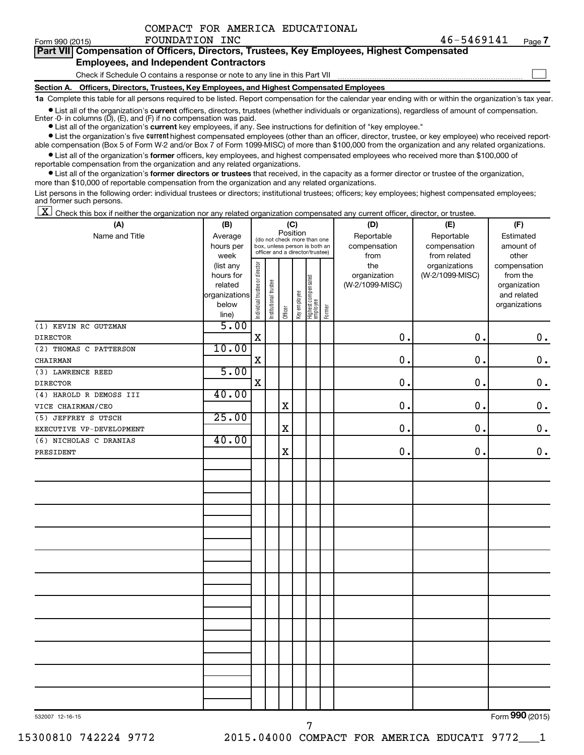| COMPACT FOR AMERICA EDUCATIONAL |  |  |  |  |
|---------------------------------|--|--|--|--|
|---------------------------------|--|--|--|--|

 $\Box$ 

|  | Part VII Compensation of Officers, Directors, Trustees, Key Employees, Highest Compensated |  |
|--|--------------------------------------------------------------------------------------------|--|
|  | <b>Employees, and Independent Contractors</b>                                              |  |

Check if Schedule O contains a response or note to any line in this Part VII

**Section A. Officers, Directors, Trustees, Key Employees, and Highest Compensated Employees**

**1a**  Complete this table for all persons required to be listed. Report compensation for the calendar year ending with or within the organization's tax year.

**•** List all of the organization's current officers, directors, trustees (whether individuals or organizations), regardless of amount of compensation.

**•** List all of the organization's **current** key employees, if any. See instructions for definition of "key employee." Enter -0- in columns  $(D)$ ,  $(E)$ , and  $(F)$  if no compensation was paid.

**•** List the organization's five current highest compensated employees (other than an officer, director, trustee, or key employee) who received report-

**•** List all of the organization's former officers, key employees, and highest compensated employees who received more than \$100,000 of able compensation (Box 5 of Form W-2 and/or Box 7 of Form 1099-MISC) of more than \$100,000 from the organization and any related organizations. reportable compensation from the organization and any related organizations.

**•** List all of the organization's former directors or trustees that received, in the capacity as a former director or trustee of the organization, more than \$10,000 of reportable compensation from the organization and any related organizations.

List persons in the following order: individual trustees or directors; institutional trustees; officers; key employees; highest compensated employees; and former such persons.

|  |  |  | $\boxed{\mathbf{X}}$ Check this box if neither the organization nor any related organization compensated any current officer, director, or trustee. |  |  |  |  |  |
|--|--|--|-----------------------------------------------------------------------------------------------------------------------------------------------------|--|--|--|--|--|
|--|--|--|-----------------------------------------------------------------------------------------------------------------------------------------------------|--|--|--|--|--|

| (A)                      | (B)                    | (C)                                     |                                 |             |              |                                   |        | (D)             | (E)             | (F)                |  |  |  |  |
|--------------------------|------------------------|-----------------------------------------|---------------------------------|-------------|--------------|-----------------------------------|--------|-----------------|-----------------|--------------------|--|--|--|--|
| Name and Title           | Average                | Position<br>(do not check more than one |                                 |             |              |                                   |        | Reportable      | Reportable      | Estimated          |  |  |  |  |
|                          | hours per              |                                         | box, unless person is both an   |             |              |                                   |        | compensation    | compensation    | amount of          |  |  |  |  |
|                          | week                   |                                         | officer and a director/trustee) |             |              |                                   |        | from            | from related    | other              |  |  |  |  |
|                          | (list any              |                                         |                                 |             |              |                                   |        | the             | organizations   | compensation       |  |  |  |  |
|                          | hours for              |                                         |                                 |             |              |                                   |        | organization    | (W-2/1099-MISC) | from the           |  |  |  |  |
|                          | related                |                                         |                                 |             |              |                                   |        | (W-2/1099-MISC) |                 | organization       |  |  |  |  |
|                          | organizations<br>below |                                         |                                 |             |              |                                   |        |                 |                 | and related        |  |  |  |  |
|                          | line)                  | Individual trustee or director          | Institutional trustee           | Officer     | Key employee | Highest compensated<br>  employee | Former |                 |                 | organizations      |  |  |  |  |
| (1) KEVIN RC GUTZMAN     | 5.00                   |                                         |                                 |             |              |                                   |        |                 |                 |                    |  |  |  |  |
| <b>DIRECTOR</b>          |                        | $\mathbf X$                             |                                 |             |              |                                   |        | 0.              | 0.              | $\boldsymbol{0}$ . |  |  |  |  |
| (2) THOMAS C PATTERSON   | 10.00                  |                                         |                                 |             |              |                                   |        |                 |                 |                    |  |  |  |  |
| CHAIRMAN                 |                        | $\mathbf X$                             |                                 |             |              |                                   |        | $\mathbf 0$ .   | 0.              | $\mathbf 0$ .      |  |  |  |  |
|                          | 5.00                   |                                         |                                 |             |              |                                   |        |                 |                 |                    |  |  |  |  |
| (3) LAWRENCE REED        |                        |                                         |                                 |             |              |                                   |        |                 |                 |                    |  |  |  |  |
| <b>DIRECTOR</b>          |                        | X                                       |                                 |             |              |                                   |        | 0.              | $\mathbf 0$ .   | $\mathbf 0$ .      |  |  |  |  |
| (4) HAROLD R DEMOSS III  | 40.00                  |                                         |                                 |             |              |                                   |        |                 |                 |                    |  |  |  |  |
| VICE CHAIRMAN/CEO        |                        |                                         |                                 | $\mathbf X$ |              |                                   |        | $\mathbf 0$ .   | $\mathbf 0$ .   | $\mathbf 0$ .      |  |  |  |  |
| (5) JEFFREY S UTSCH      | 25.00                  |                                         |                                 |             |              |                                   |        |                 |                 |                    |  |  |  |  |
| EXECUTIVE VP-DEVELOPMENT |                        |                                         |                                 | $\mathbf X$ |              |                                   |        | $\mathbf 0$ .   | $\mathbf 0$ .   | $\mathbf 0$ .      |  |  |  |  |
| (6) NICHOLAS C DRANIAS   | 40.00                  |                                         |                                 |             |              |                                   |        |                 |                 |                    |  |  |  |  |
| PRESIDENT                |                        |                                         |                                 | $\mathbf X$ |              |                                   |        | $\mathbf 0$     | 0.              | $\mathbf 0$ .      |  |  |  |  |
|                          |                        |                                         |                                 |             |              |                                   |        |                 |                 |                    |  |  |  |  |
|                          |                        |                                         |                                 |             |              |                                   |        |                 |                 |                    |  |  |  |  |
|                          |                        |                                         |                                 |             |              |                                   |        |                 |                 |                    |  |  |  |  |
|                          |                        |                                         |                                 |             |              |                                   |        |                 |                 |                    |  |  |  |  |
|                          |                        |                                         |                                 |             |              |                                   |        |                 |                 |                    |  |  |  |  |
|                          |                        |                                         |                                 |             |              |                                   |        |                 |                 |                    |  |  |  |  |
|                          |                        |                                         |                                 |             |              |                                   |        |                 |                 |                    |  |  |  |  |
|                          |                        |                                         |                                 |             |              |                                   |        |                 |                 |                    |  |  |  |  |
|                          |                        |                                         |                                 |             |              |                                   |        |                 |                 |                    |  |  |  |  |
|                          |                        |                                         |                                 |             |              |                                   |        |                 |                 |                    |  |  |  |  |
|                          |                        |                                         |                                 |             |              |                                   |        |                 |                 |                    |  |  |  |  |
|                          |                        |                                         |                                 |             |              |                                   |        |                 |                 |                    |  |  |  |  |
|                          |                        |                                         |                                 |             |              |                                   |        |                 |                 |                    |  |  |  |  |
|                          |                        |                                         |                                 |             |              |                                   |        |                 |                 |                    |  |  |  |  |
|                          |                        |                                         |                                 |             |              |                                   |        |                 |                 |                    |  |  |  |  |
|                          |                        |                                         |                                 |             |              |                                   |        |                 |                 |                    |  |  |  |  |
|                          |                        |                                         |                                 |             |              |                                   |        |                 |                 |                    |  |  |  |  |
|                          |                        |                                         |                                 |             |              |                                   |        |                 |                 |                    |  |  |  |  |
|                          |                        |                                         |                                 |             |              |                                   |        |                 |                 |                    |  |  |  |  |
|                          |                        |                                         |                                 |             |              |                                   |        |                 |                 |                    |  |  |  |  |
|                          |                        |                                         |                                 |             |              |                                   |        |                 |                 |                    |  |  |  |  |
|                          |                        |                                         |                                 |             |              |                                   |        |                 |                 |                    |  |  |  |  |
|                          |                        |                                         |                                 |             |              |                                   |        |                 |                 |                    |  |  |  |  |

7

532007 12-16-15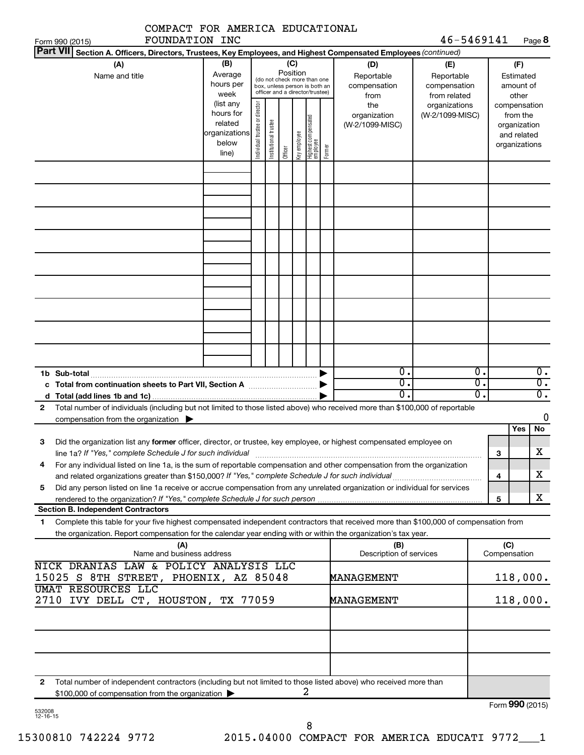| COMPACT FOR AMERICA EDUCATIONAL                                                                                                                                                                                                              |                                                                      |                                |                       |                 |              |                                                                                                 |        |                                           |                                                   |                                      |                     |                                                                          |                           |
|----------------------------------------------------------------------------------------------------------------------------------------------------------------------------------------------------------------------------------------------|----------------------------------------------------------------------|--------------------------------|-----------------------|-----------------|--------------|-------------------------------------------------------------------------------------------------|--------|-------------------------------------------|---------------------------------------------------|--------------------------------------|---------------------|--------------------------------------------------------------------------|---------------------------|
| FOUNDATION INC<br>Form 990 (2015)<br><b>Part VII</b><br>Section A. Officers, Directors, Trustees, Key Employees, and Highest Compensated Employees (continued)                                                                               |                                                                      |                                |                       |                 |              |                                                                                                 |        |                                           | 46-5469141                                        |                                      |                     |                                                                          | Page 8                    |
| (A)<br>Name and title                                                                                                                                                                                                                        | (B)<br>Average<br>hours per<br>week                                  |                                |                       | (C)<br>Position |              | (do not check more than one<br>box, unless person is both an<br>officer and a director/trustee) |        | (D)<br>Reportable<br>compensation<br>from | (E)<br>Reportable<br>compensation<br>from related |                                      |                     | (F)<br>Estimated<br>amount of<br>other                                   |                           |
|                                                                                                                                                                                                                                              | (list any<br>hours for<br>related<br>organizations<br>below<br>line) | Individual trustee or director | Institutional trustee | Officer         | Key employee | Highest compensated<br>employee                                                                 | Former | the<br>organization<br>(W-2/1099-MISC)    | organizations<br>(W-2/1099-MISC)                  |                                      |                     | compensation<br>from the<br>organization<br>and related<br>organizations |                           |
|                                                                                                                                                                                                                                              |                                                                      |                                |                       |                 |              |                                                                                                 |        |                                           |                                                   |                                      |                     |                                                                          |                           |
|                                                                                                                                                                                                                                              |                                                                      |                                |                       |                 |              |                                                                                                 |        |                                           |                                                   |                                      |                     |                                                                          |                           |
|                                                                                                                                                                                                                                              |                                                                      |                                |                       |                 |              |                                                                                                 |        |                                           |                                                   |                                      |                     |                                                                          |                           |
|                                                                                                                                                                                                                                              |                                                                      |                                |                       |                 |              |                                                                                                 |        |                                           |                                                   |                                      |                     |                                                                          |                           |
|                                                                                                                                                                                                                                              |                                                                      |                                |                       |                 |              |                                                                                                 |        |                                           |                                                   |                                      |                     |                                                                          |                           |
|                                                                                                                                                                                                                                              |                                                                      |                                |                       |                 |              |                                                                                                 |        |                                           |                                                   |                                      |                     |                                                                          |                           |
| 1b Sub-total                                                                                                                                                                                                                                 |                                                                      |                                |                       |                 |              |                                                                                                 |        | $\overline{0}$ .<br>σ.                    |                                                   | $\overline{0}$ .<br>$\overline{0}$ . |                     |                                                                          | $0$ .<br>$\overline{0}$ . |
|                                                                                                                                                                                                                                              |                                                                      |                                |                       |                 |              |                                                                                                 |        | О.                                        |                                                   | σ.                                   |                     |                                                                          | $\overline{0}$ .          |
| Total number of individuals (including but not limited to those listed above) who received more than \$100,000 of reportable<br>2<br>compensation from the organization $\blacktriangleright$                                                |                                                                      |                                |                       |                 |              |                                                                                                 |        |                                           |                                                   |                                      |                     |                                                                          | 0                         |
| Did the organization list any former officer, director, or trustee, key employee, or highest compensated employee on<br>З<br>line 1a? If "Yes," complete Schedule J for such individual manufactured content content for the complete schedu |                                                                      |                                |                       |                 |              |                                                                                                 |        |                                           |                                                   |                                      | З                   | Yes                                                                      | No<br>х                   |
| For any individual listed on line 1a, is the sum of reportable compensation and other compensation from the organization<br>4                                                                                                                |                                                                      |                                |                       |                 |              |                                                                                                 |        |                                           |                                                   |                                      | 4                   |                                                                          | x.                        |
| Did any person listed on line 1a receive or accrue compensation from any unrelated organization or individual for services<br>5                                                                                                              |                                                                      |                                |                       |                 |              |                                                                                                 |        |                                           |                                                   |                                      | 5                   |                                                                          | x                         |
| <b>Section B. Independent Contractors</b><br>Complete this table for your five highest compensated independent contractors that received more than \$100,000 of compensation from<br>1                                                       |                                                                      |                                |                       |                 |              |                                                                                                 |        |                                           |                                                   |                                      |                     |                                                                          |                           |
| the organization. Report compensation for the calendar year ending with or within the organization's tax year.                                                                                                                               |                                                                      |                                |                       |                 |              |                                                                                                 |        |                                           |                                                   |                                      |                     |                                                                          |                           |
| (A)<br>Name and business address                                                                                                                                                                                                             |                                                                      |                                |                       |                 |              |                                                                                                 |        | (B)<br>Description of services            |                                                   |                                      | (C)<br>Compensation |                                                                          |                           |
| NICK DRANIAS LAW & POLICY ANALYSIS LLC<br>15025 S 8TH STREET, PHOENIX, AZ 85048                                                                                                                                                              |                                                                      |                                |                       |                 |              |                                                                                                 |        | MANAGEMENT                                |                                                   |                                      |                     |                                                                          | 118,000.                  |
| <b>UMAT RESOURCES LLC</b><br>2710<br>IVY DELL CT, HOUSTON, TX 77059                                                                                                                                                                          |                                                                      |                                |                       |                 |              |                                                                                                 |        | MANAGEMENT                                |                                                   |                                      |                     |                                                                          | 118,000.                  |
|                                                                                                                                                                                                                                              |                                                                      |                                |                       |                 |              |                                                                                                 |        |                                           |                                                   |                                      |                     |                                                                          |                           |
|                                                                                                                                                                                                                                              |                                                                      |                                |                       |                 |              |                                                                                                 |        |                                           |                                                   |                                      |                     |                                                                          |                           |
| Total number of independent contractors (including but not limited to those listed above) who received more than<br>2<br>\$100,000 of compensation from the organization                                                                     |                                                                      |                                |                       |                 | 2            |                                                                                                 |        |                                           |                                                   |                                      |                     |                                                                          | Form 990 (2015)           |

| 532008  |  |
|---------|--|
| 12-16-1 |  |

8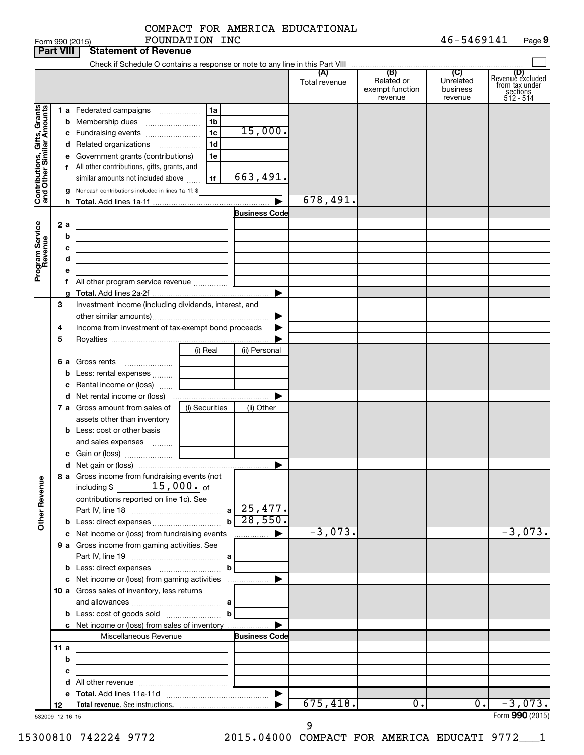COMPACT FOR AMERICA EDUCATIONAL FOUNDATION INC

|                                                           | <b>Part VIII</b> | <b>Statement of Revenue</b>                                                          |                |                       |                      |                                                 |                                                    |                                                                    |
|-----------------------------------------------------------|------------------|--------------------------------------------------------------------------------------|----------------|-----------------------|----------------------|-------------------------------------------------|----------------------------------------------------|--------------------------------------------------------------------|
|                                                           |                  |                                                                                      |                |                       |                      |                                                 |                                                    |                                                                    |
|                                                           |                  |                                                                                      |                |                       | (A)<br>Total revenue | (B)<br>Related or<br>exempt function<br>revenue | $\overline{C}$<br>Unrelated<br>business<br>revenue | (D)<br>Revenue excluded<br>from tax under<br>sections<br>512 - 514 |
|                                                           |                  | 1 a Federated campaigns                                                              | 1a             |                       |                      |                                                 |                                                    |                                                                    |
| Contributions, Gifts, Grants<br>and Other Similar Amounts |                  | <b>b</b> Membership dues                                                             | 1b             |                       |                      |                                                 |                                                    |                                                                    |
|                                                           |                  | c Fundraising events                                                                 | 1 <sub>c</sub> | 15,000.               |                      |                                                 |                                                    |                                                                    |
|                                                           |                  | d Related organizations<br>$\overline{\phantom{a}}$                                  | 1d             |                       |                      |                                                 |                                                    |                                                                    |
|                                                           |                  | e Government grants (contributions)<br>f All other contributions, gifts, grants, and | 1е             |                       |                      |                                                 |                                                    |                                                                    |
|                                                           |                  | similar amounts not included above                                                   | 1f             | 663,491.              |                      |                                                 |                                                    |                                                                    |
|                                                           |                  | g Noncash contributions included in lines 1a-1f: \$                                  |                |                       |                      |                                                 |                                                    |                                                                    |
|                                                           |                  |                                                                                      |                |                       | 678,491.             |                                                 |                                                    |                                                                    |
|                                                           |                  |                                                                                      |                | <b>Business Code</b>  |                      |                                                 |                                                    |                                                                    |
|                                                           | 2a               | <u> 1980 - Johann Barn, amerikansk politiker (</u>                                   |                |                       |                      |                                                 |                                                    |                                                                    |
| Program Service<br>Revenue                                | b                | the control of the control of the control of the control of the control of           |                |                       |                      |                                                 |                                                    |                                                                    |
|                                                           | c                | the contract of the contract of the contract of the contract of the contract of      |                |                       |                      |                                                 |                                                    |                                                                    |
|                                                           | d                | the control of the control of the control of the control of the control of           |                |                       |                      |                                                 |                                                    |                                                                    |
|                                                           |                  | All other program service revenue  [                                                 |                |                       |                      |                                                 |                                                    |                                                                    |
|                                                           |                  |                                                                                      |                | ▶                     |                      |                                                 |                                                    |                                                                    |
|                                                           | 3                | Investment income (including dividends, interest, and                                |                |                       |                      |                                                 |                                                    |                                                                    |
|                                                           |                  |                                                                                      |                |                       |                      |                                                 |                                                    |                                                                    |
|                                                           | 4                | Income from investment of tax-exempt bond proceeds                                   |                |                       |                      |                                                 |                                                    |                                                                    |
|                                                           | 5                |                                                                                      |                |                       |                      |                                                 |                                                    |                                                                    |
|                                                           |                  | 6 a Gross rents                                                                      | (i) Real       | (ii) Personal         |                      |                                                 |                                                    |                                                                    |
|                                                           |                  | <b>b</b> Less: rental expenses                                                       |                |                       |                      |                                                 |                                                    |                                                                    |
|                                                           |                  | c Rental income or (loss)                                                            |                |                       |                      |                                                 |                                                    |                                                                    |
|                                                           |                  |                                                                                      |                |                       |                      |                                                 |                                                    |                                                                    |
|                                                           |                  | 7 a Gross amount from sales of                                                       | (i) Securities | (ii) Other            |                      |                                                 |                                                    |                                                                    |
|                                                           |                  | assets other than inventory                                                          |                |                       |                      |                                                 |                                                    |                                                                    |
|                                                           |                  | <b>b</b> Less: cost or other basis                                                   |                |                       |                      |                                                 |                                                    |                                                                    |
|                                                           |                  | and sales expenses                                                                   |                |                       |                      |                                                 |                                                    |                                                                    |
|                                                           |                  |                                                                                      |                |                       |                      |                                                 |                                                    |                                                                    |
|                                                           |                  | 8 a Gross income from fundraising events (not                                        |                |                       |                      |                                                 |                                                    |                                                                    |
| <b>Other Revenue</b>                                      |                  | $15$ ,000. $_{\rm of}$<br>including \$                                               |                |                       |                      |                                                 |                                                    |                                                                    |
|                                                           |                  | contributions reported on line 1c). See                                              |                |                       |                      |                                                 |                                                    |                                                                    |
|                                                           |                  |                                                                                      |                | 25,477.               |                      |                                                 |                                                    |                                                                    |
|                                                           |                  |                                                                                      | $\mathbf{b}$   | 28,550.               |                      |                                                 |                                                    |                                                                    |
|                                                           |                  | c Net income or (loss) from fundraising events                                       |                |                       | $-3,073.$            |                                                 |                                                    | $-3,073.$                                                          |
|                                                           |                  | 9 a Gross income from gaming activities. See                                         |                |                       |                      |                                                 |                                                    |                                                                    |
|                                                           |                  |                                                                                      | b              |                       |                      |                                                 |                                                    |                                                                    |
|                                                           |                  | c Net income or (loss) from gaming activities                                        |                |                       |                      |                                                 |                                                    |                                                                    |
|                                                           |                  | 10 a Gross sales of inventory, less returns                                          |                |                       |                      |                                                 |                                                    |                                                                    |
|                                                           |                  |                                                                                      |                |                       |                      |                                                 |                                                    |                                                                    |
|                                                           |                  |                                                                                      |                |                       |                      |                                                 |                                                    |                                                                    |
|                                                           |                  | c Net income or (loss) from sales of inventory                                       |                |                       |                      |                                                 |                                                    |                                                                    |
|                                                           | 11 a             | Miscellaneous Revenue                                                                |                | <b>Business Code</b>  |                      |                                                 |                                                    |                                                                    |
|                                                           | b                | <u> 1989 - Johann Barbara, martxa alemaniar a</u>                                    |                |                       |                      |                                                 |                                                    |                                                                    |
|                                                           | с                | the control of the control of the control of the control of                          |                |                       |                      |                                                 |                                                    |                                                                    |
|                                                           |                  |                                                                                      |                |                       |                      |                                                 |                                                    |                                                                    |
|                                                           |                  |                                                                                      |                | $\blacktriangleright$ |                      |                                                 |                                                    |                                                                    |
|                                                           | 12               |                                                                                      |                |                       | 675,418.             | $\overline{0}$ .                                | 0.                                                 | $-3,073.$                                                          |
|                                                           | 532009 12-16-15  |                                                                                      |                |                       |                      |                                                 |                                                    | Form 990 (2015)                                                    |

9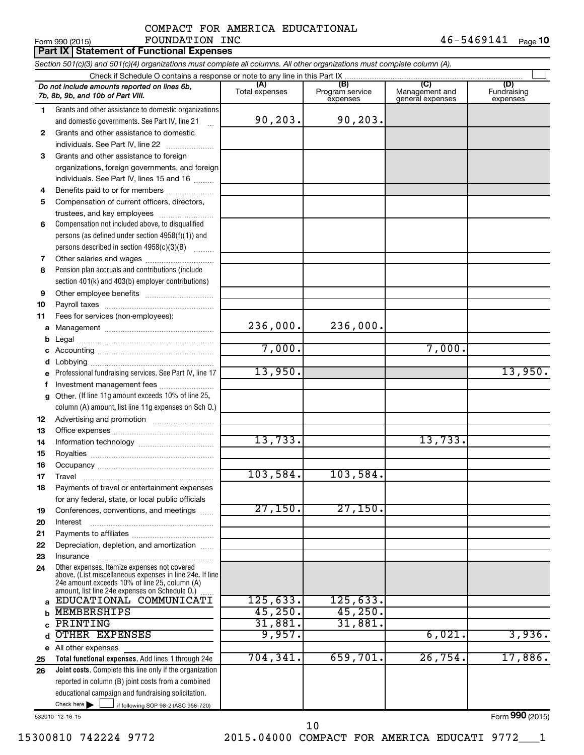|        | Part IX   Statement of Functional Expenses                                                                                 |                       |                                    |                                           |                                |  |  |  |  |
|--------|----------------------------------------------------------------------------------------------------------------------------|-----------------------|------------------------------------|-------------------------------------------|--------------------------------|--|--|--|--|
|        | Section 501(c)(3) and 501(c)(4) organizations must complete all columns. All other organizations must complete column (A). |                       |                                    |                                           |                                |  |  |  |  |
|        | Check if Schedule O contains a response or note to any line in this Part IX                                                |                       |                                    |                                           |                                |  |  |  |  |
|        | Do not include amounts reported on lines 6b,<br>7b, 8b, 9b, and 10b of Part VIII.                                          | (A)<br>Total expenses | (B)<br>Program service<br>expenses | (C)<br>Management and<br>general expenses | (D)<br>Fundraising<br>expenses |  |  |  |  |
| 1.     | Grants and other assistance to domestic organizations                                                                      |                       |                                    |                                           |                                |  |  |  |  |
|        | and domestic governments. See Part IV, line 21                                                                             | 90, 203.              | 90, 203.                           |                                           |                                |  |  |  |  |
| 2      | Grants and other assistance to domestic                                                                                    |                       |                                    |                                           |                                |  |  |  |  |
|        | individuals. See Part IV, line 22                                                                                          |                       |                                    |                                           |                                |  |  |  |  |
| 3      | Grants and other assistance to foreign                                                                                     |                       |                                    |                                           |                                |  |  |  |  |
|        | organizations, foreign governments, and foreign                                                                            |                       |                                    |                                           |                                |  |  |  |  |
|        | individuals. See Part IV, lines 15 and 16                                                                                  |                       |                                    |                                           |                                |  |  |  |  |
| 4      | Benefits paid to or for members                                                                                            |                       |                                    |                                           |                                |  |  |  |  |
| 5      | Compensation of current officers, directors,                                                                               |                       |                                    |                                           |                                |  |  |  |  |
|        | trustees, and key employees                                                                                                |                       |                                    |                                           |                                |  |  |  |  |
| 6      | Compensation not included above, to disqualified                                                                           |                       |                                    |                                           |                                |  |  |  |  |
|        | persons (as defined under section 4958(f)(1)) and                                                                          |                       |                                    |                                           |                                |  |  |  |  |
|        | persons described in section 4958(c)(3)(B)                                                                                 |                       |                                    |                                           |                                |  |  |  |  |
| 7      | Other salaries and wages                                                                                                   |                       |                                    |                                           |                                |  |  |  |  |
| 8      | Pension plan accruals and contributions (include                                                                           |                       |                                    |                                           |                                |  |  |  |  |
|        | section 401(k) and 403(b) employer contributions)                                                                          |                       |                                    |                                           |                                |  |  |  |  |
| 9      |                                                                                                                            |                       |                                    |                                           |                                |  |  |  |  |
| 10     |                                                                                                                            |                       |                                    |                                           |                                |  |  |  |  |
| 11     | Fees for services (non-employees):                                                                                         |                       |                                    |                                           |                                |  |  |  |  |
| а      |                                                                                                                            | 236,000.              | 236,000.                           |                                           |                                |  |  |  |  |
| b      |                                                                                                                            | 7,000.                |                                    | 7,000.                                    |                                |  |  |  |  |
| с      |                                                                                                                            |                       |                                    |                                           |                                |  |  |  |  |
| d      |                                                                                                                            | 13,950.               |                                    |                                           | 13,950.                        |  |  |  |  |
| e      | Professional fundraising services. See Part IV, line 17                                                                    |                       |                                    |                                           |                                |  |  |  |  |
| f      | Investment management fees<br>Other. (If line 11g amount exceeds 10% of line 25,                                           |                       |                                    |                                           |                                |  |  |  |  |
| g      | column (A) amount, list line 11g expenses on Sch O.)                                                                       |                       |                                    |                                           |                                |  |  |  |  |
| 12     |                                                                                                                            |                       |                                    |                                           |                                |  |  |  |  |
| 13     |                                                                                                                            |                       |                                    |                                           |                                |  |  |  |  |
| 14     |                                                                                                                            | 13,733.               |                                    | 13,733.                                   |                                |  |  |  |  |
| 15     |                                                                                                                            |                       |                                    |                                           |                                |  |  |  |  |
| 16     |                                                                                                                            |                       |                                    |                                           |                                |  |  |  |  |
| 17     | Travel                                                                                                                     | 103,584.              | $103,584$ .                        |                                           |                                |  |  |  |  |
| 18     | Payments of travel or entertainment expenses                                                                               |                       |                                    |                                           |                                |  |  |  |  |
|        | for any federal, state, or local public officials                                                                          |                       |                                    |                                           |                                |  |  |  |  |
| 19     | Conferences, conventions, and meetings                                                                                     | 27,150.               | 27,150.                            |                                           |                                |  |  |  |  |
| 20     | Interest                                                                                                                   |                       |                                    |                                           |                                |  |  |  |  |
| 21     |                                                                                                                            |                       |                                    |                                           |                                |  |  |  |  |
| 22     | Depreciation, depletion, and amortization                                                                                  |                       |                                    |                                           |                                |  |  |  |  |
| 23     | Insurance                                                                                                                  |                       |                                    |                                           |                                |  |  |  |  |
| 24     | Other expenses. Itemize expenses not covered<br>above. (List miscellaneous expenses in line 24e. If line                   |                       |                                    |                                           |                                |  |  |  |  |
|        | 24e amount exceeds 10% of line 25, column (A)                                                                              |                       |                                    |                                           |                                |  |  |  |  |
|        | amount, list line 24e expenses on Schedule O.) [<br>EDUCATIONAL COMMUNICATI                                                | 125,633.              | 125,633.                           |                                           |                                |  |  |  |  |
| a      | <b>MEMBERSHIPS</b>                                                                                                         | 45,250.               | 45,250.                            |                                           |                                |  |  |  |  |
| b      | PRINTING                                                                                                                   | 31,881.               | 31,881.                            |                                           |                                |  |  |  |  |
| C<br>d | OTHER EXPENSES                                                                                                             | 9,957.                |                                    | 6,021.                                    | 3,936.                         |  |  |  |  |
| е      | All other expenses                                                                                                         |                       |                                    |                                           |                                |  |  |  |  |
| 25     | Total functional expenses. Add lines 1 through 24e                                                                         | 704,341.              | 659,701.                           | 26,754.                                   | 17,886.                        |  |  |  |  |
| 26     | Joint costs. Complete this line only if the organization                                                                   |                       |                                    |                                           |                                |  |  |  |  |
|        | reported in column (B) joint costs from a combined                                                                         |                       |                                    |                                           |                                |  |  |  |  |
|        | educational campaign and fundraising solicitation.                                                                         |                       |                                    |                                           |                                |  |  |  |  |
|        | Check here $\blacktriangleright$<br>if following SOP 98-2 (ASC 958-720)                                                    |                       |                                    |                                           |                                |  |  |  |  |

532010 12-16-15

15300810 742224 9772 2015.04000 COMPACT FOR AMERICA EDUCATI 9772\_\_\_1 10

Form (2015) **990**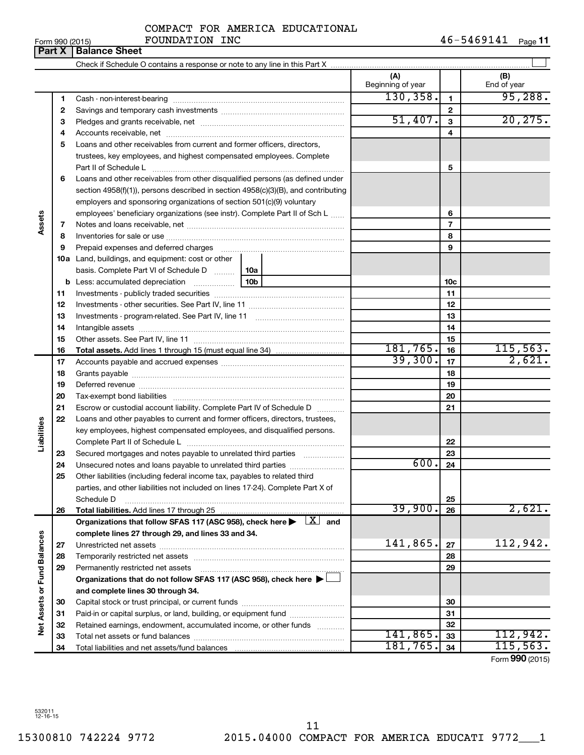COMPACT FOR AMERICA EDUCATIONAL FOUNDATION INC

 $\frac{1}{2}$ Form 990 (2015) Page Report of Providence Report of Page Report of Page Report of Page Report of Page Report of Page Report of Page Report of Page Report of Page Report of Page Report of Page Report of Page Repor 46-5469141 Page 11

|                             |          | <b>Part X   Balance Sheet</b>                                                                                                                                                                                                 |                          |                         |                       |
|-----------------------------|----------|-------------------------------------------------------------------------------------------------------------------------------------------------------------------------------------------------------------------------------|--------------------------|-------------------------|-----------------------|
|                             |          |                                                                                                                                                                                                                               |                          |                         |                       |
|                             |          |                                                                                                                                                                                                                               | (A)<br>Beginning of year |                         | (B)<br>End of year    |
|                             | 1        |                                                                                                                                                                                                                               | 130, 358.                | $\mathbf{1}$            | 95,288.               |
|                             | 2        |                                                                                                                                                                                                                               |                          | $\overline{2}$          |                       |
|                             | 3        |                                                                                                                                                                                                                               | 51,407.                  | 3                       | 20, 275.              |
|                             | 4        |                                                                                                                                                                                                                               |                          | $\overline{\mathbf{4}}$ |                       |
|                             | 5        | Loans and other receivables from current and former officers, directors,                                                                                                                                                      |                          |                         |                       |
|                             |          | trustees, key employees, and highest compensated employees. Complete                                                                                                                                                          |                          |                         |                       |
|                             |          |                                                                                                                                                                                                                               |                          | 5                       |                       |
|                             | 6        | Loans and other receivables from other disqualified persons (as defined under                                                                                                                                                 |                          |                         |                       |
|                             |          | section 4958(f)(1)), persons described in section 4958(c)(3)(B), and contributing                                                                                                                                             |                          |                         |                       |
|                             |          | employers and sponsoring organizations of section 501(c)(9) voluntary                                                                                                                                                         |                          |                         |                       |
|                             |          | employees' beneficiary organizations (see instr). Complete Part II of Sch L                                                                                                                                                   |                          | 6                       |                       |
| Assets                      | 7        |                                                                                                                                                                                                                               |                          | $\overline{7}$          |                       |
|                             | 8        |                                                                                                                                                                                                                               |                          | 8                       |                       |
|                             | 9        | Prepaid expenses and deferred charges [11] [11] prepaid expenses and deferred charges [11] [11] minimum and the Prepaid expension of Prepaid experiment and the Prepaid experiment and the Prepaid experiment and the Prepaid |                          | 9                       |                       |
|                             |          | <b>10a</b> Land, buildings, and equipment: cost or other                                                                                                                                                                      |                          |                         |                       |
|                             |          | basis. Complete Part VI of Schedule D  10a                                                                                                                                                                                    |                          |                         |                       |
|                             |          | $\frac{1}{2}$ 10b<br><b>b</b> Less: accumulated depreciation                                                                                                                                                                  |                          | 10c                     |                       |
|                             | 11       |                                                                                                                                                                                                                               |                          | 11                      |                       |
|                             | 12       |                                                                                                                                                                                                                               |                          | 12                      |                       |
|                             | 13       |                                                                                                                                                                                                                               |                          | 13                      |                       |
|                             | 14       |                                                                                                                                                                                                                               |                          | 14                      |                       |
|                             | 15       |                                                                                                                                                                                                                               |                          | 15                      |                       |
|                             | 16       |                                                                                                                                                                                                                               | 181,765.                 | 16                      | 115, 563.             |
|                             | 17       |                                                                                                                                                                                                                               | 39,300.                  | 17                      | 2,621.                |
|                             | 18       |                                                                                                                                                                                                                               |                          | 18                      |                       |
|                             | 19       |                                                                                                                                                                                                                               |                          | 19                      |                       |
|                             | 20       |                                                                                                                                                                                                                               |                          | 20                      |                       |
|                             | 21       | Escrow or custodial account liability. Complete Part IV of Schedule D                                                                                                                                                         |                          | 21                      |                       |
|                             | 22       | Loans and other payables to current and former officers, directors, trustees,                                                                                                                                                 |                          |                         |                       |
| Liabilities                 |          | key employees, highest compensated employees, and disqualified persons.                                                                                                                                                       |                          |                         |                       |
|                             |          |                                                                                                                                                                                                                               |                          | 22                      |                       |
|                             | 23       | Secured mortgages and notes payable to unrelated third parties                                                                                                                                                                |                          | 23                      |                       |
|                             | 24       | Unsecured notes and loans payable to unrelated third parties                                                                                                                                                                  | 600.                     | 24                      |                       |
|                             | 25       | Other liabilities (including federal income tax, payables to related third                                                                                                                                                    |                          |                         |                       |
|                             |          | parties, and other liabilities not included on lines 17-24). Complete Part X of                                                                                                                                               |                          |                         |                       |
|                             |          | Schedule D                                                                                                                                                                                                                    |                          | 25                      |                       |
|                             | 26       | Total liabilities. Add lines 17 through 25                                                                                                                                                                                    | 39,900.                  | 26                      | 2,621.                |
|                             |          | Organizations that follow SFAS 117 (ASC 958), check here $\blacktriangleright \begin{array}{c} \boxed{X} \\ \end{array}$ and                                                                                                  |                          |                         |                       |
|                             |          | complete lines 27 through 29, and lines 33 and 34.                                                                                                                                                                            | 141,865.                 |                         |                       |
|                             | 27       |                                                                                                                                                                                                                               |                          | 27                      | 112,942.              |
|                             | 28       | Temporarily restricted net assets                                                                                                                                                                                             |                          | 28                      |                       |
|                             | 29       | Permanently restricted net assets                                                                                                                                                                                             |                          | 29                      |                       |
|                             |          | Organizations that do not follow SFAS 117 (ASC 958), check here                                                                                                                                                               |                          |                         |                       |
|                             |          | and complete lines 30 through 34.                                                                                                                                                                                             |                          |                         |                       |
| Net Assets or Fund Balances | 30       |                                                                                                                                                                                                                               |                          | 30                      |                       |
|                             | 31       | Paid-in or capital surplus, or land, building, or equipment fund                                                                                                                                                              |                          | 31                      |                       |
|                             | 32       | Retained earnings, endowment, accumulated income, or other funds                                                                                                                                                              |                          | 32                      |                       |
|                             |          |                                                                                                                                                                                                                               |                          |                         |                       |
|                             | 33<br>34 |                                                                                                                                                                                                                               | 141,865.<br>181,765.     | 33<br>34                | 112,942.<br>115, 563. |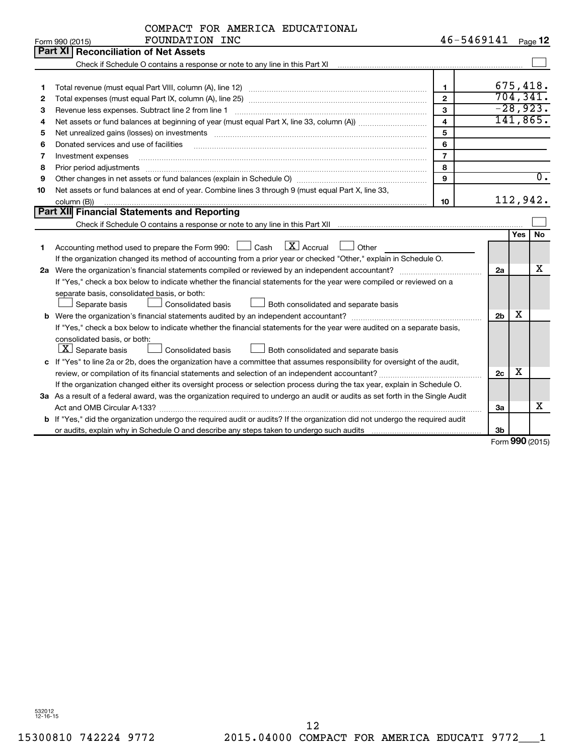|    | <b>Part XI Reconciliation of Net Assets</b>                                                                                          |                |                |            |                  |
|----|--------------------------------------------------------------------------------------------------------------------------------------|----------------|----------------|------------|------------------|
|    | Check if Schedule O contains a response or note to any line in this Part XI                                                          |                |                |            |                  |
|    |                                                                                                                                      |                |                |            |                  |
| 1  |                                                                                                                                      | $\mathbf{1}$   |                | 675,418.   |                  |
| 2  |                                                                                                                                      | $\mathbf{2}$   |                | 704, 341.  |                  |
| З  |                                                                                                                                      | $\mathbf{3}$   |                | $-28,923.$ |                  |
| 4  |                                                                                                                                      | $\overline{4}$ |                | 141,865.   |                  |
| 5  |                                                                                                                                      | 5              |                |            |                  |
| 6  | Donated services and use of facilities                                                                                               | 6              |                |            |                  |
| 7  | Investment expenses                                                                                                                  | $\overline{7}$ |                |            |                  |
| 8  | Prior period adjustments www.communication.communication.com/news/communication.com/news/communication.com/news/                     | 8              |                |            |                  |
| 9  |                                                                                                                                      | $\mathbf{Q}$   |                |            | $\overline{0}$ . |
| 10 | Net assets or fund balances at end of year. Combine lines 3 through 9 (must equal Part X, line 33,                                   |                |                |            |                  |
|    | column (B))                                                                                                                          | 10             |                | 112,942.   |                  |
|    | Part XII Financial Statements and Reporting                                                                                          |                |                |            |                  |
|    |                                                                                                                                      |                |                |            |                  |
|    |                                                                                                                                      |                |                | <b>Yes</b> | <b>No</b>        |
| 1  | $\boxed{\text{X}}$ Accrual<br>$\Box$ Cash<br>Other<br>Accounting method used to prepare the Form 990: [                              |                |                |            |                  |
|    | If the organization changed its method of accounting from a prior year or checked "Other," explain in Schedule O.                    |                |                |            |                  |
|    |                                                                                                                                      |                | 2a             |            | x                |
|    | If "Yes," check a box below to indicate whether the financial statements for the year were compiled or reviewed on a                 |                |                |            |                  |
|    | separate basis, consolidated basis, or both:                                                                                         |                |                |            |                  |
|    | Separate basis<br>Consolidated basis<br>$\Box$ Both consolidated and separate basis                                                  |                |                |            |                  |
|    |                                                                                                                                      |                | 2 <sub>b</sub> | х          |                  |
|    | If "Yes," check a box below to indicate whether the financial statements for the year were audited on a separate basis,              |                |                |            |                  |
|    | consolidated basis, or both:                                                                                                         |                |                |            |                  |
|    | $ \mathbf{X} $ Separate basis<br>Consolidated basis<br>Both consolidated and separate basis                                          |                |                |            |                  |
|    | c If "Yes" to line 2a or 2b, does the organization have a committee that assumes responsibility for oversight of the audit,          |                |                |            |                  |
|    | review, or compilation of its financial statements and selection of an independent accountant?                                       |                | 2 <sub>c</sub> | х          |                  |
|    | If the organization changed either its oversight process or selection process during the tax year, explain in Schedule O.            |                |                |            |                  |
|    | 3a As a result of a federal award, was the organization required to undergo an audit or audits as set forth in the Single Audit      |                |                |            |                  |
|    |                                                                                                                                      |                | За             |            | х                |
|    | <b>b</b> If "Yes," did the organization undergo the required audit or audits? If the organization did not undergo the required audit |                |                |            |                  |
|    |                                                                                                                                      |                | 3 <sub>b</sub> |            |                  |

Form (2015) **990**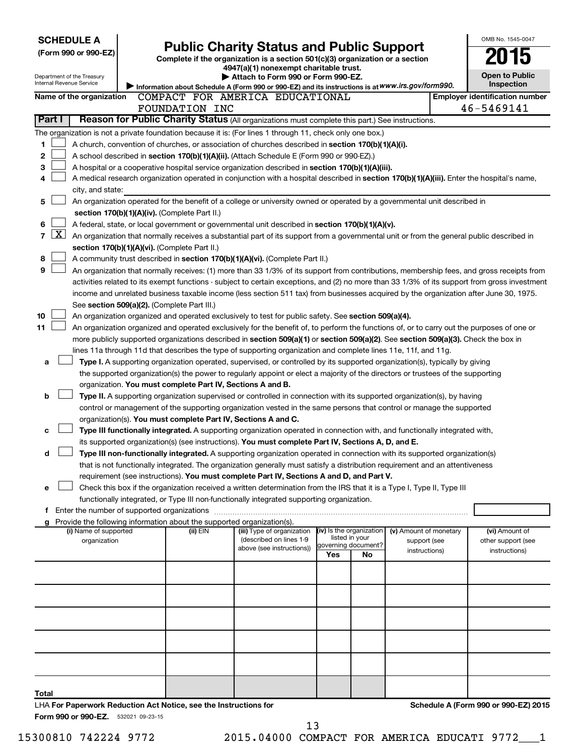| <b>SCHEDULE A</b>                                                        |                                                                                                                                         |                                                                                                                                                                                                                                                    |                          |                                       |                        |  | OMB No. 1545-0047                          |
|--------------------------------------------------------------------------|-----------------------------------------------------------------------------------------------------------------------------------------|----------------------------------------------------------------------------------------------------------------------------------------------------------------------------------------------------------------------------------------------------|--------------------------|---------------------------------------|------------------------|--|--------------------------------------------|
| (Form 990 or 990-EZ)                                                     |                                                                                                                                         | <b>Public Charity Status and Public Support</b><br>Complete if the organization is a section 501(c)(3) organization or a section                                                                                                                   |                          |                                       |                        |  |                                            |
|                                                                          |                                                                                                                                         | 4947(a)(1) nonexempt charitable trust.                                                                                                                                                                                                             |                          |                                       |                        |  |                                            |
| Department of the Treasury<br>Internal Revenue Service                   | Attach to Form 990 or Form 990-EZ.<br>Information about Schedule A (Form 990 or 990-EZ) and its instructions is at WWW.irs.gov/form990. |                                                                                                                                                                                                                                                    |                          |                                       |                        |  | <b>Open to Public</b><br><b>Inspection</b> |
| Name of the organization                                                 |                                                                                                                                         | COMPACT FOR AMERICA EDUCATIONAL                                                                                                                                                                                                                    |                          |                                       |                        |  | <b>Employer identification number</b>      |
|                                                                          | FOUNDATION INC                                                                                                                          |                                                                                                                                                                                                                                                    |                          |                                       |                        |  | 46-5469141                                 |
| Part I                                                                   |                                                                                                                                         | Reason for Public Charity Status (All organizations must complete this part.) See instructions.                                                                                                                                                    |                          |                                       |                        |  |                                            |
|                                                                          |                                                                                                                                         | The organization is not a private foundation because it is: (For lines 1 through 11, check only one box.)                                                                                                                                          |                          |                                       |                        |  |                                            |
| 1                                                                        |                                                                                                                                         | A church, convention of churches, or association of churches described in section 170(b)(1)(A)(i).                                                                                                                                                 |                          |                                       |                        |  |                                            |
| 2                                                                        |                                                                                                                                         | A school described in section 170(b)(1)(A)(ii). (Attach Schedule E (Form 990 or 990-EZ).)                                                                                                                                                          |                          |                                       |                        |  |                                            |
| 3                                                                        |                                                                                                                                         | A hospital or a cooperative hospital service organization described in section 170(b)(1)(A)(iii).                                                                                                                                                  |                          |                                       |                        |  |                                            |
| 4                                                                        |                                                                                                                                         | A medical research organization operated in conjunction with a hospital described in section 170(b)(1)(A)(iii). Enter the hospital's name,                                                                                                         |                          |                                       |                        |  |                                            |
| city, and state:                                                         |                                                                                                                                         |                                                                                                                                                                                                                                                    |                          |                                       |                        |  |                                            |
| 5                                                                        |                                                                                                                                         | An organization operated for the benefit of a college or university owned or operated by a governmental unit described in                                                                                                                          |                          |                                       |                        |  |                                            |
| 6                                                                        | section 170(b)(1)(A)(iv). (Complete Part II.)                                                                                           | A federal, state, or local government or governmental unit described in section 170(b)(1)(A)(v).                                                                                                                                                   |                          |                                       |                        |  |                                            |
| $\mathbf{X}$<br>7                                                        |                                                                                                                                         | An organization that normally receives a substantial part of its support from a governmental unit or from the general public described in                                                                                                          |                          |                                       |                        |  |                                            |
|                                                                          | section 170(b)(1)(A)(vi). (Complete Part II.)                                                                                           |                                                                                                                                                                                                                                                    |                          |                                       |                        |  |                                            |
| 8                                                                        |                                                                                                                                         | A community trust described in section 170(b)(1)(A)(vi). (Complete Part II.)                                                                                                                                                                       |                          |                                       |                        |  |                                            |
| 9                                                                        |                                                                                                                                         | An organization that normally receives: (1) more than 33 1/3% of its support from contributions, membership fees, and gross receipts from                                                                                                          |                          |                                       |                        |  |                                            |
|                                                                          |                                                                                                                                         | activities related to its exempt functions - subject to certain exceptions, and (2) no more than 33 1/3% of its support from gross investment                                                                                                      |                          |                                       |                        |  |                                            |
|                                                                          |                                                                                                                                         | income and unrelated business taxable income (less section 511 tax) from businesses acquired by the organization after June 30, 1975.                                                                                                              |                          |                                       |                        |  |                                            |
|                                                                          | See section 509(a)(2). (Complete Part III.)                                                                                             |                                                                                                                                                                                                                                                    |                          |                                       |                        |  |                                            |
| 10<br>11                                                                 |                                                                                                                                         | An organization organized and operated exclusively to test for public safety. See section 509(a)(4).<br>An organization organized and operated exclusively for the benefit of, to perform the functions of, or to carry out the purposes of one or |                          |                                       |                        |  |                                            |
|                                                                          |                                                                                                                                         | more publicly supported organizations described in section 509(a)(1) or section 509(a)(2). See section 509(a)(3). Check the box in                                                                                                                 |                          |                                       |                        |  |                                            |
|                                                                          |                                                                                                                                         | lines 11a through 11d that describes the type of supporting organization and complete lines 11e, 11f, and 11g.                                                                                                                                     |                          |                                       |                        |  |                                            |
| а                                                                        |                                                                                                                                         | Type I. A supporting organization operated, supervised, or controlled by its supported organization(s), typically by giving                                                                                                                        |                          |                                       |                        |  |                                            |
|                                                                          |                                                                                                                                         | the supported organization(s) the power to regularly appoint or elect a majority of the directors or trustees of the supporting                                                                                                                    |                          |                                       |                        |  |                                            |
|                                                                          | organization. You must complete Part IV, Sections A and B.                                                                              |                                                                                                                                                                                                                                                    |                          |                                       |                        |  |                                            |
| b                                                                        |                                                                                                                                         | Type II. A supporting organization supervised or controlled in connection with its supported organization(s), by having                                                                                                                            |                          |                                       |                        |  |                                            |
|                                                                          |                                                                                                                                         | control or management of the supporting organization vested in the same persons that control or manage the supported                                                                                                                               |                          |                                       |                        |  |                                            |
| с                                                                        |                                                                                                                                         | organization(s). You must complete Part IV, Sections A and C.<br>Type III functionally integrated. A supporting organization operated in connection with, and functionally integrated with,                                                        |                          |                                       |                        |  |                                            |
|                                                                          |                                                                                                                                         | its supported organization(s) (see instructions). You must complete Part IV, Sections A, D, and E.                                                                                                                                                 |                          |                                       |                        |  |                                            |
| d                                                                        |                                                                                                                                         | Type III non-functionally integrated. A supporting organization operated in connection with its supported organization(s)                                                                                                                          |                          |                                       |                        |  |                                            |
|                                                                          |                                                                                                                                         | that is not functionally integrated. The organization generally must satisfy a distribution requirement and an attentiveness                                                                                                                       |                          |                                       |                        |  |                                            |
|                                                                          |                                                                                                                                         | requirement (see instructions). You must complete Part IV, Sections A and D, and Part V.                                                                                                                                                           |                          |                                       |                        |  |                                            |
| е                                                                        |                                                                                                                                         | Check this box if the organization received a written determination from the IRS that it is a Type I, Type II, Type III                                                                                                                            |                          |                                       |                        |  |                                            |
|                                                                          |                                                                                                                                         | functionally integrated, or Type III non-functionally integrated supporting organization.                                                                                                                                                          |                          |                                       |                        |  |                                            |
| g Provide the following information about the supported organization(s). |                                                                                                                                         |                                                                                                                                                                                                                                                    |                          |                                       |                        |  |                                            |
| (i) Name of supported                                                    | (ii) EIN                                                                                                                                | (iii) Type of organization                                                                                                                                                                                                                         | (iv) Is the organization |                                       | (v) Amount of monetary |  | (vi) Amount of                             |
| organization                                                             |                                                                                                                                         | (described on lines 1-9<br>above (see instructions))                                                                                                                                                                                               |                          | listed in your<br>governing document? | support (see           |  | other support (see                         |
|                                                                          |                                                                                                                                         |                                                                                                                                                                                                                                                    | Yes                      | No                                    | instructions)          |  | instructions)                              |
|                                                                          |                                                                                                                                         |                                                                                                                                                                                                                                                    |                          |                                       |                        |  |                                            |
|                                                                          |                                                                                                                                         |                                                                                                                                                                                                                                                    |                          |                                       |                        |  |                                            |
|                                                                          |                                                                                                                                         |                                                                                                                                                                                                                                                    |                          |                                       |                        |  |                                            |
|                                                                          |                                                                                                                                         |                                                                                                                                                                                                                                                    |                          |                                       |                        |  |                                            |
|                                                                          |                                                                                                                                         |                                                                                                                                                                                                                                                    |                          |                                       |                        |  |                                            |
|                                                                          |                                                                                                                                         |                                                                                                                                                                                                                                                    |                          |                                       |                        |  |                                            |
|                                                                          |                                                                                                                                         |                                                                                                                                                                                                                                                    |                          |                                       |                        |  |                                            |
|                                                                          |                                                                                                                                         |                                                                                                                                                                                                                                                    |                          |                                       |                        |  |                                            |
|                                                                          |                                                                                                                                         |                                                                                                                                                                                                                                                    |                          |                                       |                        |  |                                            |
| Total                                                                    |                                                                                                                                         |                                                                                                                                                                                                                                                    |                          |                                       |                        |  |                                            |
| LHA For Paperwork Reduction Act Notice, see the Instructions for         |                                                                                                                                         |                                                                                                                                                                                                                                                    |                          |                                       |                        |  | Schedule A (Form 990 or 990-EZ) 2015       |
| Form 990 or 990-EZ. 532021 09-23-15                                      |                                                                                                                                         |                                                                                                                                                                                                                                                    |                          |                                       |                        |  |                                            |

15300810 742224 9772 2015.04000 COMPACT FOR AMERICA EDUCATI 9772\_\_\_1 13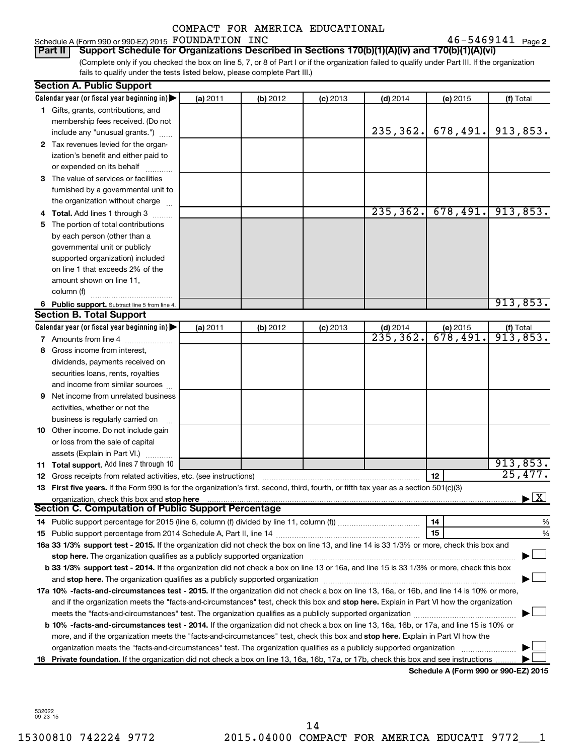Schedule A (Form 990 or 990-EZ) 2015  ${\rm \bf FOUNDATION}$   ${\rm \bf INC}$  and  ${\rm \bf A0}$  and  ${\rm \bf A0}$  and  ${\rm \bf A0}$  and  ${\rm \bf A0}$  and  ${\rm \bf A0}$  and  ${\rm \bf A0}$  and  ${\rm \bf A0}$  and  ${\rm \bf A0}$  and  ${\rm \bf A0}$  and  ${\rm \bf A0}$  and  ${\rm \bf A0}$  and  ${\rm \bf$ 

46-5469141 Page 2

(Complete only if you checked the box on line 5, 7, or 8 of Part I or if the organization failed to qualify under Part III. If the organization fails to qualify under the tests listed below, please complete Part III.) **Part II Support Schedule for Organizations Described in Sections 170(b)(1)(A)(iv) and 170(b)(1)(A)(vi)**

|    | <b>Section A. Public Support</b>                                                                                                                                                                                               |          |          |            |                      |                                      |                                    |
|----|--------------------------------------------------------------------------------------------------------------------------------------------------------------------------------------------------------------------------------|----------|----------|------------|----------------------|--------------------------------------|------------------------------------|
|    | Calendar year (or fiscal year beginning in)                                                                                                                                                                                    | (a) 2011 | (b) 2012 | $(c)$ 2013 | $(d)$ 2014           | (e) 2015                             | (f) Total                          |
|    | 1 Gifts, grants, contributions, and                                                                                                                                                                                            |          |          |            |                      |                                      |                                    |
|    | membership fees received. (Do not                                                                                                                                                                                              |          |          |            |                      |                                      |                                    |
|    | include any "unusual grants.")                                                                                                                                                                                                 |          |          |            | 235, 362.            | 678,491.                             | 913,853.                           |
|    | 2 Tax revenues levied for the organ-                                                                                                                                                                                           |          |          |            |                      |                                      |                                    |
|    | ization's benefit and either paid to                                                                                                                                                                                           |          |          |            |                      |                                      |                                    |
|    | or expended on its behalf                                                                                                                                                                                                      |          |          |            |                      |                                      |                                    |
|    | 3 The value of services or facilities                                                                                                                                                                                          |          |          |            |                      |                                      |                                    |
|    | furnished by a governmental unit to                                                                                                                                                                                            |          |          |            |                      |                                      |                                    |
|    | the organization without charge                                                                                                                                                                                                |          |          |            |                      |                                      |                                    |
|    | 4 Total. Add lines 1 through 3                                                                                                                                                                                                 |          |          |            | 235, 362.            | 678,491.                             | 913,853.                           |
|    | 5 The portion of total contributions                                                                                                                                                                                           |          |          |            |                      |                                      |                                    |
|    | by each person (other than a                                                                                                                                                                                                   |          |          |            |                      |                                      |                                    |
|    | governmental unit or publicly                                                                                                                                                                                                  |          |          |            |                      |                                      |                                    |
|    | supported organization) included                                                                                                                                                                                               |          |          |            |                      |                                      |                                    |
|    | on line 1 that exceeds 2% of the                                                                                                                                                                                               |          |          |            |                      |                                      |                                    |
|    | amount shown on line 11,                                                                                                                                                                                                       |          |          |            |                      |                                      |                                    |
|    | column (f)                                                                                                                                                                                                                     |          |          |            |                      |                                      |                                    |
|    | 6 Public support. Subtract line 5 from line 4.                                                                                                                                                                                 |          |          |            |                      |                                      | 913,853.                           |
|    | <b>Section B. Total Support</b>                                                                                                                                                                                                |          |          |            |                      |                                      |                                    |
|    | Calendar year (or fiscal year beginning in)                                                                                                                                                                                    | (a) 2011 | (b) 2012 | $(c)$ 2013 | $(d)$ 2014           | (e) 2015                             | $(f)$ Total 913, 853.              |
|    | 7 Amounts from line 4                                                                                                                                                                                                          |          |          |            | $\overline{235,362}$ | 678,491.                             |                                    |
|    | 8 Gross income from interest,                                                                                                                                                                                                  |          |          |            |                      |                                      |                                    |
|    | dividends, payments received on                                                                                                                                                                                                |          |          |            |                      |                                      |                                    |
|    | securities loans, rents, royalties                                                                                                                                                                                             |          |          |            |                      |                                      |                                    |
|    | and income from similar sources                                                                                                                                                                                                |          |          |            |                      |                                      |                                    |
| 9  | Net income from unrelated business                                                                                                                                                                                             |          |          |            |                      |                                      |                                    |
|    | activities, whether or not the                                                                                                                                                                                                 |          |          |            |                      |                                      |                                    |
|    | business is regularly carried on                                                                                                                                                                                               |          |          |            |                      |                                      |                                    |
|    | 10 Other income. Do not include gain                                                                                                                                                                                           |          |          |            |                      |                                      |                                    |
|    | or loss from the sale of capital                                                                                                                                                                                               |          |          |            |                      |                                      |                                    |
|    | assets (Explain in Part VI.)                                                                                                                                                                                                   |          |          |            |                      |                                      |                                    |
|    | 11 Total support. Add lines 7 through 10                                                                                                                                                                                       |          |          |            |                      |                                      | 913,853.<br>25,477.                |
|    | <b>12</b> Gross receipts from related activities, etc. (see instructions)                                                                                                                                                      |          |          |            |                      | 12                                   |                                    |
|    | 13 First five years. If the Form 990 is for the organization's first, second, third, fourth, or fifth tax year as a section 501(c)(3)                                                                                          |          |          |            |                      |                                      | $\blacktriangleright$ $\mathbf{X}$ |
|    | organization, check this box and stop here<br><b>Section C. Computation of Public Support Percentage</b>                                                                                                                       |          |          |            |                      |                                      |                                    |
|    |                                                                                                                                                                                                                                |          |          |            |                      | 14                                   | %                                  |
|    |                                                                                                                                                                                                                                |          |          |            |                      | 15                                   | %                                  |
|    | 16a 33 1/3% support test - 2015. If the organization did not check the box on line 13, and line 14 is 33 1/3% or more, check this box and                                                                                      |          |          |            |                      |                                      |                                    |
|    | stop here. The organization qualifies as a publicly supported organization manufactured content and the organization of the state of the state of the state of the state of the state of the state of the state of the state o |          |          |            |                      |                                      |                                    |
|    | b 33 1/3% support test - 2014. If the organization did not check a box on line 13 or 16a, and line 15 is 33 1/3% or more, check this box                                                                                       |          |          |            |                      |                                      |                                    |
|    |                                                                                                                                                                                                                                |          |          |            |                      |                                      |                                    |
|    | 17a 10% -facts-and-circumstances test - 2015. If the organization did not check a box on line 13, 16a, or 16b, and line 14 is 10% or more,                                                                                     |          |          |            |                      |                                      |                                    |
|    | and if the organization meets the "facts-and-circumstances" test, check this box and stop here. Explain in Part VI how the organization                                                                                        |          |          |            |                      |                                      |                                    |
|    | meets the "facts-and-circumstances" test. The organization qualifies as a publicly supported organization                                                                                                                      |          |          |            |                      |                                      |                                    |
|    | <b>b 10%</b> -facts-and-circumstances test - 2014. If the organization did not check a box on line 13, 16a, 16b, or 17a, and line 15 is 10% or                                                                                 |          |          |            |                      |                                      |                                    |
|    | more, and if the organization meets the "facts-and-circumstances" test, check this box and stop here. Explain in Part VI how the                                                                                               |          |          |            |                      |                                      |                                    |
|    | organization meets the "facts-and-circumstances" test. The organization qualifies as a publicly supported organization                                                                                                         |          |          |            |                      |                                      |                                    |
| 18 | Private foundation. If the organization did not check a box on line 13, 16a, 16b, 17a, or 17b, check this box and see instructions.                                                                                            |          |          |            |                      |                                      |                                    |
|    |                                                                                                                                                                                                                                |          |          |            |                      | Schedule A (Form 990 or 990-EZ) 2015 |                                    |

532022 09-23-15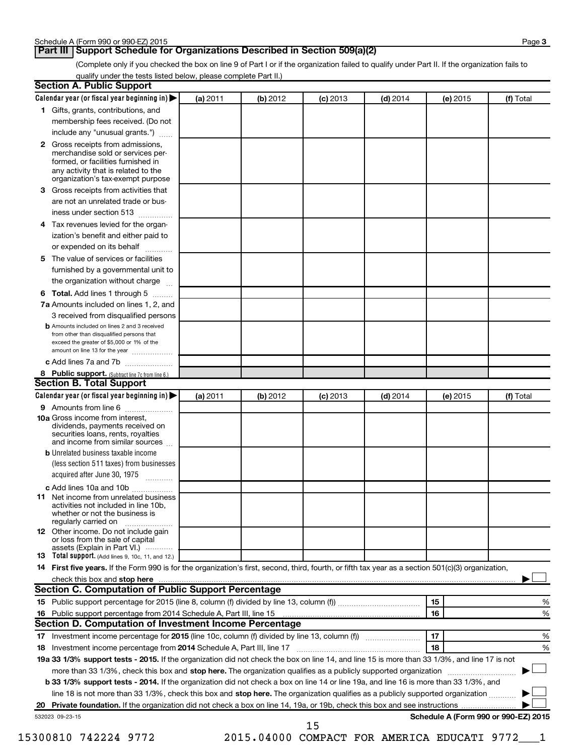#### **Part III Support Schedule for Organizations Described in Section 509(a)(2)**

(Complete only if you checked the box on line 9 of Part I or if the organization failed to qualify under Part II. If the organization fails to qualify under the tests listed below, please complete Part II.)

|    | 1 Gifts, grants, contributions, and                                                                                                                                                                                           |          |          |            |            |    |          |                                      |
|----|-------------------------------------------------------------------------------------------------------------------------------------------------------------------------------------------------------------------------------|----------|----------|------------|------------|----|----------|--------------------------------------|
|    |                                                                                                                                                                                                                               |          |          |            |            |    |          |                                      |
|    | membership fees received. (Do not                                                                                                                                                                                             |          |          |            |            |    |          |                                      |
|    | include any "unusual grants.")                                                                                                                                                                                                |          |          |            |            |    |          |                                      |
|    | 2 Gross receipts from admissions,<br>merchandise sold or services per-<br>formed, or facilities furnished in<br>any activity that is related to the                                                                           |          |          |            |            |    |          |                                      |
|    | organization's tax-exempt purpose                                                                                                                                                                                             |          |          |            |            |    |          |                                      |
| 3. | Gross receipts from activities that                                                                                                                                                                                           |          |          |            |            |    |          |                                      |
|    | are not an unrelated trade or bus-<br>iness under section 513                                                                                                                                                                 |          |          |            |            |    |          |                                      |
| 4  | Tax revenues levied for the organ-                                                                                                                                                                                            |          |          |            |            |    |          |                                      |
|    | ization's benefit and either paid to<br>or expended on its behalf<br>.                                                                                                                                                        |          |          |            |            |    |          |                                      |
| 5. | The value of services or facilities                                                                                                                                                                                           |          |          |            |            |    |          |                                      |
|    | furnished by a governmental unit to<br>the organization without charge                                                                                                                                                        |          |          |            |            |    |          |                                      |
| 6  | Total. Add lines 1 through 5                                                                                                                                                                                                  |          |          |            |            |    |          |                                      |
|    | 7a Amounts included on lines 1, 2, and                                                                                                                                                                                        |          |          |            |            |    |          |                                      |
|    | 3 received from disqualified persons                                                                                                                                                                                          |          |          |            |            |    |          |                                      |
|    | <b>b</b> Amounts included on lines 2 and 3 received                                                                                                                                                                           |          |          |            |            |    |          |                                      |
|    | from other than disqualified persons that<br>exceed the greater of \$5,000 or 1% of the<br>amount on line 13 for the year                                                                                                     |          |          |            |            |    |          |                                      |
|    | c Add lines 7a and 7b                                                                                                                                                                                                         |          |          |            |            |    |          |                                      |
|    | 8 Public support. (Subtract line 7c from line 6.)                                                                                                                                                                             |          |          |            |            |    |          |                                      |
|    | <b>Section B. Total Support</b>                                                                                                                                                                                               |          |          |            |            |    |          |                                      |
|    | Calendar year (or fiscal year beginning in)                                                                                                                                                                                   | (a) 2011 | (b) 2012 | $(c)$ 2013 | $(d)$ 2014 |    | (e) 2015 | (f) Total                            |
|    | 9 Amounts from line 6                                                                                                                                                                                                         |          |          |            |            |    |          |                                      |
|    | <b>10a</b> Gross income from interest,<br>dividends, payments received on<br>securities loans, rents, royalties<br>and income from similar sources                                                                            |          |          |            |            |    |          |                                      |
|    | <b>b</b> Unrelated business taxable income                                                                                                                                                                                    |          |          |            |            |    |          |                                      |
|    | (less section 511 taxes) from businesses<br>acquired after June 30, 1975                                                                                                                                                      |          |          |            |            |    |          |                                      |
|    | c Add lines 10a and 10b                                                                                                                                                                                                       |          |          |            |            |    |          |                                      |
| 11 | Net income from unrelated business<br>activities not included in line 10b.<br>whether or not the business is<br>regularly carried on                                                                                          |          |          |            |            |    |          |                                      |
|    | <b>12</b> Other income. Do not include gain<br>or loss from the sale of capital<br>assets (Explain in Part VI.)                                                                                                               |          |          |            |            |    |          |                                      |
|    | <b>13</b> Total support. (Add lines 9, 10c, 11, and 12.)                                                                                                                                                                      |          |          |            |            |    |          |                                      |
|    | 14 First five years. If the Form 990 is for the organization's first, second, third, fourth, or fifth tax year as a section 501(c)(3) organization,                                                                           |          |          |            |            |    |          |                                      |
|    | check this box and stop here manufactured and stop here and stop here are manufactured and stop here and stop here and stop here and stop here and stop here and stop here and stop here and stop here and stop here and stop |          |          |            |            |    |          |                                      |
|    | Section C. Computation of Public Support Percentage                                                                                                                                                                           |          |          |            |            |    |          |                                      |
|    |                                                                                                                                                                                                                               |          |          |            |            | 15 |          | %                                    |
|    |                                                                                                                                                                                                                               |          |          |            |            | 16 |          | %                                    |
|    | Section D. Computation of Investment Income Percentage                                                                                                                                                                        |          |          |            |            |    |          |                                      |
|    |                                                                                                                                                                                                                               |          |          |            |            | 17 |          | %                                    |
|    |                                                                                                                                                                                                                               |          |          |            |            | 18 |          | %                                    |
|    |                                                                                                                                                                                                                               |          |          |            |            |    |          |                                      |
|    | 19a 33 1/3% support tests - 2015. If the organization did not check the box on line 14, and line 15 is more than 33 1/3%, and line 17 is not                                                                                  |          |          |            |            |    |          |                                      |
|    | more than 33 1/3%, check this box and stop here. The organization qualifies as a publicly supported organization <i>marroummanness</i>                                                                                        |          |          |            |            |    |          |                                      |
|    | b 33 1/3% support tests - 2014. If the organization did not check a box on line 14 or line 19a, and line 16 is more than 33 1/3%, and                                                                                         |          |          |            |            |    |          |                                      |
|    |                                                                                                                                                                                                                               |          |          |            |            |    |          |                                      |
|    | line 18 is not more than 33 1/3%, check this box and stop here. The organization qualifies as a publicly supported organization                                                                                               |          |          |            |            |    |          |                                      |
|    | 532023 09-23-15                                                                                                                                                                                                               |          |          |            |            |    |          | Schedule A (Form 990 or 990-EZ) 2015 |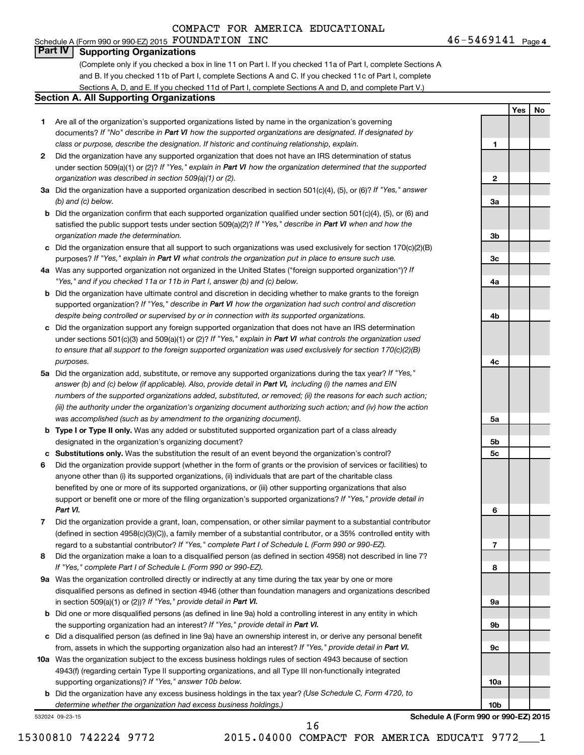#### Schedule A (Form 990 or 990-EZ) 2015  ${\rm \bf FOUNDATION}$   ${\rm \bf INC}$  and  ${\rm \bf A0}$  and  ${\rm \bf A0}$  and  ${\rm \bf A0}$  and  ${\rm \bf A0}$  and  ${\rm \bf A0}$  and  ${\rm \bf A0}$  and  ${\rm \bf A0}$  and  ${\rm \bf A0}$  and  ${\rm \bf A0}$  and  ${\rm \bf A0}$  and  ${\rm \bf A0}$  and  ${\rm \bf$ **Part IV Supporting Organizations**

(Complete only if you checked a box in line 11 on Part I. If you checked 11a of Part I, complete Sections A and B. If you checked 11b of Part I, complete Sections A and C. If you checked 11c of Part I, complete Sections A, D, and E. If you checked 11d of Part I, complete Sections A and D, and complete Part V.)

#### **Section A. All Supporting Organizations**

- **1** Are all of the organization's supported organizations listed by name in the organization's governing documents? If "No" describe in Part VI how the supported organizations are designated. If designated by *class or purpose, describe the designation. If historic and continuing relationship, explain.*
- **2** Did the organization have any supported organization that does not have an IRS determination of status under section 509(a)(1) or (2)? If "Yes," explain in Part VI how the organization determined that the supported *organization was described in section 509(a)(1) or (2).*
- **3a** Did the organization have a supported organization described in section 501(c)(4), (5), or (6)? If "Yes," answer *(b) and (c) below.*
- **b** Did the organization confirm that each supported organization qualified under section 501(c)(4), (5), or (6) and satisfied the public support tests under section 509(a)(2)? If "Yes," describe in Part VI when and how the *organization made the determination.*
- **c** Did the organization ensure that all support to such organizations was used exclusively for section 170(c)(2)(B) purposes? If "Yes," explain in Part VI what controls the organization put in place to ensure such use.
- **4 a** *If* Was any supported organization not organized in the United States ("foreign supported organization")? *"Yes," and if you checked 11a or 11b in Part I, answer (b) and (c) below.*
- **b** Did the organization have ultimate control and discretion in deciding whether to make grants to the foreign supported organization? If "Yes," describe in Part VI how the organization had such control and discretion *despite being controlled or supervised by or in connection with its supported organizations.*
- **c** Did the organization support any foreign supported organization that does not have an IRS determination under sections 501(c)(3) and 509(a)(1) or (2)? If "Yes," explain in Part VI what controls the organization used *to ensure that all support to the foreign supported organization was used exclusively for section 170(c)(2)(B) purposes.*
- **5a** Did the organization add, substitute, or remove any supported organizations during the tax year? If "Yes," answer (b) and (c) below (if applicable). Also, provide detail in Part VI, including (i) the names and EIN *numbers of the supported organizations added, substituted, or removed; (ii) the reasons for each such action; (iii) the authority under the organization's organizing document authorizing such action; and (iv) how the action was accomplished (such as by amendment to the organizing document).*
- **b** Type I or Type II only. Was any added or substituted supported organization part of a class already designated in the organization's organizing document?
- **c Substitutions only.**  Was the substitution the result of an event beyond the organization's control?
- **6** Did the organization provide support (whether in the form of grants or the provision of services or facilities) to support or benefit one or more of the filing organization's supported organizations? If "Yes," provide detail in anyone other than (i) its supported organizations, (ii) individuals that are part of the charitable class benefited by one or more of its supported organizations, or (iii) other supporting organizations that also *Part VI.*
- **7** Did the organization provide a grant, loan, compensation, or other similar payment to a substantial contributor regard to a substantial contributor? If "Yes," complete Part I of Schedule L (Form 990 or 990-EZ). (defined in section 4958(c)(3)(C)), a family member of a substantial contributor, or a 35% controlled entity with
- **8** Did the organization make a loan to a disqualified person (as defined in section 4958) not described in line 7? *If "Yes," complete Part I of Schedule L (Form 990 or 990-EZ).*
- **9 a** Was the organization controlled directly or indirectly at any time during the tax year by one or more in section 509(a)(1) or (2))? If "Yes," provide detail in Part VI. disqualified persons as defined in section 4946 (other than foundation managers and organizations described
- **b** Did one or more disqualified persons (as defined in line 9a) hold a controlling interest in any entity in which the supporting organization had an interest? If "Yes," provide detail in Part VI.
- **c** Did a disqualified person (as defined in line 9a) have an ownership interest in, or derive any personal benefit from, assets in which the supporting organization also had an interest? If "Yes," provide detail in Part VI.
- **10 a** Was the organization subject to the excess business holdings rules of section 4943 because of section supporting organizations)? If "Yes," answer 10b below. 4943(f) (regarding certain Type II supporting organizations, and all Type III non-functionally integrated
	- **b** Did the organization have any excess business holdings in the tax year? (Use Schedule C, Form 4720, to *determine whether the organization had excess business holdings.)*

532024 09-23-15



**Schedule A (Form 990 or 990-EZ) 2015**

15300810 742224 9772 2015.04000 COMPACT FOR AMERICA EDUCATI 9772\_\_\_1 16

**1**

**2**

**Yes No**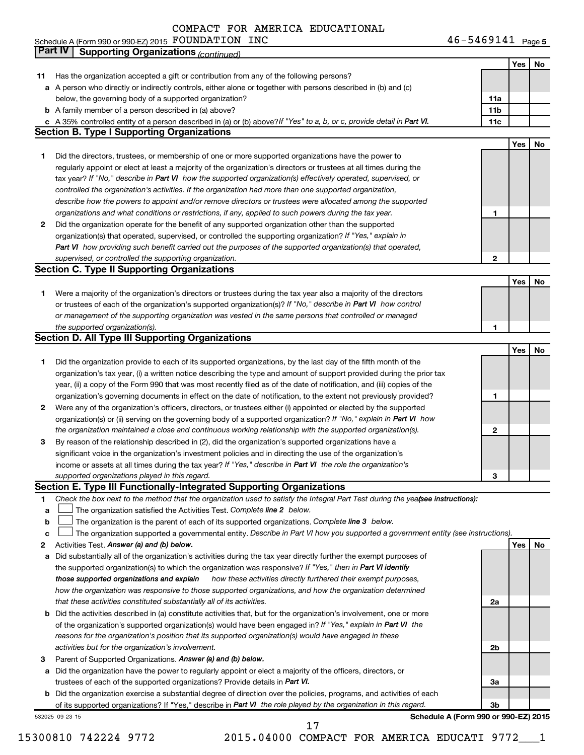|              | Schedule A (Form 990 or 990-EZ) 2015 FOUNDATION INC                                                                             | 46-5469141 Page 5 |     |    |
|--------------|---------------------------------------------------------------------------------------------------------------------------------|-------------------|-----|----|
|              | <b>Part IV</b><br><b>Supporting Organizations (continued)</b>                                                                   |                   |     |    |
|              |                                                                                                                                 |                   | Yes | No |
| 11           | Has the organization accepted a gift or contribution from any of the following persons?                                         |                   |     |    |
|              | a A person who directly or indirectly controls, either alone or together with persons described in (b) and (c)                  |                   |     |    |
|              | below, the governing body of a supported organization?                                                                          | 11a               |     |    |
|              | <b>b</b> A family member of a person described in (a) above?                                                                    | 11b               |     |    |
|              | c A 35% controlled entity of a person described in (a) or (b) above? If "Yes" to a, b, or c, provide detail in Part VI.         | 11c               |     |    |
|              | <b>Section B. Type I Supporting Organizations</b>                                                                               |                   |     |    |
|              |                                                                                                                                 |                   | Yes | No |
| 1.           | Did the directors, trustees, or membership of one or more supported organizations have the power to                             |                   |     |    |
|              | regularly appoint or elect at least a majority of the organization's directors or trustees at all times during the              |                   |     |    |
|              | tax year? If "No," describe in Part VI how the supported organization(s) effectively operated, supervised, or                   |                   |     |    |
|              | controlled the organization's activities. If the organization had more than one supported organization,                         |                   |     |    |
|              | describe how the powers to appoint and/or remove directors or trustees were allocated among the supported                       |                   |     |    |
|              | organizations and what conditions or restrictions, if any, applied to such powers during the tax year.                          | 1                 |     |    |
| 2            | Did the organization operate for the benefit of any supported organization other than the supported                             |                   |     |    |
|              | organization(s) that operated, supervised, or controlled the supporting organization? If "Yes," explain in                      |                   |     |    |
|              | Part VI how providing such benefit carried out the purposes of the supported organization(s) that operated,                     |                   |     |    |
|              | supervised, or controlled the supporting organization.                                                                          | $\mathbf{2}$      |     |    |
|              | <b>Section C. Type II Supporting Organizations</b>                                                                              |                   |     |    |
|              |                                                                                                                                 |                   | Yes | No |
| 1.           | Were a majority of the organization's directors or trustees during the tax year also a majority of the directors                |                   |     |    |
|              | or trustees of each of the organization's supported organization(s)? If "No," describe in Part VI how control                   |                   |     |    |
|              | or management of the supporting organization was vested in the same persons that controlled or managed                          |                   |     |    |
|              | the supported organization(s).                                                                                                  | 1                 |     |    |
|              | <b>Section D. All Type III Supporting Organizations</b>                                                                         |                   |     |    |
|              |                                                                                                                                 |                   | Yes | No |
| 1.           | Did the organization provide to each of its supported organizations, by the last day of the fifth month of the                  |                   |     |    |
|              | organization's tax year, (i) a written notice describing the type and amount of support provided during the prior tax           |                   |     |    |
|              | year, (ii) a copy of the Form 990 that was most recently filed as of the date of notification, and (iii) copies of the          |                   |     |    |
|              | organization's governing documents in effect on the date of notification, to the extent not previously provided?                | 1                 |     |    |
| $\mathbf{2}$ | Were any of the organization's officers, directors, or trustees either (i) appointed or elected by the supported                |                   |     |    |
|              | organization(s) or (ii) serving on the governing body of a supported organization? If "No," explain in Part VI how              |                   |     |    |
|              | the organization maintained a close and continuous working relationship with the supported organization(s).                     | 2                 |     |    |
| 3            | By reason of the relationship described in (2), did the organization's supported organizations have a                           |                   |     |    |
|              | significant voice in the organization's investment policies and in directing the use of the organization's                      |                   |     |    |
|              | income or assets at all times during the tax year? If "Yes," describe in Part VI the role the organization's                    |                   |     |    |
|              | supported organizations played in this regard.                                                                                  | 3                 |     |    |
|              | Section E. Type III Functionally-Integrated Supporting Organizations                                                            |                   |     |    |
| 1.           | Check the box next to the method that the organization used to satisfy the Integral Part Test during the yea(see instructions): |                   |     |    |
| a            | The organization satisfied the Activities Test. Complete line 2 below.                                                          |                   |     |    |
| b            | The organization is the parent of each of its supported organizations. Complete line 3 below.                                   |                   |     |    |
| c            | The organization supported a governmental entity. Describe in Part VI how you supported a government entity (see instructions). |                   |     |    |
| 2            | Activities Test. Answer (a) and (b) below.                                                                                      |                   | Yes | No |
| а            | Did substantially all of the organization's activities during the tax year directly further the exempt purposes of              |                   |     |    |
|              | the supported organization(s) to which the organization was responsive? If "Yes," then in Part VI identify                      |                   |     |    |
|              | those supported organizations and explain<br>how these activities directly furthered their exempt purposes,                     |                   |     |    |
|              | how the organization was responsive to those supported organizations, and how the organization determined                       |                   |     |    |
|              | that these activities constituted substantially all of its activities.                                                          | 2a                |     |    |
| b            | Did the activities described in (a) constitute activities that, but for the organization's involvement, one or more             |                   |     |    |
|              | of the organization's supported organization(s) would have been engaged in? If "Yes," explain in Part VI the                    |                   |     |    |
|              | reasons for the organization's position that its supported organization(s) would have engaged in these                          |                   |     |    |
|              | activities but for the organization's involvement.                                                                              | 2b                |     |    |
| 3            | Parent of Supported Organizations. Answer (a) and (b) below.                                                                    |                   |     |    |
| а            | Did the organization have the power to regularly appoint or elect a majority of the officers, directors, or                     |                   |     |    |
|              | trustees of each of the supported organizations? Provide details in Part VI.                                                    | За                |     |    |

**b** Did the organization exercise a substantial degree of direction over the policies, programs, and activities of each of its supported organizations? If "Yes," describe in Part VI the role played by the organization in this regard.

17

532025 09-23-15

I

**Schedule A (Form 990 or 990-EZ) 2015**

**3b**

15300810 742224 9772 2015.04000 COMPACT FOR AMERICA EDUCATI 9772\_\_\_1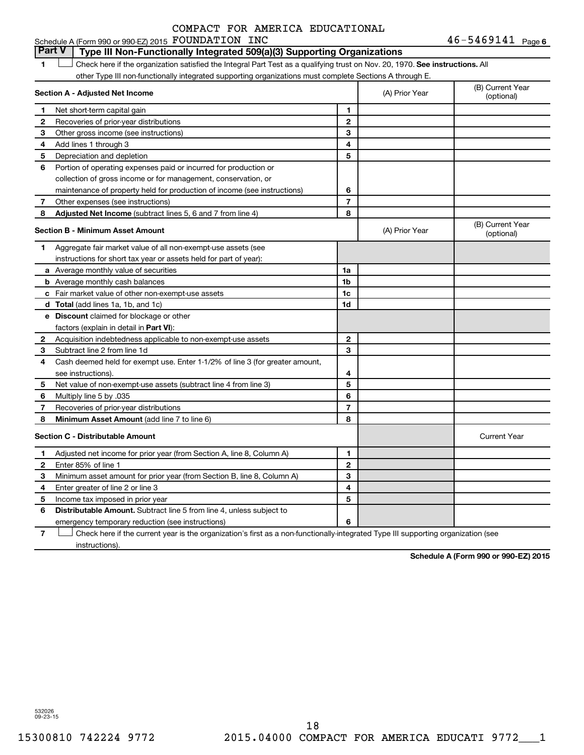#### 1 **Letter on Reck here if the organization satisfied the Integral Part Test as a qualifying trust on Nov. 20, 1970. See instructions. All Part V Type III Non-Functionally Integrated 509(a)(3) Supporting Organizations**

other Type III non-functionally integrated supporting organizations must complete Sections A through E.

|              | Section A - Adjusted Net Income                                                                                    | (A) Prior Year | (B) Current Year<br>(optional) |                                |
|--------------|--------------------------------------------------------------------------------------------------------------------|----------------|--------------------------------|--------------------------------|
| 1            | Net short-term capital gain                                                                                        | 1              |                                |                                |
| 2            | Recoveries of prior-year distributions                                                                             | $\mathbf{2}$   |                                |                                |
| 3            | Other gross income (see instructions)                                                                              | 3              |                                |                                |
| 4            | Add lines 1 through 3                                                                                              | 4              |                                |                                |
| 5            | Depreciation and depletion                                                                                         | 5              |                                |                                |
| 6            | Portion of operating expenses paid or incurred for production or                                                   |                |                                |                                |
|              | collection of gross income or for management, conservation, or                                                     |                |                                |                                |
|              | maintenance of property held for production of income (see instructions)                                           | 6              |                                |                                |
| 7            | Other expenses (see instructions)                                                                                  | $\overline{7}$ |                                |                                |
| 8            | Adjusted Net Income (subtract lines 5, 6 and 7 from line 4)                                                        | 8              |                                |                                |
|              | <b>Section B - Minimum Asset Amount</b>                                                                            |                | (A) Prior Year                 | (B) Current Year<br>(optional) |
| 1            | Aggregate fair market value of all non-exempt-use assets (see                                                      |                |                                |                                |
|              | instructions for short tax year or assets held for part of year):                                                  |                |                                |                                |
|              | a Average monthly value of securities                                                                              | 1a             |                                |                                |
|              | <b>b</b> Average monthly cash balances                                                                             | 1b             |                                |                                |
|              | <b>c</b> Fair market value of other non-exempt-use assets                                                          | 1c             |                                |                                |
|              | d Total (add lines 1a, 1b, and 1c)                                                                                 | 1d             |                                |                                |
|              | e Discount claimed for blockage or other                                                                           |                |                                |                                |
|              | factors (explain in detail in <b>Part VI</b> ):                                                                    |                |                                |                                |
| $\mathbf{2}$ | Acquisition indebtedness applicable to non-exempt-use assets                                                       | $\mathbf{2}$   |                                |                                |
| З            | Subtract line 2 from line 1d                                                                                       | 3              |                                |                                |
| 4            | Cash deemed held for exempt use. Enter 1-1/2% of line 3 (for greater amount,                                       |                |                                |                                |
|              | see instructions).                                                                                                 | 4              |                                |                                |
| 5            | Net value of non-exempt-use assets (subtract line 4 from line 3)                                                   | 5              |                                |                                |
| 6            | 035. Multiply line 5 by                                                                                            | 6              |                                |                                |
| 7            | Recoveries of prior-year distributions                                                                             | $\overline{7}$ |                                |                                |
| 8            | Minimum Asset Amount (add line 7 to line 6)                                                                        | 8              |                                |                                |
|              | <b>Section C - Distributable Amount</b>                                                                            |                |                                | <b>Current Year</b>            |
| 1            | Adjusted net income for prior year (from Section A, line 8, Column A)                                              | 1              |                                |                                |
| $\mathbf{2}$ | Enter 85% of line 1                                                                                                | $\mathbf{2}$   |                                |                                |
| З            | Minimum asset amount for prior year (from Section B, line 8, Column A)                                             | 3              |                                |                                |
| 4            | Enter greater of line 2 or line 3                                                                                  | 4              |                                |                                |
| 5            | Income tax imposed in prior year                                                                                   | 5              |                                |                                |
| 6            | <b>Distributable Amount.</b> Subtract line 5 from line 4, unless subject to                                        |                |                                |                                |
|              | emergency temporary reduction (see instructions)                                                                   | 6              |                                |                                |
| ۰.           | يبمبان الصا<br>$\mathbf{r}$ , $\mathbf{r}$ , $\mathbf{r}$ , $\mathbf{r}$ , $\mathbf{r}$ , $\mathbf{r}$<br>$\cdots$ |                |                                |                                |

**7** Check here if the current year is the organization's first as a non-functionally-integrated Type III supporting organization (see † instructions).

**Schedule A (Form 990 or 990-EZ) 2015**

532026 09-23-15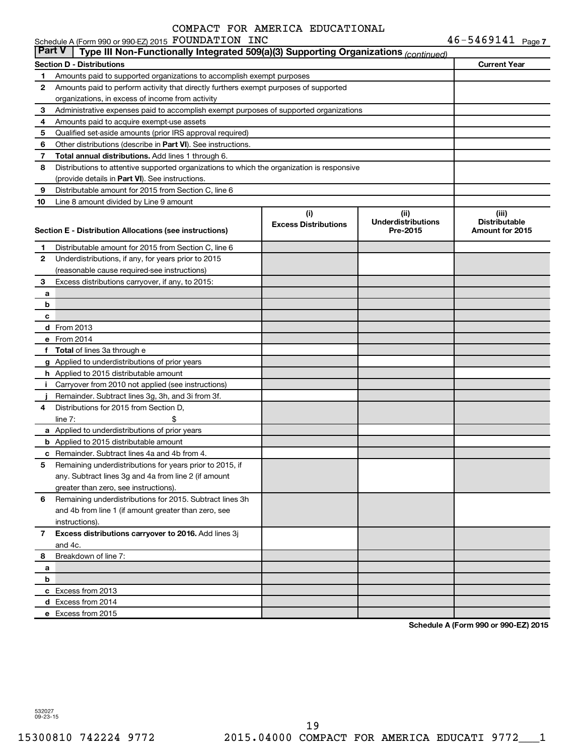|                | Schedule A (Form 990 or 990-EZ) 2015 FOUNDATION INC                                        |                             |                           | $46 - 5469141$ Page 7 |
|----------------|--------------------------------------------------------------------------------------------|-----------------------------|---------------------------|-----------------------|
| <b>Part V</b>  | Type III Non-Functionally Integrated 509(a)(3) Supporting Organizations (continued)        |                             |                           |                       |
|                | <b>Section D - Distributions</b>                                                           |                             |                           | <b>Current Year</b>   |
| 1              | Amounts paid to supported organizations to accomplish exempt purposes                      |                             |                           |                       |
| 2              | Amounts paid to perform activity that directly furthers exempt purposes of supported       |                             |                           |                       |
|                | organizations, in excess of income from activity                                           |                             |                           |                       |
| 3              | Administrative expenses paid to accomplish exempt purposes of supported organizations      |                             |                           |                       |
| 4              | Amounts paid to acquire exempt-use assets                                                  |                             |                           |                       |
| 5              | Qualified set-aside amounts (prior IRS approval required)                                  |                             |                           |                       |
| 6              | Other distributions (describe in <b>Part VI</b> ). See instructions.                       |                             |                           |                       |
| 7              | Total annual distributions. Add lines 1 through 6.                                         |                             |                           |                       |
| 8              | Distributions to attentive supported organizations to which the organization is responsive |                             |                           |                       |
|                | (provide details in Part VI). See instructions.                                            |                             |                           |                       |
| 9              | Distributable amount for 2015 from Section C, line 6                                       |                             |                           |                       |
| 10             | Line 8 amount divided by Line 9 amount                                                     |                             |                           |                       |
|                |                                                                                            | (i)                         | (ii)                      | (iii)                 |
|                |                                                                                            | <b>Excess Distributions</b> | <b>Underdistributions</b> | <b>Distributable</b>  |
|                | Section E - Distribution Allocations (see instructions)                                    |                             | Pre-2015                  | Amount for 2015       |
| 1              | Distributable amount for 2015 from Section C, line 6                                       |                             |                           |                       |
| 2              | Underdistributions, if any, for years prior to 2015                                        |                             |                           |                       |
|                | (reasonable cause required-see instructions)                                               |                             |                           |                       |
| 3              | Excess distributions carryover, if any, to 2015:                                           |                             |                           |                       |
| a              |                                                                                            |                             |                           |                       |
| b              |                                                                                            |                             |                           |                       |
| c              |                                                                                            |                             |                           |                       |
|                | d From 2013                                                                                |                             |                           |                       |
|                | e From 2014                                                                                |                             |                           |                       |
|                | f Total of lines 3a through e                                                              |                             |                           |                       |
|                | g Applied to underdistributions of prior years                                             |                             |                           |                       |
|                | h Applied to 2015 distributable amount                                                     |                             |                           |                       |
| Ť.             | Carryover from 2010 not applied (see instructions)                                         |                             |                           |                       |
|                | Remainder. Subtract lines 3g, 3h, and 3i from 3f.                                          |                             |                           |                       |
| 4              | Distributions for 2015 from Section D,                                                     |                             |                           |                       |
|                | line $7:$                                                                                  |                             |                           |                       |
|                | a Applied to underdistributions of prior years                                             |                             |                           |                       |
|                | <b>b</b> Applied to 2015 distributable amount                                              |                             |                           |                       |
|                | c Remainder. Subtract lines 4a and 4b from 4.                                              |                             |                           |                       |
|                | 5 Remaining underdistributions for years prior to 2015, if                                 |                             |                           |                       |
|                | any. Subtract lines 3q and 4a from line 2 (if amount                                       |                             |                           |                       |
|                | greater than zero, see instructions).                                                      |                             |                           |                       |
| 6              | Remaining underdistributions for 2015. Subtract lines 3h                                   |                             |                           |                       |
|                | and 4b from line 1 (if amount greater than zero, see                                       |                             |                           |                       |
|                | instructions).                                                                             |                             |                           |                       |
| $\overline{7}$ | Excess distributions carryover to 2016. Add lines 3j                                       |                             |                           |                       |
|                | and 4c.                                                                                    |                             |                           |                       |
| 8              | Breakdown of line 7:                                                                       |                             |                           |                       |
| а              |                                                                                            |                             |                           |                       |
| b              |                                                                                            |                             |                           |                       |
|                | c Excess from 2013                                                                         |                             |                           |                       |
|                | d Excess from 2014                                                                         |                             |                           |                       |
|                | e Excess from 2015                                                                         |                             |                           |                       |
|                |                                                                                            |                             |                           |                       |

**Schedule A (Form 990 or 990-EZ) 2015**

532027 09-23-15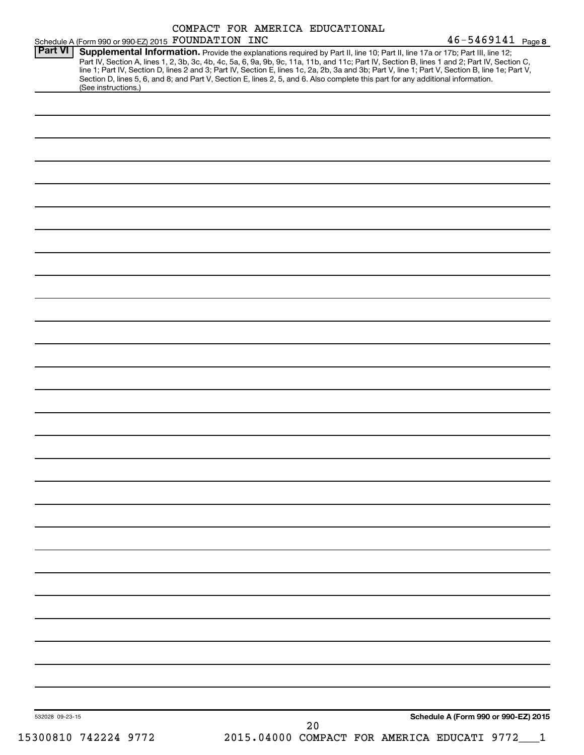|                 | Schedule A (Form 990 or 990 EZ) 2015 FOUNDATION INC                                                                                                                                                                                                                                                                                                                                                                                                                                                                                                                                        |  |    |  | 46-5469141 Page 8                    |  |
|-----------------|--------------------------------------------------------------------------------------------------------------------------------------------------------------------------------------------------------------------------------------------------------------------------------------------------------------------------------------------------------------------------------------------------------------------------------------------------------------------------------------------------------------------------------------------------------------------------------------------|--|----|--|--------------------------------------|--|
| <b>Part VI</b>  | Supplemental Information. Provide the explanations required by Part II, line 10; Part II, line 17a or 17b; Part III, line 12;<br>Part IV, Section A, lines 1, 2, 3b, 3c, 4b, 4c, 5a, 6, 9a, 9b, 9c, 11a, 11b, and 11c; Part IV, Section B, lines 1 and 2; Part IV, Section C,<br>line 1; Part IV, Section D, lines 2 and 3; Part IV, Section E, lines 1c, 2a, 2b, 3a and 3b; Part V, line 1; Part V, Section B, line 1e; Part V,<br>Section D, lines 5, 6, and 8; and Part V, Section E, lines 2, 5, and 6. Also complete this part for any additional information.<br>(See instructions.) |  |    |  |                                      |  |
|                 |                                                                                                                                                                                                                                                                                                                                                                                                                                                                                                                                                                                            |  |    |  |                                      |  |
|                 |                                                                                                                                                                                                                                                                                                                                                                                                                                                                                                                                                                                            |  |    |  |                                      |  |
|                 |                                                                                                                                                                                                                                                                                                                                                                                                                                                                                                                                                                                            |  |    |  |                                      |  |
|                 |                                                                                                                                                                                                                                                                                                                                                                                                                                                                                                                                                                                            |  |    |  |                                      |  |
|                 |                                                                                                                                                                                                                                                                                                                                                                                                                                                                                                                                                                                            |  |    |  |                                      |  |
|                 |                                                                                                                                                                                                                                                                                                                                                                                                                                                                                                                                                                                            |  |    |  |                                      |  |
|                 |                                                                                                                                                                                                                                                                                                                                                                                                                                                                                                                                                                                            |  |    |  |                                      |  |
|                 |                                                                                                                                                                                                                                                                                                                                                                                                                                                                                                                                                                                            |  |    |  |                                      |  |
|                 |                                                                                                                                                                                                                                                                                                                                                                                                                                                                                                                                                                                            |  |    |  |                                      |  |
|                 |                                                                                                                                                                                                                                                                                                                                                                                                                                                                                                                                                                                            |  |    |  |                                      |  |
|                 |                                                                                                                                                                                                                                                                                                                                                                                                                                                                                                                                                                                            |  |    |  |                                      |  |
|                 |                                                                                                                                                                                                                                                                                                                                                                                                                                                                                                                                                                                            |  |    |  |                                      |  |
|                 |                                                                                                                                                                                                                                                                                                                                                                                                                                                                                                                                                                                            |  |    |  |                                      |  |
|                 |                                                                                                                                                                                                                                                                                                                                                                                                                                                                                                                                                                                            |  |    |  |                                      |  |
|                 |                                                                                                                                                                                                                                                                                                                                                                                                                                                                                                                                                                                            |  |    |  |                                      |  |
|                 |                                                                                                                                                                                                                                                                                                                                                                                                                                                                                                                                                                                            |  |    |  |                                      |  |
|                 |                                                                                                                                                                                                                                                                                                                                                                                                                                                                                                                                                                                            |  |    |  |                                      |  |
|                 |                                                                                                                                                                                                                                                                                                                                                                                                                                                                                                                                                                                            |  |    |  |                                      |  |
|                 |                                                                                                                                                                                                                                                                                                                                                                                                                                                                                                                                                                                            |  |    |  |                                      |  |
|                 |                                                                                                                                                                                                                                                                                                                                                                                                                                                                                                                                                                                            |  |    |  |                                      |  |
|                 |                                                                                                                                                                                                                                                                                                                                                                                                                                                                                                                                                                                            |  |    |  |                                      |  |
|                 |                                                                                                                                                                                                                                                                                                                                                                                                                                                                                                                                                                                            |  |    |  |                                      |  |
|                 |                                                                                                                                                                                                                                                                                                                                                                                                                                                                                                                                                                                            |  |    |  |                                      |  |
|                 |                                                                                                                                                                                                                                                                                                                                                                                                                                                                                                                                                                                            |  |    |  |                                      |  |
|                 |                                                                                                                                                                                                                                                                                                                                                                                                                                                                                                                                                                                            |  |    |  |                                      |  |
|                 |                                                                                                                                                                                                                                                                                                                                                                                                                                                                                                                                                                                            |  |    |  |                                      |  |
|                 |                                                                                                                                                                                                                                                                                                                                                                                                                                                                                                                                                                                            |  |    |  |                                      |  |
|                 |                                                                                                                                                                                                                                                                                                                                                                                                                                                                                                                                                                                            |  |    |  |                                      |  |
| 532028 09-23-15 |                                                                                                                                                                                                                                                                                                                                                                                                                                                                                                                                                                                            |  | 20 |  | Schedule A (Form 990 or 990-EZ) 2015 |  |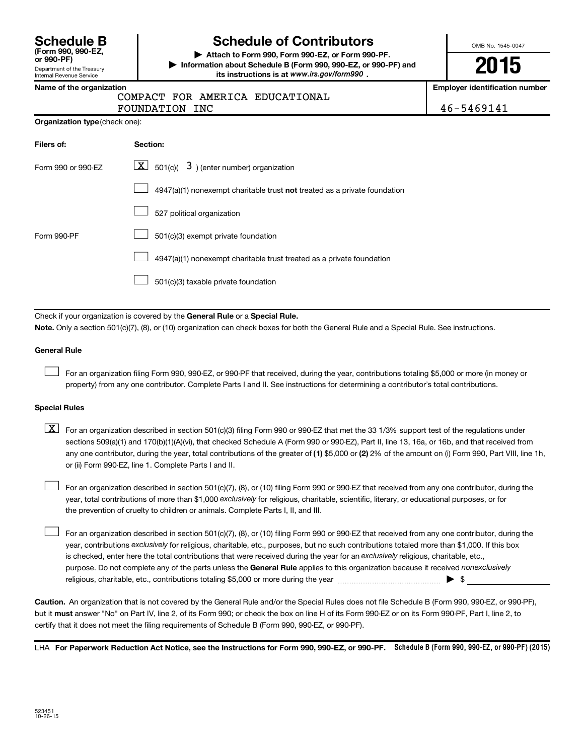**(Form 990, 990-EZ,**

#### Department of the Treasury Internal Revenue Service

### **Schedule B Schedule of Contributors**

**or 990-PF) | Attach to Form 990, Form 990-EZ, or Form 990-PF. | Information about Schedule B (Form 990, 990-EZ, or 990-PF) and** its instructions is at www.irs.gov/form990.

OMB No. 1545-0047

**2015**

**Name of the organization Employer identification number**

|  | COMPACT FOR AMERICA EDUCATIONAL |
|--|---------------------------------|
|  |                                 |

FOUNDATION INC  $\vert$  46-5469141

| Filers of:         | Section:                                                                  |
|--------------------|---------------------------------------------------------------------------|
| Form 990 or 990-EZ | $ \mathbf{X} $ 501(c)( 3) (enter number) organization                     |
|                    | 4947(a)(1) nonexempt charitable trust not treated as a private foundation |
|                    | 527 political organization                                                |
| Form 990-PF        | 501(c)(3) exempt private foundation                                       |
|                    | 4947(a)(1) nonexempt charitable trust treated as a private foundation     |
|                    | 501(c)(3) taxable private foundation                                      |

Check if your organization is covered by the General Rule or a Special Rule.

**Note.**  Only a section 501(c)(7), (8), or (10) organization can check boxes for both the General Rule and a Special Rule. See instructions.

#### **General Rule**

 $\Box$ 

For an organization filing Form 990, 990-EZ, or 990-PF that received, during the year, contributions totaling \$5,000 or more (in money or property) from any one contributor. Complete Parts I and II. See instructions for determining a contributor's total contributions.

#### **Special Rules**

any one contributor, during the year, total contributions of the greater of **(1)** \$5,000 or **(2)** 2% of the amount on (i) Form 990, Part VIII, line 1h,  $\boxed{\text{X}}$  For an organization described in section 501(c)(3) filing Form 990 or 990-EZ that met the 33 1/3% support test of the regulations under sections 509(a)(1) and 170(b)(1)(A)(vi), that checked Schedule A (Form 990 or 990-EZ), Part II, line 13, 16a, or 16b, and that received from or (ii) Form 990-EZ, line 1. Complete Parts I and II.

year, total contributions of more than \$1,000 *exclusively* for religious, charitable, scientific, literary, or educational purposes, or for For an organization described in section 501(c)(7), (8), or (10) filing Form 990 or 990-EZ that received from any one contributor, during the the prevention of cruelty to children or animals. Complete Parts I, II, and III.  $\Box$ 

purpose. Do not complete any of the parts unless the General Rule applies to this organization because it received nonexclusively year, contributions exclusively for religious, charitable, etc., purposes, but no such contributions totaled more than \$1,000. If this box is checked, enter here the total contributions that were received during the year for an exclusively religious, charitable, etc., For an organization described in section 501(c)(7), (8), or (10) filing Form 990 or 990-EZ that received from any one contributor, during the religious, charitable, etc., contributions totaling \$5,000 or more during the year  $\ldots$  $\ldots$  $\ldots$  $\ldots$  $\ldots$  $\ldots$  $\Box$ 

**Caution.** An organization that is not covered by the General Rule and/or the Special Rules does not file Schedule B (Form 990, 990-EZ, or 990-PF),  **must** but it answer "No" on Part IV, line 2, of its Form 990; or check the box on line H of its Form 990-EZ or on its Form 990-PF, Part I, line 2, to certify that it does not meet the filing requirements of Schedule B (Form 990, 990-EZ, or 990-PF).

LHA For Paperwork Reduction Act Notice, see the Instructions for Form 990, 990-EZ, or 990-PF. Schedule B (Form 990, 990-EZ, or 990-PF) (2015)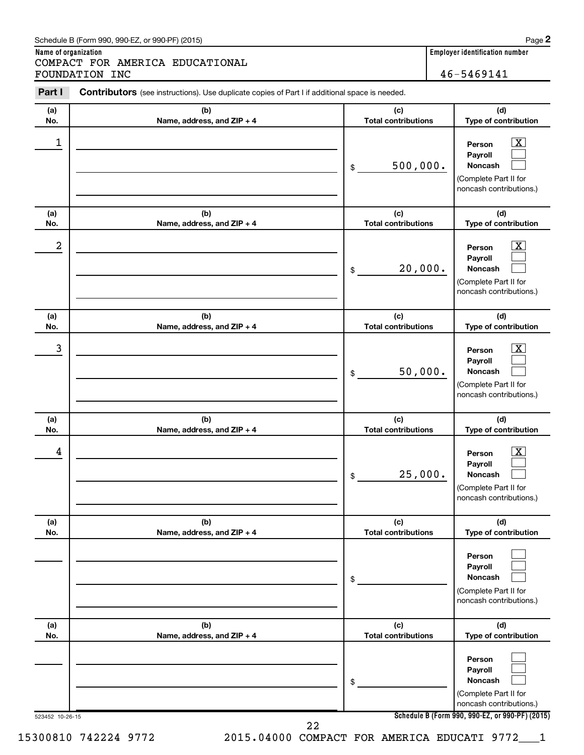#### Schedule B (Form 990, 990-EZ, or 990-PF) (2015)

**Name of organization Employer identification number** COMPACT FOR AMERICA EDUCATIONAL FOUNDATION INC 46-5469141

| (a) | (b)                        | (c)                        | (d)                                                                                                                |
|-----|----------------------------|----------------------------|--------------------------------------------------------------------------------------------------------------------|
| No. | Name, address, and ZIP + 4 | <b>Total contributions</b> | Type of contribution                                                                                               |
| 1   |                            | 500,000.<br>\$             | $\overline{\mathbf{X}}$<br>Person<br>Payroll<br><b>Noncash</b><br>(Complete Part II for<br>noncash contributions.) |
| (a) | (b)                        | (c)                        | (d)                                                                                                                |
| No. | Name, address, and ZIP + 4 | <b>Total contributions</b> | Type of contribution                                                                                               |
| 2   |                            | 20,000.<br>\$              | $\mathbf{X}$<br>Person<br>Payroll<br><b>Noncash</b><br>(Complete Part II for<br>noncash contributions.)            |
| (a) | (b)                        | (c)                        | (d)                                                                                                                |
| No. | Name, address, and ZIP + 4 | <b>Total contributions</b> | Type of contribution                                                                                               |
| 3   |                            | 50,000.<br>\$              | $\overline{\mathbf{X}}$<br>Person<br>Payroll<br><b>Noncash</b><br>(Complete Part II for<br>noncash contributions.) |
| (a) | (b)                        | (c)                        | (d)                                                                                                                |
| No. | Name, address, and ZIP + 4 | <b>Total contributions</b> | Type of contribution                                                                                               |
| 4   |                            | 25,000.<br>\$              | $\overline{\mathbf{X}}$<br>Person<br>Payroll<br><b>Noncash</b><br>(Complete Part II for<br>noncash contributions.) |
| (a) | (b)                        | (c)                        | (d)                                                                                                                |
| No. | Name, address, and ZIP + 4 | <b>Total contributions</b> | Type of contribution                                                                                               |
|     |                            | \$                         | Person<br>Payroll<br><b>Noncash</b><br>(Complete Part II for<br>noncash contributions.)                            |
| (a) | (b)                        | (c)                        | (d)                                                                                                                |
| No. | Name, address, and ZIP + 4 | <b>Total contributions</b> | Type of contribution                                                                                               |
|     |                            | \$                         | Person<br>Payroll<br><b>Noncash</b><br>(Complete Part II for<br>noncash contributions.)                            |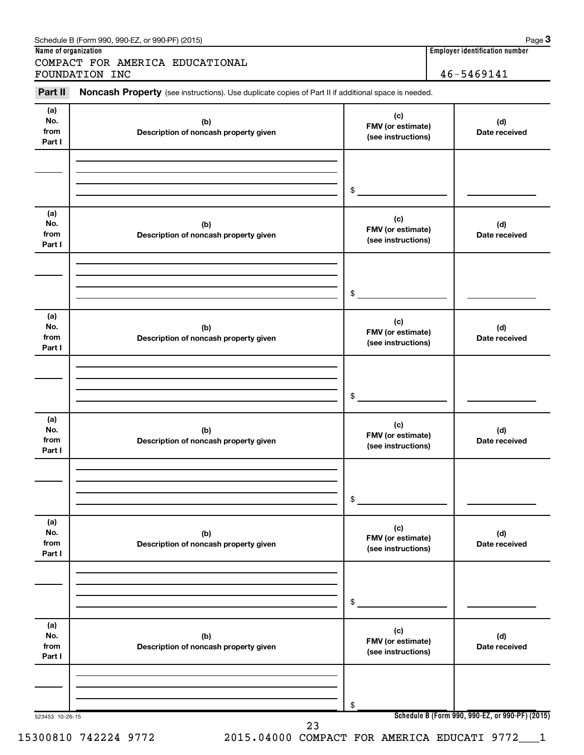| Part II                      | Noncash Property (see instructions). Use duplicate copies of Part II if additional space is needed. |                                                |                      |
|------------------------------|-----------------------------------------------------------------------------------------------------|------------------------------------------------|----------------------|
| (a)<br>No.<br>from<br>Part I | (b)<br>Description of noncash property given                                                        | (c)<br>FMV (or estimate)<br>(see instructions) | (d)<br>Date received |
|                              |                                                                                                     | \$                                             |                      |
| (a)<br>No.<br>from<br>Part I | (b)<br>Description of noncash property given                                                        | (c)<br>FMV (or estimate)<br>(see instructions) | (d)<br>Date received |
|                              |                                                                                                     | $\frac{1}{2}$                                  |                      |
| (a)<br>No.<br>from<br>Part I | (b)<br>Description of noncash property given                                                        | (c)<br>FMV (or estimate)<br>(see instructions) | (d)<br>Date received |
|                              |                                                                                                     | $\frac{1}{2}$                                  |                      |
| (a)<br>No.<br>from<br>Part I | (b)<br>Description of noncash property given                                                        | (c)<br>FMV (or estimate)<br>(see instructions) | (d)<br>Date received |
|                              |                                                                                                     | \$                                             |                      |
| (a)<br>No.<br>from<br>Part I | (b)<br>Description of noncash property given                                                        | (c)<br>FMV (or estimate)<br>(see instructions) | (d)<br>Date received |
|                              |                                                                                                     | \$                                             |                      |
| (a)<br>No.<br>from<br>Part I | (b)<br>Description of noncash property given                                                        | (c)<br>FMV (or estimate)<br>(see instructions) | (d)<br>Date received |
|                              |                                                                                                     | \$                                             |                      |

**Name of organization Employer identification number**

Schedule B (Form 990, 990-EZ, or 990-PF) (2015)

15300810 742224 9772 2015.04000 COMPACT FOR AMERICA EDUCATI 9772\_\_\_1

**3**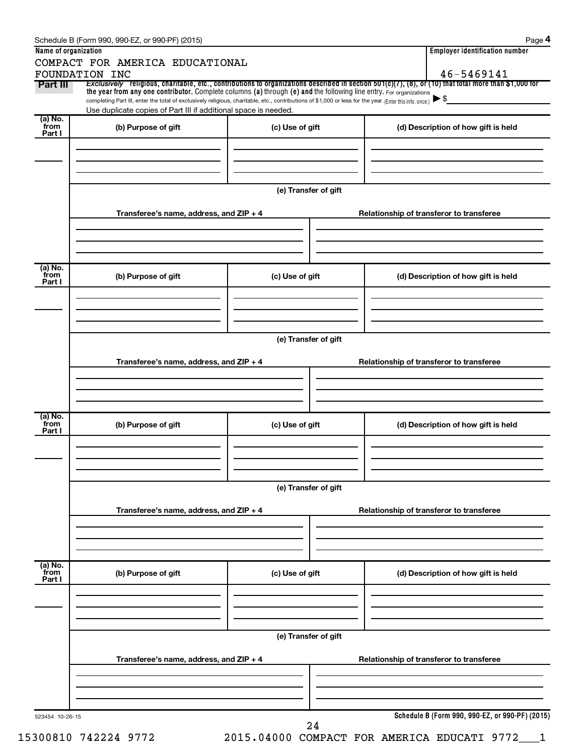| Name of organization | COMPACT FOR AMERICA EDUCATIONAL                                                                                                                                                                                                                                                 |                      | <b>Employer identification number</b>           |
|----------------------|---------------------------------------------------------------------------------------------------------------------------------------------------------------------------------------------------------------------------------------------------------------------------------|----------------------|-------------------------------------------------|
| FOUNDATION INC       |                                                                                                                                                                                                                                                                                 |                      | 46-5469141                                      |
| Part III             | Exclusively religious, charitable, etc., contributions to organizations described in section $501(c)(7)$ , (8), or (10) that total more than \$1,000 for<br>the year from any one contributor. Complete columns (a) through (e) and the following line entry. For organizations |                      |                                                 |
|                      | completing Part III, enter the total of exclusively religious, charitable, etc., contributions of \$1,000 or less for the year. (Enter this info. once.)<br>Use duplicate copies of Part III if additional space is needed.                                                     |                      | $\blacktriangleright$ \$                        |
| (a) No.              |                                                                                                                                                                                                                                                                                 |                      |                                                 |
| `from<br>Part I      | (b) Purpose of gift                                                                                                                                                                                                                                                             | (c) Use of gift      | (d) Description of how gift is held             |
|                      |                                                                                                                                                                                                                                                                                 |                      |                                                 |
|                      |                                                                                                                                                                                                                                                                                 |                      |                                                 |
|                      |                                                                                                                                                                                                                                                                                 |                      |                                                 |
|                      |                                                                                                                                                                                                                                                                                 | (e) Transfer of gift |                                                 |
|                      | Transferee's name, address, and ZIP + 4                                                                                                                                                                                                                                         |                      | Relationship of transferor to transferee        |
|                      |                                                                                                                                                                                                                                                                                 |                      |                                                 |
|                      |                                                                                                                                                                                                                                                                                 |                      |                                                 |
|                      |                                                                                                                                                                                                                                                                                 |                      |                                                 |
| (a) No.              |                                                                                                                                                                                                                                                                                 |                      |                                                 |
| `from<br>Part I      | (b) Purpose of gift                                                                                                                                                                                                                                                             | (c) Use of gift      | (d) Description of how gift is held             |
|                      |                                                                                                                                                                                                                                                                                 |                      |                                                 |
|                      |                                                                                                                                                                                                                                                                                 |                      |                                                 |
|                      |                                                                                                                                                                                                                                                                                 |                      |                                                 |
|                      |                                                                                                                                                                                                                                                                                 | (e) Transfer of gift |                                                 |
|                      | Transferee's name, address, and ZIP + 4                                                                                                                                                                                                                                         |                      | Relationship of transferor to transferee        |
|                      |                                                                                                                                                                                                                                                                                 |                      |                                                 |
|                      |                                                                                                                                                                                                                                                                                 |                      |                                                 |
|                      |                                                                                                                                                                                                                                                                                 |                      |                                                 |
| (a) No.<br>`from     | (b) Purpose of gift                                                                                                                                                                                                                                                             | (c) Use of gift      | (d) Description of how gift is held             |
| Part I               |                                                                                                                                                                                                                                                                                 |                      |                                                 |
|                      |                                                                                                                                                                                                                                                                                 |                      |                                                 |
|                      |                                                                                                                                                                                                                                                                                 |                      |                                                 |
|                      |                                                                                                                                                                                                                                                                                 |                      |                                                 |
|                      |                                                                                                                                                                                                                                                                                 | (e) Transfer of gift |                                                 |
|                      | Transferee's name, address, and ZIP + 4                                                                                                                                                                                                                                         |                      | Relationship of transferor to transferee        |
|                      |                                                                                                                                                                                                                                                                                 |                      |                                                 |
|                      |                                                                                                                                                                                                                                                                                 |                      |                                                 |
|                      |                                                                                                                                                                                                                                                                                 |                      |                                                 |
| (a) No.<br>from      | (b) Purpose of gift                                                                                                                                                                                                                                                             | (c) Use of gift      | (d) Description of how gift is held             |
| Part I               |                                                                                                                                                                                                                                                                                 |                      |                                                 |
|                      |                                                                                                                                                                                                                                                                                 |                      |                                                 |
|                      |                                                                                                                                                                                                                                                                                 |                      |                                                 |
|                      |                                                                                                                                                                                                                                                                                 | (e) Transfer of gift |                                                 |
|                      |                                                                                                                                                                                                                                                                                 |                      |                                                 |
|                      | Transferee's name, address, and ZIP + 4                                                                                                                                                                                                                                         |                      | Relationship of transferor to transferee        |
|                      |                                                                                                                                                                                                                                                                                 |                      |                                                 |
|                      |                                                                                                                                                                                                                                                                                 |                      |                                                 |
|                      |                                                                                                                                                                                                                                                                                 |                      | Schedule B (Form 990, 990-EZ, or 990-PF) (2015) |
| 523454 10-26-15      |                                                                                                                                                                                                                                                                                 |                      |                                                 |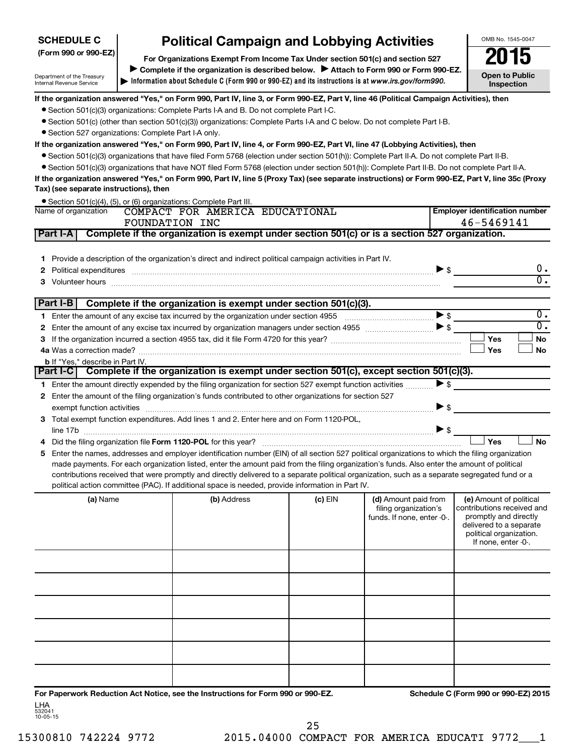## **SCHEDULE C**

Department of the Treasury Internal Revenue Service

### **Political Campaign and Lobbying Activities**

**Information about Schedule C (Form 990 or 990-EZ) and its instructions is at |**  *www.irs.gov/form990.* **(Form 990 or 990-EZ) For Organizations Exempt From Income Tax Under section 501(c) and section 527** Complete if the organization is described below. > Attach to Form 990 or Form 990-EZ.



#### **If the organization answered "Yes," on Form 990, Part IV, line 3, or Form 990-EZ, Part V, line 46 (Political Campaign Activities), then**

- Section 501(c)(3) organizations: Complete Parts I-A and B. Do not complete Part I-C.
- Section 501(c) (other than section 501(c)(3)) organizations: Complete Parts I-A and C below. Do not complete Part I-B.
- Section 527 organizations: Complete Part I-A only.

#### **If the organization answered "Yes," on Form 990, Part IV, line 4, or Form 990-EZ, Part VI, line 47 (Lobbying Activities), then**

- Section 501(c)(3) organizations that have filed Form 5768 (election under section 501(h)): Complete Part II-A. Do not complete Part II-B.
- Section 501(c)(3) organizations that have NOT filed Form 5768 (election under section 501(h)): Complete Part II-B. Do not complete Part II-A.

**If the organization answered "Yes," on Form 990, Part IV, line 5 (Proxy Tax) (see separate instructions) or Form 990-EZ, Part V, line 35c (Proxy Tax) (see separate instructions), then**

• Section 501(c)(4), (5), or (6) organizations: Complete Part III.

| Name of organization                    | COMPACT FOR AMERICA EDUCATIONAL                                                                                                                                                                                                                                                                                                                                                                                                                                                                                                                      |           |                                                                             | <b>Employer identification number</b>                                                                                                                       |
|-----------------------------------------|------------------------------------------------------------------------------------------------------------------------------------------------------------------------------------------------------------------------------------------------------------------------------------------------------------------------------------------------------------------------------------------------------------------------------------------------------------------------------------------------------------------------------------------------------|-----------|-----------------------------------------------------------------------------|-------------------------------------------------------------------------------------------------------------------------------------------------------------|
|                                         | FOUNDATION INC                                                                                                                                                                                                                                                                                                                                                                                                                                                                                                                                       |           |                                                                             | 46-5469141                                                                                                                                                  |
| Part I-A                                | Complete if the organization is exempt under section 501(c) or is a section 527 organization.                                                                                                                                                                                                                                                                                                                                                                                                                                                        |           |                                                                             |                                                                                                                                                             |
|                                         | 1 Provide a description of the organization's direct and indirect political campaign activities in Part IV.<br>2 Political expenditures material expension of the contract of the set of the contract of the set of the set of the set of the set of the set of the set of the set of the set of the set of the set of the set of the set of                                                                                                                                                                                                         |           |                                                                             | 0.<br>$\overline{0}$ .                                                                                                                                      |
| Part $I-B$                              | Complete if the organization is exempt under section 501(c)(3).                                                                                                                                                                                                                                                                                                                                                                                                                                                                                      |           |                                                                             |                                                                                                                                                             |
|                                         |                                                                                                                                                                                                                                                                                                                                                                                                                                                                                                                                                      |           |                                                                             | $\overline{0}$ .                                                                                                                                            |
|                                         |                                                                                                                                                                                                                                                                                                                                                                                                                                                                                                                                                      |           |                                                                             | $\overline{0}$ .                                                                                                                                            |
|                                         |                                                                                                                                                                                                                                                                                                                                                                                                                                                                                                                                                      |           |                                                                             | Yes<br><b>No</b>                                                                                                                                            |
|                                         |                                                                                                                                                                                                                                                                                                                                                                                                                                                                                                                                                      |           |                                                                             | Yes<br><b>No</b>                                                                                                                                            |
| <b>b</b> If "Yes," describe in Part IV. |                                                                                                                                                                                                                                                                                                                                                                                                                                                                                                                                                      |           |                                                                             |                                                                                                                                                             |
|                                         | Part I-C Complete if the organization is exempt under section 501(c), except section 501(c)(3).                                                                                                                                                                                                                                                                                                                                                                                                                                                      |           |                                                                             |                                                                                                                                                             |
|                                         | 1 Enter the amount directly expended by the filing organization for section 527 exempt function activities $\ldots$                                                                                                                                                                                                                                                                                                                                                                                                                                  |           |                                                                             |                                                                                                                                                             |
|                                         | 2 Enter the amount of the filing organization's funds contributed to other organizations for section 527                                                                                                                                                                                                                                                                                                                                                                                                                                             |           |                                                                             |                                                                                                                                                             |
|                                         | exempt function activities material content and content and content and content and content and content and content and content and content and content and content and content and content and content and content and conten                                                                                                                                                                                                                                                                                                                       |           |                                                                             | $\blacktriangleright$ s                                                                                                                                     |
|                                         | 3 Total exempt function expenditures. Add lines 1 and 2. Enter here and on Form 1120-POL,                                                                                                                                                                                                                                                                                                                                                                                                                                                            |           |                                                                             |                                                                                                                                                             |
|                                         |                                                                                                                                                                                                                                                                                                                                                                                                                                                                                                                                                      |           |                                                                             |                                                                                                                                                             |
|                                         |                                                                                                                                                                                                                                                                                                                                                                                                                                                                                                                                                      |           |                                                                             | Yes<br><b>No</b>                                                                                                                                            |
|                                         | Enter the names, addresses and employer identification number (EIN) of all section 527 political organizations to which the filing organization<br>made payments. For each organization listed, enter the amount paid from the filing organization's funds. Also enter the amount of political<br>contributions received that were promptly and directly delivered to a separate political organization, such as a separate segregated fund or a<br>political action committee (PAC). If additional space is needed, provide information in Part IV. |           |                                                                             |                                                                                                                                                             |
| (a) Name                                | (b) Address                                                                                                                                                                                                                                                                                                                                                                                                                                                                                                                                          | $(c)$ EIN | (d) Amount paid from<br>filing organization's<br>funds. If none, enter -0-. | (e) Amount of political<br>contributions received and<br>promptly and directly<br>delivered to a separate<br>political organization.<br>If none, enter -0-. |
|                                         |                                                                                                                                                                                                                                                                                                                                                                                                                                                                                                                                                      |           |                                                                             |                                                                                                                                                             |
|                                         |                                                                                                                                                                                                                                                                                                                                                                                                                                                                                                                                                      |           |                                                                             |                                                                                                                                                             |
|                                         |                                                                                                                                                                                                                                                                                                                                                                                                                                                                                                                                                      |           |                                                                             |                                                                                                                                                             |
|                                         |                                                                                                                                                                                                                                                                                                                                                                                                                                                                                                                                                      |           |                                                                             |                                                                                                                                                             |
|                                         |                                                                                                                                                                                                                                                                                                                                                                                                                                                                                                                                                      |           |                                                                             |                                                                                                                                                             |
|                                         |                                                                                                                                                                                                                                                                                                                                                                                                                                                                                                                                                      |           |                                                                             |                                                                                                                                                             |

**For Paperwork Reduction Act Notice, see the Instructions for Form 990 or 990-EZ. Schedule C (Form 990 or 990-EZ) 2015** LHA

532041 10-05-15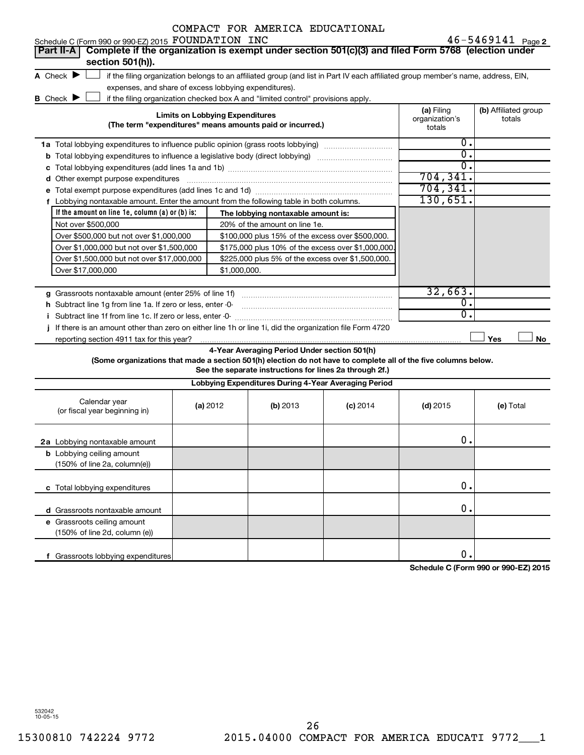| $46 - 5469141$ | Page 2 |
|----------------|--------|
|----------------|--------|

| Schedule C (Form 990 or 990-EZ) 2015 FOUNDATION INC                                                                                         |          |                                        |                                                                                  |                                                                                                                                   |                          | $46 - 5469141$ Page 2 |
|---------------------------------------------------------------------------------------------------------------------------------------------|----------|----------------------------------------|----------------------------------------------------------------------------------|-----------------------------------------------------------------------------------------------------------------------------------|--------------------------|-----------------------|
| Complete if the organization is exempt under section 501(c)(3) and filed Form 5768 (election under<br>Part II-A                             |          |                                        |                                                                                  |                                                                                                                                   |                          |                       |
| section 501(h)).                                                                                                                            |          |                                        |                                                                                  |                                                                                                                                   |                          |                       |
| A Check $\blacktriangleright$                                                                                                               |          |                                        |                                                                                  | if the filing organization belongs to an affiliated group (and list in Part IV each affiliated group member's name, address, EIN, |                          |                       |
| expenses, and share of excess lobbying expenditures).                                                                                       |          |                                        |                                                                                  |                                                                                                                                   |                          |                       |
| <b>B</b> Check <b>P</b>                                                                                                                     |          |                                        | if the filing organization checked box A and "limited control" provisions apply. |                                                                                                                                   |                          |                       |
|                                                                                                                                             |          | <b>Limits on Lobbying Expenditures</b> |                                                                                  |                                                                                                                                   | (a) Filing               | (b) Affiliated group  |
|                                                                                                                                             |          |                                        | (The term "expenditures" means amounts paid or incurred.)                        |                                                                                                                                   | organization's<br>totals | totals                |
|                                                                                                                                             |          |                                        |                                                                                  |                                                                                                                                   | 0.                       |                       |
| 1a Total lobbying expenditures to influence public opinion (grass roots lobbying)                                                           |          |                                        |                                                                                  |                                                                                                                                   | 0.                       |                       |
| <b>b</b> Total lobbying expenditures to influence a legislative body (direct lobbying) <i>manumanomeron</i>                                 |          |                                        |                                                                                  |                                                                                                                                   | 0.                       |                       |
| с                                                                                                                                           |          |                                        |                                                                                  |                                                                                                                                   | 704, 341.                |                       |
| d Other exempt purpose expenditures                                                                                                         |          |                                        |                                                                                  |                                                                                                                                   | 704, 341.                |                       |
|                                                                                                                                             |          |                                        |                                                                                  |                                                                                                                                   | 130,651.                 |                       |
| f Lobbying nontaxable amount. Enter the amount from the following table in both columns.<br>If the amount on line 1e, column (a) or (b) is: |          |                                        |                                                                                  |                                                                                                                                   |                          |                       |
| Not over \$500,000                                                                                                                          |          |                                        | The lobbying nontaxable amount is:<br>20% of the amount on line 1e.              |                                                                                                                                   |                          |                       |
| Over \$500,000 but not over \$1,000,000                                                                                                     |          |                                        | \$100,000 plus 15% of the excess over \$500,000.                                 |                                                                                                                                   |                          |                       |
| Over \$1,000,000 but not over \$1,500,000                                                                                                   |          |                                        | \$175,000 plus 10% of the excess over \$1,000,000                                |                                                                                                                                   |                          |                       |
| Over \$1,500,000 but not over \$17,000,000                                                                                                  |          |                                        | \$225,000 plus 5% of the excess over \$1,500,000.                                |                                                                                                                                   |                          |                       |
| Over \$17,000,000                                                                                                                           |          | \$1,000,000.                           |                                                                                  |                                                                                                                                   |                          |                       |
|                                                                                                                                             |          |                                        |                                                                                  |                                                                                                                                   |                          |                       |
|                                                                                                                                             |          |                                        |                                                                                  |                                                                                                                                   | 32,663.                  |                       |
| h Subtract line 1g from line 1a. If zero or less, enter -0-                                                                                 |          |                                        |                                                                                  |                                                                                                                                   | 0.                       |                       |
| i Subtract line 1f from line 1c. If zero or less, enter -0-                                                                                 |          |                                        |                                                                                  |                                                                                                                                   | 0.                       |                       |
| j If there is an amount other than zero on either line 1h or line 1i, did the organization file Form 4720                                   |          |                                        |                                                                                  |                                                                                                                                   |                          |                       |
| reporting section 4911 tax for this year?                                                                                                   |          |                                        |                                                                                  |                                                                                                                                   |                          | Yes<br>No             |
|                                                                                                                                             |          |                                        | 4-Year Averaging Period Under section 501(h)                                     |                                                                                                                                   |                          |                       |
| (Some organizations that made a section 501(h) election do not have to complete all of the five columns below.                              |          |                                        |                                                                                  |                                                                                                                                   |                          |                       |
|                                                                                                                                             |          |                                        | See the separate instructions for lines 2a through 2f.)                          |                                                                                                                                   |                          |                       |
|                                                                                                                                             |          |                                        | Lobbying Expenditures During 4-Year Averaging Period                             |                                                                                                                                   |                          |                       |
| Calendar year<br>(or fiscal year beginning in)                                                                                              | (a) 2012 |                                        | (b) 2013                                                                         | $(c)$ 2014                                                                                                                        | $(d)$ 2015               | (e) Total             |
|                                                                                                                                             |          |                                        |                                                                                  |                                                                                                                                   |                          |                       |
|                                                                                                                                             |          |                                        |                                                                                  |                                                                                                                                   |                          |                       |
| 2a Lobbying nontaxable amount                                                                                                               |          |                                        |                                                                                  |                                                                                                                                   | 0.                       |                       |
| <b>b</b> Lobbying ceiling amount                                                                                                            |          |                                        |                                                                                  |                                                                                                                                   |                          |                       |
| (150% of line 2a, column(e))                                                                                                                |          |                                        |                                                                                  |                                                                                                                                   |                          |                       |
|                                                                                                                                             |          |                                        |                                                                                  |                                                                                                                                   |                          |                       |
| c Total lobbying expenditures                                                                                                               |          |                                        |                                                                                  |                                                                                                                                   | 0.                       |                       |
|                                                                                                                                             |          |                                        |                                                                                  |                                                                                                                                   |                          |                       |
| d Grassroots nontaxable amount                                                                                                              |          |                                        |                                                                                  |                                                                                                                                   | 0.                       |                       |
| e Grassroots ceiling amount<br>(150% of line 2d, column (e))                                                                                |          |                                        |                                                                                  |                                                                                                                                   |                          |                       |
|                                                                                                                                             |          |                                        |                                                                                  |                                                                                                                                   |                          |                       |
| f Grassroots lobbying expenditures                                                                                                          |          |                                        |                                                                                  |                                                                                                                                   | 0.                       |                       |
|                                                                                                                                             |          |                                        |                                                                                  |                                                                                                                                   |                          |                       |

**Schedule C (Form 990 or 990-EZ) 2015**

532042 10-05-15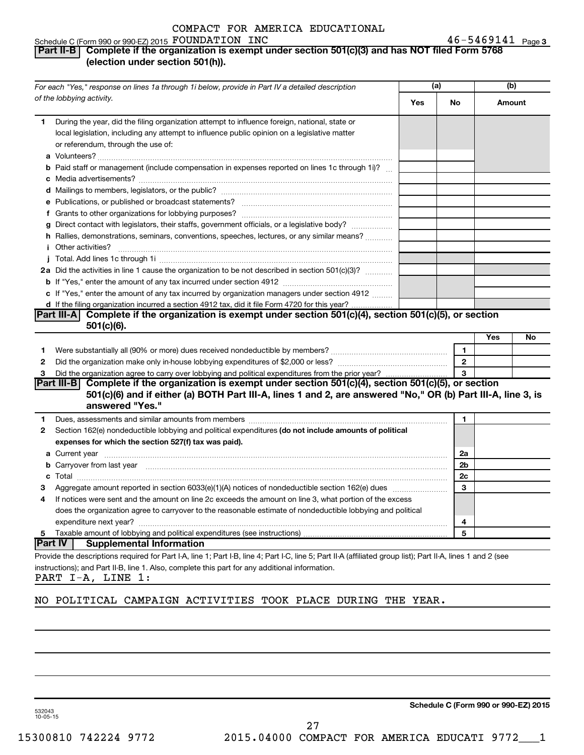#### Schedule C (Form 990 or 990-EZ) 2015  ${\rm \bf FOUNDATION}$   ${\rm \bf INC}$  and  ${\rm \bf A0}$  and  ${\rm \bf A0}$  and  ${\rm \bf A0}$  and  ${\rm \bf A0}$  and  ${\rm \bf A0}$  and  ${\rm \bf A0}$  and  ${\rm \bf A0}$  and  ${\rm \bf A0}$  and  ${\rm \bf A0}$  and  ${\rm \bf A0}$  and  ${\rm \bf A0}$  and  ${\rm \bf$

#### 46-5469141 Page 3

#### **Part II-B Complete if the organization is exempt under section 501(c)(3) and has NOT filed Form 5768 (election under section 501(h)).**

|              | For each "Yes," response on lines 1a through 1i below, provide in Part IV a detailed description                                                                                                                                            |     | (a)            |        | (b) |  |
|--------------|---------------------------------------------------------------------------------------------------------------------------------------------------------------------------------------------------------------------------------------------|-----|----------------|--------|-----|--|
|              | of the lobbying activity.                                                                                                                                                                                                                   | Yes | No             | Amount |     |  |
| 1            | During the year, did the filing organization attempt to influence foreign, national, state or<br>local legislation, including any attempt to influence public opinion on a legislative matter<br>or referendum, through the use of:         |     |                |        |     |  |
|              | <b>b</b> Paid staff or management (include compensation in expenses reported on lines 1c through 1i)?                                                                                                                                       |     |                |        |     |  |
|              |                                                                                                                                                                                                                                             |     |                |        |     |  |
|              |                                                                                                                                                                                                                                             |     |                |        |     |  |
|              |                                                                                                                                                                                                                                             |     |                |        |     |  |
|              | g Direct contact with legislators, their staffs, government officials, or a legislative body?                                                                                                                                               |     |                |        |     |  |
|              | h Rallies, demonstrations, seminars, conventions, speeches, lectures, or any similar means?                                                                                                                                                 |     |                |        |     |  |
|              |                                                                                                                                                                                                                                             |     |                |        |     |  |
|              | 2a Did the activities in line 1 cause the organization to be not described in section 501(c)(3)?                                                                                                                                            |     |                |        |     |  |
|              |                                                                                                                                                                                                                                             |     |                |        |     |  |
|              | c If "Yes," enter the amount of any tax incurred by organization managers under section 4912                                                                                                                                                |     |                |        |     |  |
|              | d If the filing organization incurred a section 4912 tax, did it file Form 4720 for this year?                                                                                                                                              |     |                |        |     |  |
|              | Part III-A Complete if the organization is exempt under section 501(c)(4), section 501(c)(5), or section<br>$501(c)(6)$ .                                                                                                                   |     |                |        |     |  |
|              |                                                                                                                                                                                                                                             |     |                | Yes    | No  |  |
| 1.           |                                                                                                                                                                                                                                             |     | $\mathbf{1}$   |        |     |  |
| 2            |                                                                                                                                                                                                                                             |     | $\overline{2}$ |        |     |  |
| з            |                                                                                                                                                                                                                                             |     | 3              |        |     |  |
|              | Part III-B Complete if the organization is exempt under section 501(c)(4), section 501(c)(5), or section<br>501(c)(6) and if either (a) BOTH Part III-A, lines 1 and 2, are answered "No," OR (b) Part III-A, line 3, is<br>answered "Yes." |     |                |        |     |  |
| 1            |                                                                                                                                                                                                                                             |     | 1              |        |     |  |
| $\mathbf{2}$ | Section 162(e) nondeductible lobbying and political expenditures (do not include amounts of political                                                                                                                                       |     |                |        |     |  |
|              | expenses for which the section 527(f) tax was paid).                                                                                                                                                                                        |     |                |        |     |  |
|              |                                                                                                                                                                                                                                             |     | 2a             |        |     |  |
|              | <b>b</b> Carryover from last year <b>contained to the contract of the contract of Carryover from last year contained to the contract of the contract of Carryover from last year</b>                                                        |     | 2b             |        |     |  |
|              |                                                                                                                                                                                                                                             |     | 2c             |        |     |  |
| 3            |                                                                                                                                                                                                                                             |     | 3              |        |     |  |
| 4            | If notices were sent and the amount on line 2c exceeds the amount on line 3, what portion of the excess                                                                                                                                     |     |                |        |     |  |
|              | does the organization agree to carryover to the reasonable estimate of nondeductible lobbying and political                                                                                                                                 |     |                |        |     |  |
|              |                                                                                                                                                                                                                                             |     | 4              |        |     |  |
| 5            |                                                                                                                                                                                                                                             |     | 5              |        |     |  |
|              | Part IV  <br><b>Supplemental Information</b>                                                                                                                                                                                                |     |                |        |     |  |
|              | Provide the descriptions required for Part I-A, line 1; Part I-B, line 4; Part I-C, line 5; Part II-A (affiliated group list); Part II-A, lines 1 and 2 (see                                                                                |     |                |        |     |  |
|              | instructions); and Part II-B, line 1. Also, complete this part for any additional information.                                                                                                                                              |     |                |        |     |  |

PART I-A, LINE 1:

#### NO POLITICAL CAMPAIGN ACTIVITIES TOOK PLACE DURING THE YEAR.

**Schedule C (Form 990 or 990-EZ) 2015**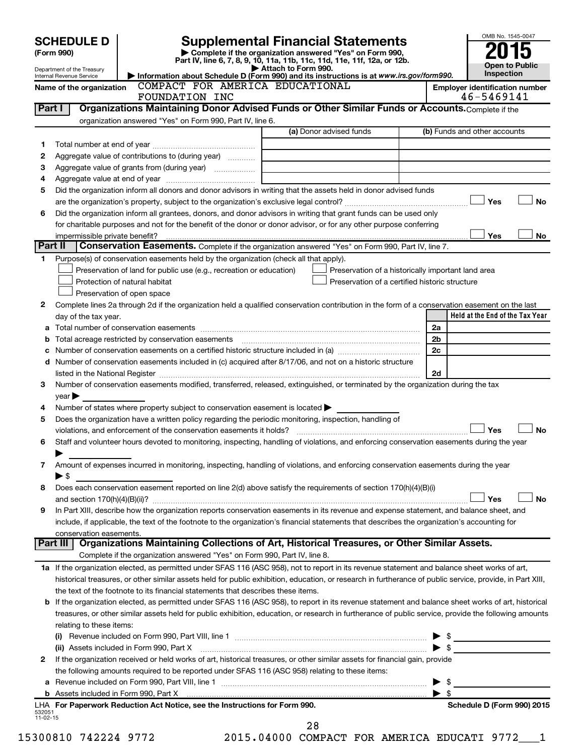|                    | <b>SCHEDULE D</b><br>(Form 990)                        |                                                                                                                                                                                                             | <b>Supplemental Financial Statements</b><br>Complete if the organization answered "Yes" on Form 990,                                                      |                          | OMB No. 1545-0047                     |
|--------------------|--------------------------------------------------------|-------------------------------------------------------------------------------------------------------------------------------------------------------------------------------------------------------------|-----------------------------------------------------------------------------------------------------------------------------------------------------------|--------------------------|---------------------------------------|
|                    |                                                        |                                                                                                                                                                                                             | Part IV, line 6, 7, 8, 9, 10, 11a, 11b, 11c, 11d, 11e, 11f, 12a, or 12b.                                                                                  |                          | <b>Open to Public</b>                 |
|                    | Department of the Treasury<br>Internal Revenue Service |                                                                                                                                                                                                             | Attach to Form 990.<br>Information about Schedule D (Form 990) and its instructions is at www.irs.gov/form990.                                            |                          | <b>Inspection</b>                     |
|                    | Name of the organization                               | COMPACT FOR AMERICA EDUCATIONAL                                                                                                                                                                             |                                                                                                                                                           |                          | <b>Employer identification number</b> |
|                    |                                                        | FOUNDATION INC                                                                                                                                                                                              |                                                                                                                                                           |                          | 46-5469141                            |
| Part I             |                                                        |                                                                                                                                                                                                             | Organizations Maintaining Donor Advised Funds or Other Similar Funds or Accounts. Complete if the                                                         |                          |                                       |
|                    |                                                        | organization answered "Yes" on Form 990, Part IV, line 6.                                                                                                                                                   |                                                                                                                                                           |                          |                                       |
|                    |                                                        |                                                                                                                                                                                                             | (a) Donor advised funds                                                                                                                                   |                          | (b) Funds and other accounts          |
| 1                  |                                                        |                                                                                                                                                                                                             |                                                                                                                                                           |                          |                                       |
| 2                  |                                                        | Aggregate value of contributions to (during year)                                                                                                                                                           |                                                                                                                                                           |                          |                                       |
| з                  |                                                        | Aggregate value of grants from (during year)                                                                                                                                                                |                                                                                                                                                           |                          |                                       |
| 4                  |                                                        |                                                                                                                                                                                                             |                                                                                                                                                           |                          |                                       |
| 5                  |                                                        |                                                                                                                                                                                                             | Did the organization inform all donors and donor advisors in writing that the assets held in donor advised funds                                          |                          | Yes<br><b>No</b>                      |
| 6                  |                                                        |                                                                                                                                                                                                             | Did the organization inform all grantees, donors, and donor advisors in writing that grant funds can be used only                                         |                          |                                       |
|                    |                                                        |                                                                                                                                                                                                             | for charitable purposes and not for the benefit of the donor or donor advisor, or for any other purpose conferring                                        |                          |                                       |
|                    |                                                        |                                                                                                                                                                                                             |                                                                                                                                                           |                          | Yes<br>No                             |
| Part II            |                                                        |                                                                                                                                                                                                             | <b>Conservation Easements.</b> Complete if the organization answered "Yes" on Form 990, Part IV, line 7.                                                  |                          |                                       |
| 1.                 |                                                        | Purpose(s) of conservation easements held by the organization (check all that apply).                                                                                                                       |                                                                                                                                                           |                          |                                       |
|                    |                                                        | Preservation of land for public use (e.g., recreation or education)                                                                                                                                         | Preservation of a historically important land area                                                                                                        |                          |                                       |
|                    |                                                        | Protection of natural habitat                                                                                                                                                                               | Preservation of a certified historic structure                                                                                                            |                          |                                       |
|                    |                                                        | Preservation of open space                                                                                                                                                                                  |                                                                                                                                                           |                          |                                       |
| 2                  |                                                        |                                                                                                                                                                                                             | Complete lines 2a through 2d if the organization held a qualified conservation contribution in the form of a conservation easement on the last            |                          |                                       |
|                    | day of the tax year.                                   |                                                                                                                                                                                                             |                                                                                                                                                           |                          | Held at the End of the Tax Year       |
| а                  |                                                        |                                                                                                                                                                                                             |                                                                                                                                                           | 2a                       |                                       |
| b                  |                                                        |                                                                                                                                                                                                             |                                                                                                                                                           | 2b                       |                                       |
| с                  |                                                        |                                                                                                                                                                                                             |                                                                                                                                                           | 2c                       |                                       |
| d                  |                                                        |                                                                                                                                                                                                             | Number of conservation easements included in (c) acquired after 8/17/06, and not on a historic structure                                                  |                          |                                       |
|                    |                                                        |                                                                                                                                                                                                             |                                                                                                                                                           | 2d                       |                                       |
| 3                  |                                                        |                                                                                                                                                                                                             | Number of conservation easements modified, transferred, released, extinguished, or terminated by the organization during the tax                          |                          |                                       |
|                    | $year \triangleright$                                  |                                                                                                                                                                                                             |                                                                                                                                                           |                          |                                       |
| 4<br>5             |                                                        | Number of states where property subject to conservation easement is located $\blacktriangleright$<br>Does the organization have a written policy regarding the periodic monitoring, inspection, handling of |                                                                                                                                                           |                          |                                       |
|                    |                                                        |                                                                                                                                                                                                             |                                                                                                                                                           |                          | Yes<br><b>No</b>                      |
| 6                  |                                                        |                                                                                                                                                                                                             | Staff and volunteer hours devoted to monitoring, inspecting, handling of violations, and enforcing conservation easements during the year                 |                          |                                       |
|                    |                                                        |                                                                                                                                                                                                             |                                                                                                                                                           |                          |                                       |
| 7                  |                                                        |                                                                                                                                                                                                             | Amount of expenses incurred in monitoring, inspecting, handling of violations, and enforcing conservation easements during the year                       |                          |                                       |
|                    | $\blacktriangleright$ \$                               |                                                                                                                                                                                                             |                                                                                                                                                           |                          |                                       |
| 8                  |                                                        |                                                                                                                                                                                                             | Does each conservation easement reported on line 2(d) above satisfy the requirements of section 170(h)(4)(B)(i)                                           |                          |                                       |
|                    |                                                        |                                                                                                                                                                                                             |                                                                                                                                                           |                          | No<br>Yes                             |
| 9                  |                                                        |                                                                                                                                                                                                             | In Part XIII, describe how the organization reports conservation easements in its revenue and expense statement, and balance sheet, and                   |                          |                                       |
|                    |                                                        |                                                                                                                                                                                                             | include, if applicable, the text of the footnote to the organization's financial statements that describes the organization's accounting for              |                          |                                       |
|                    | conservation easements.                                |                                                                                                                                                                                                             |                                                                                                                                                           |                          |                                       |
|                    |                                                        |                                                                                                                                                                                                             | Part III   Organizations Maintaining Collections of Art, Historical Treasures, or Other Similar Assets.                                                   |                          |                                       |
|                    |                                                        | Complete if the organization answered "Yes" on Form 990, Part IV, line 8.                                                                                                                                   |                                                                                                                                                           |                          |                                       |
|                    |                                                        |                                                                                                                                                                                                             | 1a If the organization elected, as permitted under SFAS 116 (ASC 958), not to report in its revenue statement and balance sheet works of art,             |                          |                                       |
|                    |                                                        |                                                                                                                                                                                                             | historical treasures, or other similar assets held for public exhibition, education, or research in furtherance of public service, provide, in Part XIII, |                          |                                       |
|                    |                                                        | the text of the footnote to its financial statements that describes these items.                                                                                                                            |                                                                                                                                                           |                          |                                       |
| b                  |                                                        |                                                                                                                                                                                                             | If the organization elected, as permitted under SFAS 116 (ASC 958), to report in its revenue statement and balance sheet works of art, historical         |                          |                                       |
|                    |                                                        |                                                                                                                                                                                                             | treasures, or other similar assets held for public exhibition, education, or research in furtherance of public service, provide the following amounts     |                          |                                       |
|                    | relating to these items:                               |                                                                                                                                                                                                             |                                                                                                                                                           |                          |                                       |
|                    |                                                        |                                                                                                                                                                                                             |                                                                                                                                                           |                          | $\triangleright$ \$                   |
|                    |                                                        | (ii) Assets included in Form 990, Part X                                                                                                                                                                    |                                                                                                                                                           |                          | $\blacktriangleright$ \$              |
| 2                  |                                                        | the following amounts required to be reported under SFAS 116 (ASC 958) relating to these items:                                                                                                             | If the organization received or held works of art, historical treasures, or other similar assets for financial gain, provide                              |                          |                                       |
|                    |                                                        |                                                                                                                                                                                                             |                                                                                                                                                           | - \$                     |                                       |
| а                  |                                                        |                                                                                                                                                                                                             |                                                                                                                                                           | $\blacktriangleright$ \$ |                                       |
|                    |                                                        | LHA For Paperwork Reduction Act Notice, see the Instructions for Form 990.                                                                                                                                  |                                                                                                                                                           |                          | Schedule D (Form 990) 2015            |
| 532051<br>11-02-15 |                                                        |                                                                                                                                                                                                             |                                                                                                                                                           |                          |                                       |
|                    |                                                        |                                                                                                                                                                                                             | 28                                                                                                                                                        |                          |                                       |

15300810 742224 9772 2015.04000 COMPACT FOR AMERICA EDUCATI 9772\_\_\_1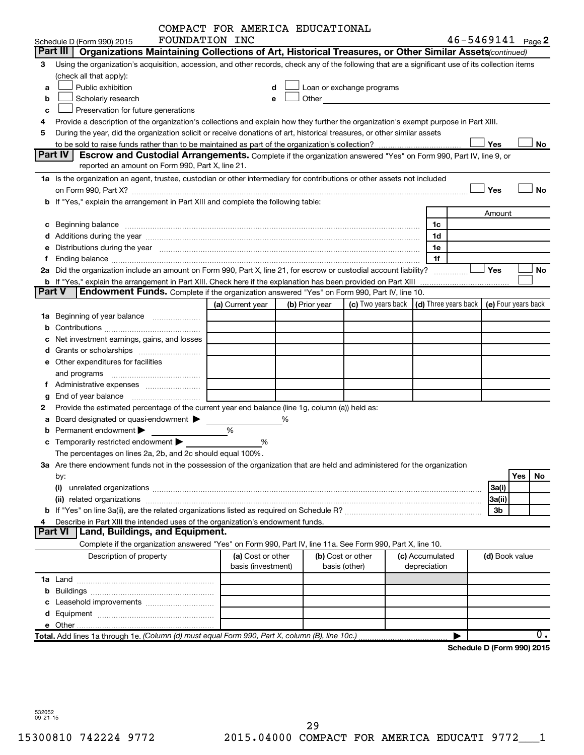|               |                                                                                                                                                                                                                                | COMPACT FOR AMERICA EDUCATIONAL |                |               |                                                                                                                                                                                                                               |                 |              |                            |                  |
|---------------|--------------------------------------------------------------------------------------------------------------------------------------------------------------------------------------------------------------------------------|---------------------------------|----------------|---------------|-------------------------------------------------------------------------------------------------------------------------------------------------------------------------------------------------------------------------------|-----------------|--------------|----------------------------|------------------|
|               | Schedule D (Form 990) 2015                                                                                                                                                                                                     | FOUNDATION INC                  |                |               |                                                                                                                                                                                                                               |                 |              | $46 - 5469141$ Page 2      |                  |
|               | Part III<br>Organizations Maintaining Collections of Art, Historical Treasures, or Other Similar Assets(continued)                                                                                                             |                                 |                |               |                                                                                                                                                                                                                               |                 |              |                            |                  |
| З             | Using the organization's acquisition, accession, and other records, check any of the following that are a significant use of its collection items                                                                              |                                 |                |               |                                                                                                                                                                                                                               |                 |              |                            |                  |
|               | (check all that apply):                                                                                                                                                                                                        |                                 |                |               |                                                                                                                                                                                                                               |                 |              |                            |                  |
| a             | Public exhibition                                                                                                                                                                                                              | d                               |                |               | Loan or exchange programs                                                                                                                                                                                                     |                 |              |                            |                  |
| b             | Scholarly research                                                                                                                                                                                                             | e                               |                |               | Other and the contract of the contract of the contract of the contract of the contract of the contract of the contract of the contract of the contract of the contract of the contract of the contract of the contract of the |                 |              |                            |                  |
| с             | Preservation for future generations                                                                                                                                                                                            |                                 |                |               |                                                                                                                                                                                                                               |                 |              |                            |                  |
| 4             | Provide a description of the organization's collections and explain how they further the organization's exempt purpose in Part XIII.                                                                                           |                                 |                |               |                                                                                                                                                                                                                               |                 |              |                            |                  |
| 5             | During the year, did the organization solicit or receive donations of art, historical treasures, or other similar assets                                                                                                       |                                 |                |               |                                                                                                                                                                                                                               |                 |              |                            |                  |
|               |                                                                                                                                                                                                                                |                                 |                |               |                                                                                                                                                                                                                               |                 |              | Yes                        | No               |
|               | Part IV I<br><b>Escrow and Custodial Arrangements.</b> Complete if the organization answered "Yes" on Form 990, Part IV, line 9, or                                                                                            |                                 |                |               |                                                                                                                                                                                                                               |                 |              |                            |                  |
|               | reported an amount on Form 990, Part X, line 21.                                                                                                                                                                               |                                 |                |               |                                                                                                                                                                                                                               |                 |              |                            |                  |
|               | 1a Is the organization an agent, trustee, custodian or other intermediary for contributions or other assets not included                                                                                                       |                                 |                |               |                                                                                                                                                                                                                               |                 |              |                            |                  |
|               |                                                                                                                                                                                                                                |                                 |                |               |                                                                                                                                                                                                                               |                 |              | Yes                        | <b>No</b>        |
|               | b If "Yes," explain the arrangement in Part XIII and complete the following table:                                                                                                                                             |                                 |                |               |                                                                                                                                                                                                                               |                 |              |                            |                  |
|               |                                                                                                                                                                                                                                |                                 |                |               |                                                                                                                                                                                                                               |                 |              | Amount                     |                  |
|               | c Beginning balance Manual Communication and the contract of the contract of the contract of the contract of the contract of the contract of the contract of the contract of the contract of the contract of the contract of t |                                 |                |               |                                                                                                                                                                                                                               |                 | 1c           |                            |                  |
|               |                                                                                                                                                                                                                                |                                 |                |               |                                                                                                                                                                                                                               |                 | 1d           |                            |                  |
|               | e Distributions during the year measurement contained and all the year measurement of the year measurement of                                                                                                                  |                                 |                |               |                                                                                                                                                                                                                               |                 | 1e           |                            |                  |
|               |                                                                                                                                                                                                                                |                                 |                |               |                                                                                                                                                                                                                               |                 | 1f           |                            |                  |
|               | 2a Did the organization include an amount on Form 990, Part X, line 21, for escrow or custodial account liability?                                                                                                             |                                 |                |               |                                                                                                                                                                                                                               |                 |              | Yes                        | No               |
|               | <b>b</b> If "Yes," explain the arrangement in Part XIII. Check here if the explanation has been provided on Part XIII                                                                                                          |                                 |                |               |                                                                                                                                                                                                                               |                 |              |                            |                  |
| <b>Part V</b> | <b>Endowment Funds.</b> Complete if the organization answered "Yes" on Form 990, Part IV, line 10.                                                                                                                             |                                 |                |               |                                                                                                                                                                                                                               |                 |              |                            |                  |
|               |                                                                                                                                                                                                                                | (a) Current year                | (b) Prior year |               | (c) Two years back $\vert$ (d) Three years back $\vert$                                                                                                                                                                       |                 |              | (e) Four years back        |                  |
|               | <b>1a</b> Beginning of year balance <i>manumman</i>                                                                                                                                                                            |                                 |                |               |                                                                                                                                                                                                                               |                 |              |                            |                  |
| b             |                                                                                                                                                                                                                                |                                 |                |               |                                                                                                                                                                                                                               |                 |              |                            |                  |
| с             | Net investment earnings, gains, and losses                                                                                                                                                                                     |                                 |                |               |                                                                                                                                                                                                                               |                 |              |                            |                  |
|               |                                                                                                                                                                                                                                |                                 |                |               |                                                                                                                                                                                                                               |                 |              |                            |                  |
|               | e Other expenditures for facilities                                                                                                                                                                                            |                                 |                |               |                                                                                                                                                                                                                               |                 |              |                            |                  |
|               | and programs                                                                                                                                                                                                                   |                                 |                |               |                                                                                                                                                                                                                               |                 |              |                            |                  |
|               |                                                                                                                                                                                                                                |                                 |                |               |                                                                                                                                                                                                                               |                 |              |                            |                  |
|               | End of year balance <i>manually contained</i>                                                                                                                                                                                  |                                 |                |               |                                                                                                                                                                                                                               |                 |              |                            |                  |
| g<br>2        | Provide the estimated percentage of the current year end balance (line 1g, column (a)) held as:                                                                                                                                |                                 |                |               |                                                                                                                                                                                                                               |                 |              |                            |                  |
|               |                                                                                                                                                                                                                                |                                 |                |               |                                                                                                                                                                                                                               |                 |              |                            |                  |
| а             | Board designated or quasi-endowment                                                                                                                                                                                            |                                 | %              |               |                                                                                                                                                                                                                               |                 |              |                            |                  |
|               | Permanent endowment                                                                                                                                                                                                            | %                               |                |               |                                                                                                                                                                                                                               |                 |              |                            |                  |
|               | c Temporarily restricted endowment $\blacktriangleright$                                                                                                                                                                       | %                               |                |               |                                                                                                                                                                                                                               |                 |              |                            |                  |
|               | The percentages on lines 2a, 2b, and 2c should equal 100%.                                                                                                                                                                     |                                 |                |               |                                                                                                                                                                                                                               |                 |              |                            |                  |
|               | 3a Are there endowment funds not in the possession of the organization that are held and administered for the organization                                                                                                     |                                 |                |               |                                                                                                                                                                                                                               |                 |              |                            |                  |
|               | by:                                                                                                                                                                                                                            |                                 |                |               |                                                                                                                                                                                                                               |                 |              |                            | Yes<br>No.       |
|               | (i)                                                                                                                                                                                                                            |                                 |                |               |                                                                                                                                                                                                                               |                 |              | 3a(i)                      |                  |
|               |                                                                                                                                                                                                                                |                                 |                |               |                                                                                                                                                                                                                               |                 |              | 3a(ii)                     |                  |
|               |                                                                                                                                                                                                                                |                                 |                |               |                                                                                                                                                                                                                               |                 |              | 3b                         |                  |
| 4             | Describe in Part XIII the intended uses of the organization's endowment funds.                                                                                                                                                 |                                 |                |               |                                                                                                                                                                                                                               |                 |              |                            |                  |
|               | Land, Buildings, and Equipment.<br><b>Part VI</b>                                                                                                                                                                              |                                 |                |               |                                                                                                                                                                                                                               |                 |              |                            |                  |
|               | Complete if the organization answered "Yes" on Form 990, Part IV, line 11a. See Form 990, Part X, line 10.                                                                                                                     |                                 |                |               |                                                                                                                                                                                                                               |                 |              |                            |                  |
|               | Description of property                                                                                                                                                                                                        | (a) Cost or other               |                |               | (b) Cost or other                                                                                                                                                                                                             | (c) Accumulated |              | (d) Book value             |                  |
|               |                                                                                                                                                                                                                                | basis (investment)              |                | basis (other) |                                                                                                                                                                                                                               |                 | depreciation |                            |                  |
|               |                                                                                                                                                                                                                                |                                 |                |               |                                                                                                                                                                                                                               |                 |              |                            |                  |
| b             |                                                                                                                                                                                                                                |                                 |                |               |                                                                                                                                                                                                                               |                 |              |                            |                  |
| с             |                                                                                                                                                                                                                                |                                 |                |               |                                                                                                                                                                                                                               |                 |              |                            |                  |
|               |                                                                                                                                                                                                                                |                                 |                |               |                                                                                                                                                                                                                               |                 |              |                            |                  |
|               |                                                                                                                                                                                                                                |                                 |                |               |                                                                                                                                                                                                                               |                 |              |                            |                  |
|               | Total. Add lines 1a through 1e. (Column (d) must equal Form 990, Part X, column (B), line 10c.)                                                                                                                                |                                 |                |               |                                                                                                                                                                                                                               |                 |              |                            | $\overline{0}$ . |
|               |                                                                                                                                                                                                                                |                                 |                |               |                                                                                                                                                                                                                               |                 |              | Schedule D (Form 990) 2015 |                  |

532052 09-21-15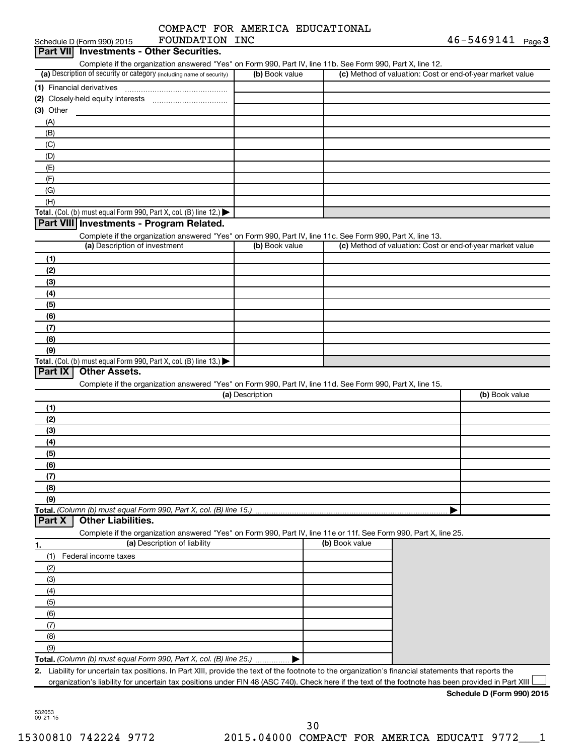|                |  | COMPACT FOR AMERICA EDUCATIONAL |
|----------------|--|---------------------------------|
| FOUNDATION INC |  |                                 |

|             | Schedule D (Form 990) 2015    | FOUNDATION INC                                                                                                                                     |                 |                | $46 - 5469141$ Page 3                                     |
|-------------|-------------------------------|----------------------------------------------------------------------------------------------------------------------------------------------------|-----------------|----------------|-----------------------------------------------------------|
|             |                               | <b>Part VII</b> Investments - Other Securities.                                                                                                    |                 |                |                                                           |
|             |                               | Complete if the organization answered "Yes" on Form 990, Part IV, line 11b. See Form 990, Part X, line 12.                                         |                 |                |                                                           |
|             |                               | (a) Description of security or category (including name of security)                                                                               | (b) Book value  |                | (c) Method of valuation: Cost or end-of-year market value |
|             |                               |                                                                                                                                                    |                 |                |                                                           |
|             |                               |                                                                                                                                                    |                 |                |                                                           |
| $(3)$ Other |                               |                                                                                                                                                    |                 |                |                                                           |
| (A)         |                               |                                                                                                                                                    |                 |                |                                                           |
| (B)         |                               |                                                                                                                                                    |                 |                |                                                           |
| (C)         |                               |                                                                                                                                                    |                 |                |                                                           |
| (D)         |                               |                                                                                                                                                    |                 |                |                                                           |
| (E)         |                               |                                                                                                                                                    |                 |                |                                                           |
| (F)         |                               |                                                                                                                                                    |                 |                |                                                           |
| (G)<br>(H)  |                               |                                                                                                                                                    |                 |                |                                                           |
|             |                               | Total. (Col. (b) must equal Form 990, Part X, col. (B) line 12.)                                                                                   |                 |                |                                                           |
|             |                               | Part VIII Investments - Program Related.                                                                                                           |                 |                |                                                           |
|             |                               | Complete if the organization answered "Yes" on Form 990, Part IV, line 11c. See Form 990, Part X, line 13.                                         |                 |                |                                                           |
|             | (a) Description of investment |                                                                                                                                                    | (b) Book value  |                | (c) Method of valuation: Cost or end-of-year market value |
| (1)         |                               |                                                                                                                                                    |                 |                |                                                           |
| (2)         |                               |                                                                                                                                                    |                 |                |                                                           |
| (3)         |                               |                                                                                                                                                    |                 |                |                                                           |
| (4)         |                               |                                                                                                                                                    |                 |                |                                                           |
| (5)         |                               |                                                                                                                                                    |                 |                |                                                           |
| (6)         |                               |                                                                                                                                                    |                 |                |                                                           |
| (7)         |                               |                                                                                                                                                    |                 |                |                                                           |
| (8)         |                               |                                                                                                                                                    |                 |                |                                                           |
| (9)         |                               |                                                                                                                                                    |                 |                |                                                           |
|             |                               | Total. (Col. (b) must equal Form 990, Part X, col. (B) line 13.)                                                                                   |                 |                |                                                           |
| Part IX     | <b>Other Assets.</b>          |                                                                                                                                                    |                 |                |                                                           |
|             |                               | Complete if the organization answered "Yes" on Form 990, Part IV, line 11d. See Form 990, Part X, line 15.                                         |                 |                |                                                           |
|             |                               |                                                                                                                                                    | (a) Description |                | (b) Book value                                            |
| (1)         |                               |                                                                                                                                                    |                 |                |                                                           |
| (2)         |                               |                                                                                                                                                    |                 |                |                                                           |
| (3)         |                               |                                                                                                                                                    |                 |                |                                                           |
| (4)         |                               |                                                                                                                                                    |                 |                |                                                           |
| (5)         |                               |                                                                                                                                                    |                 |                |                                                           |
| (6)         |                               |                                                                                                                                                    |                 |                |                                                           |
| (7)         |                               |                                                                                                                                                    |                 |                |                                                           |
| (8)         |                               |                                                                                                                                                    |                 |                |                                                           |
| (9)         |                               |                                                                                                                                                    |                 |                |                                                           |
| Part X      | <b>Other Liabilities.</b>     |                                                                                                                                                    |                 |                |                                                           |
|             |                               |                                                                                                                                                    |                 |                |                                                           |
|             |                               | Complete if the organization answered "Yes" on Form 990, Part IV, line 11e or 11f. See Form 990, Part X, line 25.<br>(a) Description of liability  |                 | (b) Book value |                                                           |
| 1.          |                               |                                                                                                                                                    |                 |                |                                                           |
| (1)         | Federal income taxes          |                                                                                                                                                    |                 |                |                                                           |
| (2)         |                               |                                                                                                                                                    |                 |                |                                                           |
| (3)         |                               |                                                                                                                                                    |                 |                |                                                           |
| (4)         |                               |                                                                                                                                                    |                 |                |                                                           |
| (5)         |                               |                                                                                                                                                    |                 |                |                                                           |
| (6)         |                               |                                                                                                                                                    |                 |                |                                                           |
| (7)         |                               |                                                                                                                                                    |                 |                |                                                           |
| (8)         |                               |                                                                                                                                                    |                 |                |                                                           |
| (9)         |                               |                                                                                                                                                    |                 |                |                                                           |
|             |                               | Total. (Column (b) must equal Form 990, Part X, col. (B) line 25.)                                                                                 |                 |                |                                                           |
| 2.          |                               | Liability for uncertain tax positions. In Part XIII, provide the text of the footnote to the organization's financial statements that reports the  |                 |                |                                                           |
|             |                               | organization's liability for uncertain tax positions under FIN 48 (ASC 740). Check here if the text of the footnote has been provided in Part XIII |                 |                |                                                           |
|             |                               |                                                                                                                                                    |                 |                | Schedule D (Form 990) 2015                                |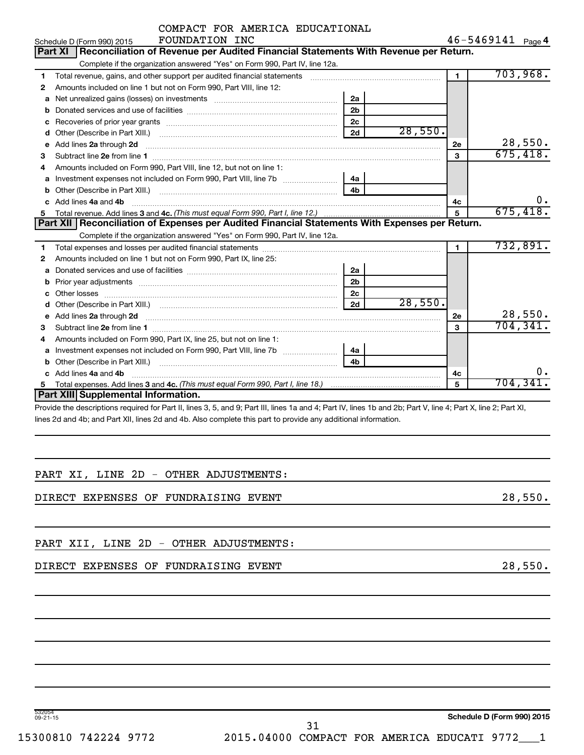|    | COMPACT FOR AMERICA EDUCATIONAL                                                                                                                                                                                                    |                |         |                |                       |  |
|----|------------------------------------------------------------------------------------------------------------------------------------------------------------------------------------------------------------------------------------|----------------|---------|----------------|-----------------------|--|
|    | FOUNDATION INC<br>Schedule D (Form 990) 2015                                                                                                                                                                                       |                |         |                | $46 - 5469141$ Page 4 |  |
|    | Reconciliation of Revenue per Audited Financial Statements With Revenue per Return.<br><b>Part XI</b>                                                                                                                              |                |         |                |                       |  |
|    | Complete if the organization answered "Yes" on Form 990, Part IV, line 12a.                                                                                                                                                        |                |         |                |                       |  |
| 1  | Total revenue, gains, and other support per audited financial statements [111] [11] Total revenue, gains, and other support per audited financial statements                                                                       |                |         | $\mathbf{1}$   | 703,968.              |  |
| 2  | Amounts included on line 1 but not on Form 990, Part VIII, line 12:                                                                                                                                                                |                |         |                |                       |  |
| a  | Net unrealized gains (losses) on investments [111] [12] matter and the unrealized gains (losses) on investments                                                                                                                    | 2a             |         |                |                       |  |
| b  |                                                                                                                                                                                                                                    | 2 <sub>b</sub> |         |                |                       |  |
|    |                                                                                                                                                                                                                                    | 2c             |         |                |                       |  |
| d  |                                                                                                                                                                                                                                    | 2d             | 28,550. |                |                       |  |
| e  | Add lines 2a through 2d                                                                                                                                                                                                            |                |         | 2е             | 28,550.               |  |
| З  |                                                                                                                                                                                                                                    |                |         | 3              | 675,418.              |  |
| 4  | Amounts included on Form 990, Part VIII, line 12, but not on line 1:                                                                                                                                                               |                |         |                |                       |  |
| a  |                                                                                                                                                                                                                                    | 4a             |         |                |                       |  |
| b  |                                                                                                                                                                                                                                    | 4 <sub>b</sub> |         |                |                       |  |
| c. | Add lines 4a and 4b                                                                                                                                                                                                                |                |         | 4c             | $0 \cdot$             |  |
| 5  |                                                                                                                                                                                                                                    |                |         | $\overline{5}$ | 675,418.              |  |
|    | Part XII   Reconciliation of Expenses per Audited Financial Statements With Expenses per Return.                                                                                                                                   |                |         |                |                       |  |
|    | Complete if the organization answered "Yes" on Form 990, Part IV, line 12a.                                                                                                                                                        |                |         |                |                       |  |
| 1  |                                                                                                                                                                                                                                    |                |         | $\mathbf{1}$   | 732,891.              |  |
| 2  | Amounts included on line 1 but not on Form 990, Part IX, line 25:                                                                                                                                                                  |                |         |                |                       |  |
| a  |                                                                                                                                                                                                                                    | 2a             |         |                |                       |  |
| b  |                                                                                                                                                                                                                                    | 2 <sub>b</sub> |         |                |                       |  |
| c  |                                                                                                                                                                                                                                    | 2 <sub>c</sub> |         |                |                       |  |
| d  |                                                                                                                                                                                                                                    | 2d             | 28,550. |                |                       |  |
| e  | Add lines 2a through 2d <b>contained a contained a contained a contained a</b> contained a contained a contained a contained a contact a contact a contact a contact a contact a contact a contact a contact a contact a contact a |                |         | 2e             | 28,550.               |  |
| 3  |                                                                                                                                                                                                                                    |                |         | $\mathbf{a}$   | 704, 341.             |  |
| 4  | Amounts included on Form 990, Part IX, line 25, but not on line 1:                                                                                                                                                                 |                |         |                |                       |  |
| a  |                                                                                                                                                                                                                                    | 4a             |         |                |                       |  |
| b  |                                                                                                                                                                                                                                    | 4 <sub>b</sub> |         |                |                       |  |
| c  | Add lines 4a and 4b                                                                                                                                                                                                                |                |         | 4c             | 0.                    |  |
| 5  |                                                                                                                                                                                                                                    |                |         | 5              | 704,341.              |  |
|    | Part XIII Supplemental Information.                                                                                                                                                                                                |                |         |                |                       |  |
|    | Drovide the descriptions required for Dart II, lines 2, 5, and 0; Dart III, lines 1e and 4; Dart IV, lines 1b and 2b; Dart V, line 4; Dart V, line 2; Dart VI                                                                      |                |         |                |                       |  |

Provide the descriptions required for Part II, lines 3, 5, and 9; Part III, lines 1a and 4; Part IV, lines 1b and 2b; Part V, line 4; Part X, line 2; Part XI, lines 2d and 4b; and Part XII, lines 2d and 4b. Also complete this part to provide any additional information.

### PART XI, LINE 2D - OTHER ADJUSTMENTS:

DIRECT EXPENSES OF FUNDRAISING EVENT **1999** 28,550.

PART XII, LINE 2D - OTHER ADJUSTMENTS:

#### DIRECT EXPENSES OF FUNDRAISING EVENT **1999** 28,550.

532054 09-21-15

**Schedule D (Form 990) 2015**

15300810 742224 9772 2015.04000 COMPACT FOR AMERICA EDUCATI 9772\_\_\_1 31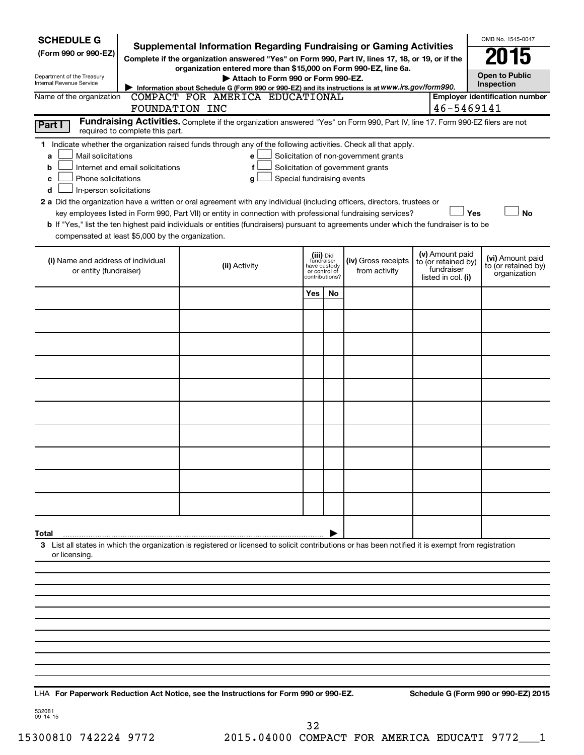| <b>SCHEDULE G</b><br>(Form 990 or 990-EZ)<br>Department of the Treasury<br>Internal Revenue Service                                                                                                                                                                                                                                                                                                                                                                                                                                                                                                                                                                                        | <b>Supplemental Information Regarding Fundraising or Gaming Activities</b><br>Complete if the organization answered "Yes" on Form 990, Part IV, lines 17, 18, or 19, or if the<br>organization entered more than \$15,000 on Form 990-EZ, line 6a.<br>Attach to Form 990 or Form 990-EZ.<br>Information about Schedule G (Form 990 or 990-EZ) and its instructions is at WWW.irs.gov/form990. |                                         |                                 |                                                                            |                                                                            | OMB No. 1545-0047<br><b>Open to Public</b><br>Inspection |
|--------------------------------------------------------------------------------------------------------------------------------------------------------------------------------------------------------------------------------------------------------------------------------------------------------------------------------------------------------------------------------------------------------------------------------------------------------------------------------------------------------------------------------------------------------------------------------------------------------------------------------------------------------------------------------------------|-----------------------------------------------------------------------------------------------------------------------------------------------------------------------------------------------------------------------------------------------------------------------------------------------------------------------------------------------------------------------------------------------|-----------------------------------------|---------------------------------|----------------------------------------------------------------------------|----------------------------------------------------------------------------|----------------------------------------------------------|
| Name of the organization                                                                                                                                                                                                                                                                                                                                                                                                                                                                                                                                                                                                                                                                   | COMPACT FOR AMERICA EDUCATIONAL<br>FOUNDATION INC                                                                                                                                                                                                                                                                                                                                             |                                         |                                 |                                                                            | 46-5469141                                                                 | <b>Employer identification number</b>                    |
| Part I<br>required to complete this part.                                                                                                                                                                                                                                                                                                                                                                                                                                                                                                                                                                                                                                                  | Fundraising Activities. Complete if the organization answered "Yes" on Form 990, Part IV, line 17. Form 990-EZ filers are not                                                                                                                                                                                                                                                                 |                                         |                                 |                                                                            |                                                                            |                                                          |
| 1 Indicate whether the organization raised funds through any of the following activities. Check all that apply.<br>Mail solicitations<br>a<br>Internet and email solicitations<br>b<br>Phone solicitations<br>с<br>In-person solicitations<br>d<br>2 a Did the organization have a written or oral agreement with any individual (including officers, directors, trustees or<br>key employees listed in Form 990, Part VII) or entity in connection with professional fundraising services?<br>b If "Yes," list the ten highest paid individuals or entities (fundraisers) pursuant to agreements under which the fundraiser is to be<br>compensated at least \$5,000 by the organization. | е<br>f<br>Special fundraising events<br>g                                                                                                                                                                                                                                                                                                                                                     |                                         |                                 | Solicitation of non-government grants<br>Solicitation of government grants | Yes                                                                        | <b>No</b>                                                |
| (i) Name and address of individual<br>or entity (fundraiser)                                                                                                                                                                                                                                                                                                                                                                                                                                                                                                                                                                                                                               | (ii) Activity                                                                                                                                                                                                                                                                                                                                                                                 | (iii) Did<br>fundraiser<br>have custody | or control of<br>contributions? | (iv) Gross receipts<br>from activity                                       | (v) Amount paid<br>to (or retained by)<br>fundraiser<br>listed in col. (i) | (vi) Amount paid<br>to (or retained by)<br>organization  |
|                                                                                                                                                                                                                                                                                                                                                                                                                                                                                                                                                                                                                                                                                            |                                                                                                                                                                                                                                                                                                                                                                                               | Yes                                     | No                              |                                                                            |                                                                            |                                                          |
|                                                                                                                                                                                                                                                                                                                                                                                                                                                                                                                                                                                                                                                                                            |                                                                                                                                                                                                                                                                                                                                                                                               |                                         |                                 |                                                                            |                                                                            |                                                          |
|                                                                                                                                                                                                                                                                                                                                                                                                                                                                                                                                                                                                                                                                                            |                                                                                                                                                                                                                                                                                                                                                                                               |                                         |                                 |                                                                            |                                                                            |                                                          |
|                                                                                                                                                                                                                                                                                                                                                                                                                                                                                                                                                                                                                                                                                            |                                                                                                                                                                                                                                                                                                                                                                                               |                                         |                                 |                                                                            |                                                                            |                                                          |
|                                                                                                                                                                                                                                                                                                                                                                                                                                                                                                                                                                                                                                                                                            |                                                                                                                                                                                                                                                                                                                                                                                               |                                         |                                 |                                                                            |                                                                            |                                                          |
|                                                                                                                                                                                                                                                                                                                                                                                                                                                                                                                                                                                                                                                                                            |                                                                                                                                                                                                                                                                                                                                                                                               |                                         |                                 |                                                                            |                                                                            |                                                          |
|                                                                                                                                                                                                                                                                                                                                                                                                                                                                                                                                                                                                                                                                                            |                                                                                                                                                                                                                                                                                                                                                                                               |                                         |                                 |                                                                            |                                                                            |                                                          |
|                                                                                                                                                                                                                                                                                                                                                                                                                                                                                                                                                                                                                                                                                            |                                                                                                                                                                                                                                                                                                                                                                                               |                                         |                                 |                                                                            |                                                                            |                                                          |
|                                                                                                                                                                                                                                                                                                                                                                                                                                                                                                                                                                                                                                                                                            |                                                                                                                                                                                                                                                                                                                                                                                               |                                         |                                 |                                                                            |                                                                            |                                                          |
|                                                                                                                                                                                                                                                                                                                                                                                                                                                                                                                                                                                                                                                                                            |                                                                                                                                                                                                                                                                                                                                                                                               |                                         |                                 |                                                                            |                                                                            |                                                          |
| Total                                                                                                                                                                                                                                                                                                                                                                                                                                                                                                                                                                                                                                                                                      |                                                                                                                                                                                                                                                                                                                                                                                               |                                         |                                 |                                                                            |                                                                            |                                                          |
| 3 List all states in which the organization is registered or licensed to solicit contributions or has been notified it is exempt from registration<br>or licensing.                                                                                                                                                                                                                                                                                                                                                                                                                                                                                                                        |                                                                                                                                                                                                                                                                                                                                                                                               |                                         |                                 |                                                                            |                                                                            |                                                          |
|                                                                                                                                                                                                                                                                                                                                                                                                                                                                                                                                                                                                                                                                                            |                                                                                                                                                                                                                                                                                                                                                                                               |                                         |                                 |                                                                            |                                                                            |                                                          |
|                                                                                                                                                                                                                                                                                                                                                                                                                                                                                                                                                                                                                                                                                            |                                                                                                                                                                                                                                                                                                                                                                                               |                                         |                                 |                                                                            |                                                                            |                                                          |
|                                                                                                                                                                                                                                                                                                                                                                                                                                                                                                                                                                                                                                                                                            |                                                                                                                                                                                                                                                                                                                                                                                               |                                         |                                 |                                                                            |                                                                            |                                                          |
|                                                                                                                                                                                                                                                                                                                                                                                                                                                                                                                                                                                                                                                                                            |                                                                                                                                                                                                                                                                                                                                                                                               |                                         |                                 |                                                                            |                                                                            |                                                          |
|                                                                                                                                                                                                                                                                                                                                                                                                                                                                                                                                                                                                                                                                                            |                                                                                                                                                                                                                                                                                                                                                                                               |                                         |                                 |                                                                            |                                                                            |                                                          |

**For Paperwork Reduction Act Notice, see the Instructions for Form 990 or 990-EZ. Schedule G (Form 990 or 990-EZ) 2015** LHA

532081 09-14-15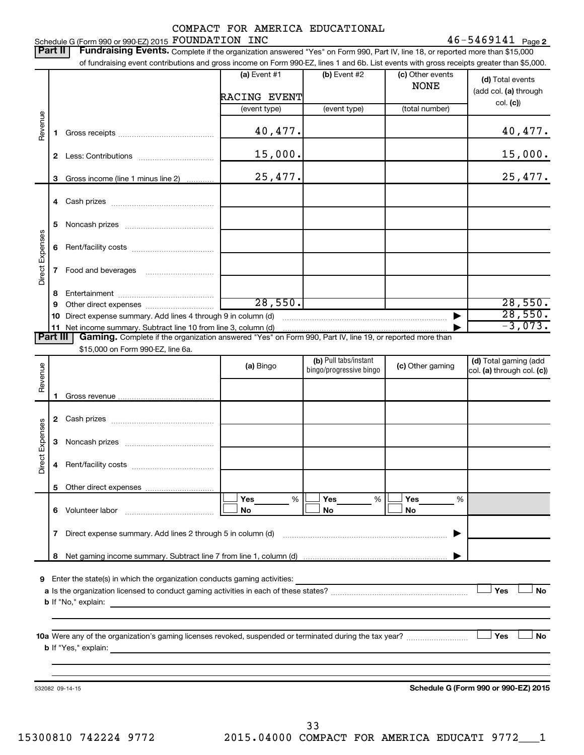46-5469141 Page 2 Schedule G (Form 990 or 990-EZ) 2015  ${\rm \bf FOUNDATION}$   ${\rm \bf INC}$  and  ${\rm \bf A0}$  and  ${\rm \bf A0}$  and  ${\rm \bf A0}$  and  ${\rm \bf A0}$  and  ${\rm \bf A0}$  and  ${\rm \bf A0}$  and  ${\rm \bf A0}$  and  ${\rm \bf A0}$  and  ${\rm \bf A0}$  and  ${\rm \bf A0}$  and  ${\rm \bf A0}$  and  ${\rm \bf$ 

| Part II         |         | Fundraising Events. Complete if the organization answered "Yes" on Form 990, Part IV, line 18, or reported more than \$15,000<br>of fundraising event contributions and gross income on Form 990-EZ, lines 1 and 6b. List events with gross receipts greater than \$5,000. |                              |                                                  |                                 |                                                     |
|-----------------|---------|----------------------------------------------------------------------------------------------------------------------------------------------------------------------------------------------------------------------------------------------------------------------------|------------------------------|--------------------------------------------------|---------------------------------|-----------------------------------------------------|
|                 |         |                                                                                                                                                                                                                                                                            | (a) Event #1<br>RACING EVENT | $(b)$ Event #2                                   | (c) Other events<br><b>NONE</b> | (d) Total events<br>(add col. (a) through           |
|                 |         |                                                                                                                                                                                                                                                                            | (event type)                 | (event type)                                     | (total number)                  | col. (c)                                            |
| Revenue         | 1       |                                                                                                                                                                                                                                                                            | 40,477.                      |                                                  |                                 | 40,477.                                             |
|                 | 2       |                                                                                                                                                                                                                                                                            | 15,000.                      |                                                  |                                 | 15,000.                                             |
|                 | З       | Gross income (line 1 minus line 2)                                                                                                                                                                                                                                         | 25,477.                      |                                                  |                                 | 25,477.                                             |
|                 | 4       |                                                                                                                                                                                                                                                                            |                              |                                                  |                                 |                                                     |
|                 | 5       |                                                                                                                                                                                                                                                                            |                              |                                                  |                                 |                                                     |
| Direct Expenses | 6       |                                                                                                                                                                                                                                                                            |                              |                                                  |                                 |                                                     |
|                 | 7       |                                                                                                                                                                                                                                                                            |                              |                                                  |                                 |                                                     |
|                 | 8       |                                                                                                                                                                                                                                                                            | 28,550.                      |                                                  |                                 |                                                     |
|                 | 9<br>10 | Other direct expenses <i>manually contained</i>                                                                                                                                                                                                                            |                              |                                                  | $\blacktriangleright$           | 28,550.<br>28,550.                                  |
|                 | 11      |                                                                                                                                                                                                                                                                            |                              |                                                  |                                 | $-3,073.$                                           |
| Part III        |         | Gaming. Complete if the organization answered "Yes" on Form 990, Part IV, line 19, or reported more than                                                                                                                                                                   |                              |                                                  |                                 |                                                     |
|                 |         | \$15,000 on Form 990-EZ, line 6a.                                                                                                                                                                                                                                          |                              |                                                  |                                 |                                                     |
| Revenue         |         |                                                                                                                                                                                                                                                                            | (a) Bingo                    | (b) Pull tabs/instant<br>bingo/progressive bingo | (c) Other gaming                | (d) Total gaming (add<br>col. (a) through col. (c)) |
|                 | 1       |                                                                                                                                                                                                                                                                            |                              |                                                  |                                 |                                                     |
|                 | 2       |                                                                                                                                                                                                                                                                            |                              |                                                  |                                 |                                                     |
|                 | 3       |                                                                                                                                                                                                                                                                            |                              |                                                  |                                 |                                                     |
| Direct Expenses | 4       |                                                                                                                                                                                                                                                                            |                              |                                                  |                                 |                                                     |
|                 |         |                                                                                                                                                                                                                                                                            |                              |                                                  |                                 |                                                     |
|                 |         |                                                                                                                                                                                                                                                                            | Yes<br>%<br>No.              | Yes<br>%<br>No.                                  | Yes<br>%<br>No                  |                                                     |
|                 | 7       |                                                                                                                                                                                                                                                                            |                              |                                                  | ▶                               |                                                     |
|                 | 8       |                                                                                                                                                                                                                                                                            |                              |                                                  |                                 |                                                     |
|                 |         |                                                                                                                                                                                                                                                                            |                              |                                                  |                                 |                                                     |
| 9               |         | Enter the state(s) in which the organization conducts gaming activities:                                                                                                                                                                                                   |                              |                                                  |                                 | Yes<br><b>No</b>                                    |
|                 |         | 10a Were any of the organization's gaming licenses revoked, suspended or terminated during the tax year?<br><b>b</b> If "Yes," explain:                                                                                                                                    |                              |                                                  |                                 | <b>Yes</b><br>No                                    |
|                 |         |                                                                                                                                                                                                                                                                            |                              |                                                  |                                 |                                                     |
|                 |         | 532082 09-14-15                                                                                                                                                                                                                                                            |                              |                                                  |                                 | Schedule G (Form 990 or 990-EZ) 2015                |
|                 |         |                                                                                                                                                                                                                                                                            |                              |                                                  |                                 |                                                     |

15300810 742224 9772 2015.04000 COMPACT FOR AMERICA EDUCATI 9772\_\_\_1 33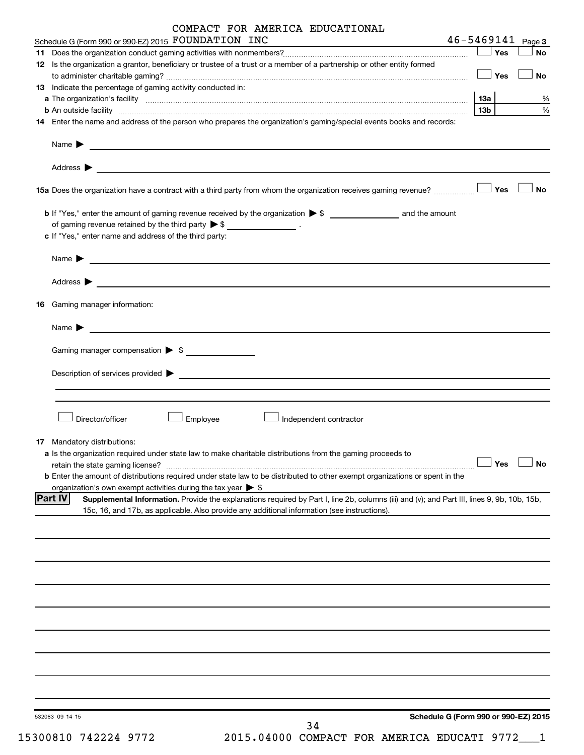| COMPACT FOR AMERICA EDUCATIONAL |  |  |  |  |
|---------------------------------|--|--|--|--|
|---------------------------------|--|--|--|--|

|                | Schedule G (Form 990 or 990-EZ) 2015 FOUNDATION INC                                                                                                                                                                                         |     |                 | $46 - 5469141$ Page 3 |
|----------------|---------------------------------------------------------------------------------------------------------------------------------------------------------------------------------------------------------------------------------------------|-----|-----------------|-----------------------|
| 11             |                                                                                                                                                                                                                                             |     | Yes             | No                    |
|                | 12 Is the organization a grantor, beneficiary or trustee of a trust or a member of a partnership or other entity formed                                                                                                                     |     | Yes             | No                    |
|                | 13 Indicate the percentage of gaming activity conducted in:                                                                                                                                                                                 |     |                 |                       |
|                |                                                                                                                                                                                                                                             | 1За |                 | %                     |
|                | <b>b</b> An outside facility <i>www.communicality www.communicality.communicality www.communicality www.communicality www.communicality www.communicality www.communicality www.communicality.com</i>                                       |     | 13 <sub>b</sub> | %                     |
|                | 14 Enter the name and address of the person who prepares the organization's gaming/special events books and records:                                                                                                                        |     |                 |                       |
|                | Name $\blacktriangleright$<br><u> 1989 - Andrea State Barbara, amerikan basar dan berasal di sebagai personal di sebagai personal di sebagai pe</u>                                                                                         |     |                 |                       |
|                |                                                                                                                                                                                                                                             |     |                 |                       |
|                |                                                                                                                                                                                                                                             |     | Yes             | No                    |
|                | of gaming revenue retained by the third party $\triangleright$ \$ __________________.                                                                                                                                                       |     |                 |                       |
|                | c If "Yes," enter name and address of the third party:                                                                                                                                                                                      |     |                 |                       |
|                |                                                                                                                                                                                                                                             |     |                 |                       |
|                |                                                                                                                                                                                                                                             |     |                 |                       |
| 16             | Gaming manager information:                                                                                                                                                                                                                 |     |                 |                       |
|                | Name $\blacktriangleright$<br><u> 1989 - Johann Barbara, martin amerikan basal dan berasal dan berasal dalam basal dan berasal dan berasal dan</u>                                                                                          |     |                 |                       |
|                | Gaming manager compensation > \$                                                                                                                                                                                                            |     |                 |                       |
|                |                                                                                                                                                                                                                                             |     |                 |                       |
|                |                                                                                                                                                                                                                                             |     |                 |                       |
|                | Director/officer<br>Employee<br>Independent contractor                                                                                                                                                                                      |     |                 |                       |
|                | <b>17</b> Mandatory distributions:                                                                                                                                                                                                          |     |                 |                       |
|                | a Is the organization required under state law to make charitable distributions from the gaming proceeds to                                                                                                                                 |     |                 |                       |
|                |                                                                                                                                                                                                                                             |     |                 | $\Box$ Yes $\Box$ No  |
|                | <b>b</b> Enter the amount of distributions required under state law to be distributed to other exempt organizations or spent in the                                                                                                         |     |                 |                       |
|                | organization's own exempt activities during the tax year $\triangleright$ \$                                                                                                                                                                |     |                 |                       |
| <b>Part IV</b> | Supplemental Information. Provide the explanations required by Part I, line 2b, columns (iii) and (v); and Part III, lines 9, 9b, 10b, 15b,<br>15c, 16, and 17b, as applicable. Also provide any additional information (see instructions). |     |                 |                       |
|                |                                                                                                                                                                                                                                             |     |                 |                       |
|                |                                                                                                                                                                                                                                             |     |                 |                       |
|                |                                                                                                                                                                                                                                             |     |                 |                       |
|                |                                                                                                                                                                                                                                             |     |                 |                       |
|                |                                                                                                                                                                                                                                             |     |                 |                       |
|                |                                                                                                                                                                                                                                             |     |                 |                       |
|                |                                                                                                                                                                                                                                             |     |                 |                       |
|                |                                                                                                                                                                                                                                             |     |                 |                       |
|                | Schedule G (Form 990 or 990-EZ) 2015<br>532083 09-14-15                                                                                                                                                                                     |     |                 |                       |
|                |                                                                                                                                                                                                                                             |     |                 |                       |

15300810 742224 9772 2015.04000 COMPACT FOR AMERICA EDUCATI 9772\_\_\_1 34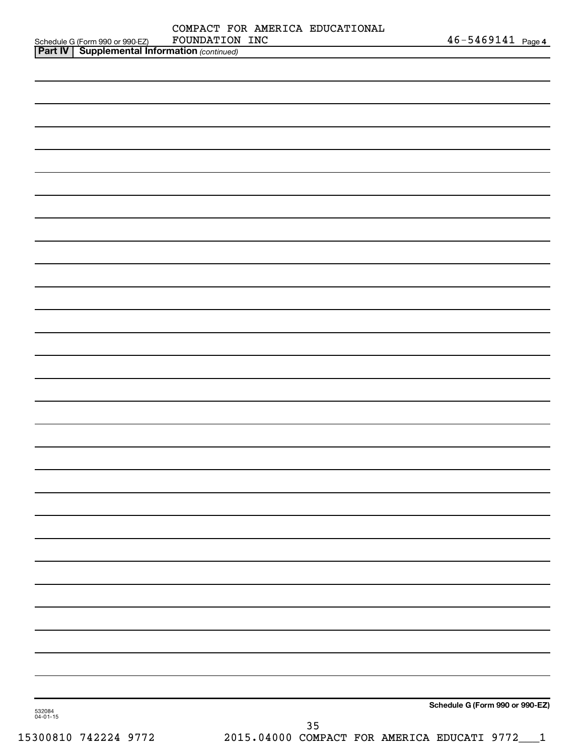|                                                       |                |  | COMPACT FOR AMERICA EDUCATIONAL |                       |  |
|-------------------------------------------------------|----------------|--|---------------------------------|-----------------------|--|
| Schedule G (Form 990 or 990-EZ)                       | FOUNDATION INC |  |                                 | $46 - 5469141$ Page 4 |  |
| <b>Part IV   Supplemental Information (continued)</b> |                |  |                                 |                       |  |

| ----               |                                 |
|--------------------|---------------------------------|
|                    |                                 |
|                    |                                 |
|                    |                                 |
|                    |                                 |
|                    |                                 |
|                    |                                 |
|                    |                                 |
|                    |                                 |
|                    |                                 |
|                    |                                 |
|                    |                                 |
|                    |                                 |
|                    |                                 |
|                    |                                 |
|                    |                                 |
|                    |                                 |
|                    |                                 |
|                    |                                 |
|                    |                                 |
|                    |                                 |
|                    |                                 |
|                    |                                 |
|                    |                                 |
|                    |                                 |
|                    |                                 |
|                    |                                 |
|                    |                                 |
|                    |                                 |
|                    |                                 |
|                    |                                 |
|                    |                                 |
|                    |                                 |
|                    |                                 |
|                    |                                 |
|                    |                                 |
|                    |                                 |
|                    |                                 |
|                    |                                 |
|                    |                                 |
|                    |                                 |
|                    | Schedule G (Form 990 or 990-EZ) |
| 532084<br>04-01-15 |                                 |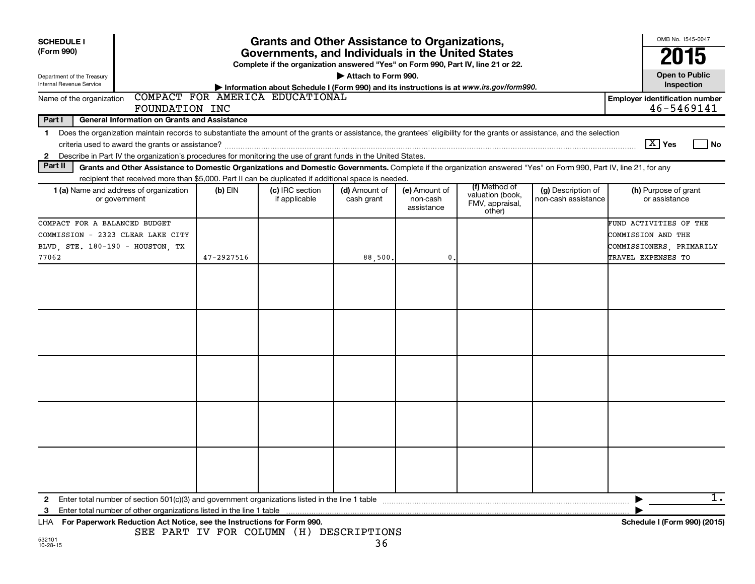| <b>SCHEDULE I</b><br>(Form 990)<br>Department of the Treasury | <b>Grants and Other Assistance to Organizations,</b><br>Governments, and Individuals in the United States<br>Complete if the organization answered "Yes" on Form 990, Part IV, line 21 or 22.<br>Attach to Form 990. |                |                                                                                         |                             |                                         |                                                                |                                           |                                                     |  |
|---------------------------------------------------------------|----------------------------------------------------------------------------------------------------------------------------------------------------------------------------------------------------------------------|----------------|-----------------------------------------------------------------------------------------|-----------------------------|-----------------------------------------|----------------------------------------------------------------|-------------------------------------------|-----------------------------------------------------|--|
| Internal Revenue Service                                      |                                                                                                                                                                                                                      |                | Information about Schedule I (Form 990) and its instructions is at www.irs.gov/form990. |                             |                                         |                                                                |                                           | <b>Open to Public</b><br>Inspection                 |  |
| Name of the organization                                      | FOUNDATION INC                                                                                                                                                                                                       |                | COMPACT FOR AMERICA EDUCATIONAL                                                         |                             |                                         |                                                                |                                           | <b>Employer identification number</b><br>46-5469141 |  |
| Part I                                                        | <b>General Information on Grants and Assistance</b>                                                                                                                                                                  |                |                                                                                         |                             |                                         |                                                                |                                           |                                                     |  |
| 1                                                             | Does the organization maintain records to substantiate the amount of the grants or assistance, the grantees' eligibility for the grants or assistance, and the selection                                             |                |                                                                                         |                             |                                         |                                                                |                                           |                                                     |  |
|                                                               | criteria used to award the grants or assistance?                                                                                                                                                                     |                |                                                                                         |                             |                                         |                                                                |                                           | $\boxed{\text{X}}$ Yes<br><b>No</b>                 |  |
| 2                                                             | Describe in Part IV the organization's procedures for monitoring the use of grant funds in the United States.                                                                                                        |                |                                                                                         |                             |                                         |                                                                |                                           |                                                     |  |
| Part II                                                       | Grants and Other Assistance to Domestic Organizations and Domestic Governments. Complete if the organization answered "Yes" on Form 990, Part IV, line 21, for any                                                   |                |                                                                                         |                             |                                         |                                                                |                                           |                                                     |  |
|                                                               | recipient that received more than \$5,000. Part II can be duplicated if additional space is needed.                                                                                                                  |                |                                                                                         |                             |                                         |                                                                |                                           |                                                     |  |
|                                                               | <b>1 (a)</b> Name and address of organization<br>or government                                                                                                                                                       | $(b)$ EIN      | (c) IRC section<br>if applicable                                                        | (d) Amount of<br>cash grant | (e) Amount of<br>non-cash<br>assistance | (f) Method of<br>valuation (book,<br>FMV, appraisal,<br>other) | (g) Description of<br>non-cash assistance | (h) Purpose of grant<br>or assistance               |  |
| COMPACT FOR A BALANCED BUDGET                                 |                                                                                                                                                                                                                      |                |                                                                                         |                             |                                         |                                                                |                                           | FUND ACTIVITIES OF THE                              |  |
| COMMISSION - 2323 CLEAR LAKE CITY                             |                                                                                                                                                                                                                      |                |                                                                                         |                             |                                         |                                                                |                                           | COMMISSION AND THE                                  |  |
| BLVD STE. 180-190 - HOUSTON TX                                |                                                                                                                                                                                                                      |                |                                                                                         |                             |                                         |                                                                |                                           | COMMISSIONERS, PRIMARILY                            |  |
| 77062                                                         |                                                                                                                                                                                                                      | $47 - 2927516$ |                                                                                         | 88,500.                     | 0                                       |                                                                |                                           | TRAVEL EXPENSES TO                                  |  |
|                                                               |                                                                                                                                                                                                                      |                |                                                                                         |                             |                                         |                                                                |                                           |                                                     |  |
|                                                               |                                                                                                                                                                                                                      |                |                                                                                         |                             |                                         |                                                                |                                           |                                                     |  |
|                                                               |                                                                                                                                                                                                                      |                |                                                                                         |                             |                                         |                                                                |                                           |                                                     |  |
|                                                               |                                                                                                                                                                                                                      |                |                                                                                         |                             |                                         |                                                                |                                           |                                                     |  |
|                                                               |                                                                                                                                                                                                                      |                |                                                                                         |                             |                                         |                                                                |                                           |                                                     |  |
|                                                               |                                                                                                                                                                                                                      |                |                                                                                         |                             |                                         |                                                                |                                           |                                                     |  |
|                                                               |                                                                                                                                                                                                                      |                |                                                                                         |                             |                                         |                                                                |                                           |                                                     |  |
|                                                               |                                                                                                                                                                                                                      |                |                                                                                         |                             |                                         |                                                                |                                           |                                                     |  |
|                                                               |                                                                                                                                                                                                                      |                |                                                                                         |                             |                                         |                                                                |                                           |                                                     |  |
|                                                               |                                                                                                                                                                                                                      |                |                                                                                         |                             |                                         |                                                                |                                           |                                                     |  |
|                                                               |                                                                                                                                                                                                                      |                |                                                                                         |                             |                                         |                                                                |                                           |                                                     |  |
|                                                               |                                                                                                                                                                                                                      |                |                                                                                         |                             |                                         |                                                                |                                           |                                                     |  |
|                                                               |                                                                                                                                                                                                                      |                |                                                                                         |                             |                                         |                                                                |                                           |                                                     |  |
|                                                               |                                                                                                                                                                                                                      |                |                                                                                         |                             |                                         |                                                                |                                           |                                                     |  |
|                                                               |                                                                                                                                                                                                                      |                |                                                                                         |                             |                                         |                                                                |                                           |                                                     |  |
|                                                               |                                                                                                                                                                                                                      |                |                                                                                         |                             |                                         |                                                                |                                           |                                                     |  |
|                                                               |                                                                                                                                                                                                                      |                |                                                                                         |                             |                                         |                                                                |                                           |                                                     |  |
|                                                               |                                                                                                                                                                                                                      |                |                                                                                         |                             |                                         |                                                                |                                           |                                                     |  |
| $\mathbf{2}$                                                  |                                                                                                                                                                                                                      |                |                                                                                         |                             |                                         |                                                                |                                           | ı.                                                  |  |
| 3                                                             |                                                                                                                                                                                                                      |                |                                                                                         |                             |                                         |                                                                |                                           |                                                     |  |
|                                                               | LHA For Paperwork Reduction Act Notice, see the Instructions for Form 990.                                                                                                                                           |                | SEE PART IV FOR COLUMN (H) DESCRIPTIONS                                                 |                             |                                         |                                                                |                                           | Schedule I (Form 990) (2015)                        |  |

532101 10-28-15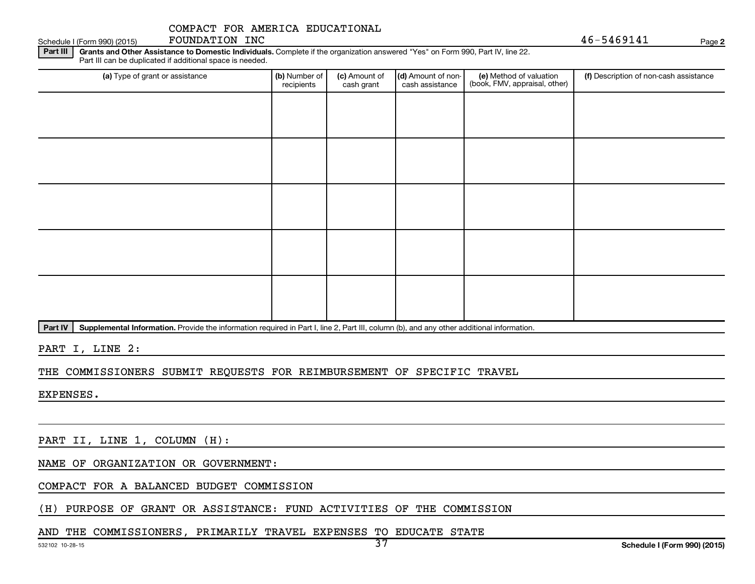Schedule I (Form 990) (2015) POUNDATION INC  $46-5469141$ FOUNDATION INC 46-5469141

**2**

Part III | Grants and Other Assistance to Domestic Individuals. Complete if the organization answered "Yes" on Form 990, Part IV, line 22. Part III can be duplicated if additional space is needed.

| (a) Type of grant or assistance | (b) Number of<br>recipients | (c) Amount of<br>cash grant | (d) Amount of non-<br>cash assistance | (e) Method of valuation<br>(book, FMV, appraisal, other) | (f) Description of non-cash assistance |
|---------------------------------|-----------------------------|-----------------------------|---------------------------------------|----------------------------------------------------------|----------------------------------------|
|                                 |                             |                             |                                       |                                                          |                                        |
|                                 |                             |                             |                                       |                                                          |                                        |
|                                 |                             |                             |                                       |                                                          |                                        |
|                                 |                             |                             |                                       |                                                          |                                        |
|                                 |                             |                             |                                       |                                                          |                                        |
|                                 |                             |                             |                                       |                                                          |                                        |
|                                 |                             |                             |                                       |                                                          |                                        |
|                                 |                             |                             |                                       |                                                          |                                        |
|                                 |                             |                             |                                       |                                                          |                                        |
|                                 |                             |                             |                                       |                                                          |                                        |

Part IV | Supplemental Information. Provide the information required in Part I, line 2, Part III, column (b), and any other additional information.

PART I, LINE 2:

THE COMMISSIONERS SUBMIT REQUESTS FOR REIMBURSEMENT OF SPECIFIC TRAVEL

EXPENSES.

PART II, LINE 1, COLUMN (H):

NAME OF ORGANIZATION OR GOVERNMENT:

COMPACT FOR A BALANCED BUDGET COMMISSION

(H) PURPOSE OF GRANT OR ASSISTANCE: FUND ACTIVITIES OF THE COMMISSION

AND THE COMMISSIONERS, PRIMARILY TRAVEL EXPENSES TO EDUCATE STATE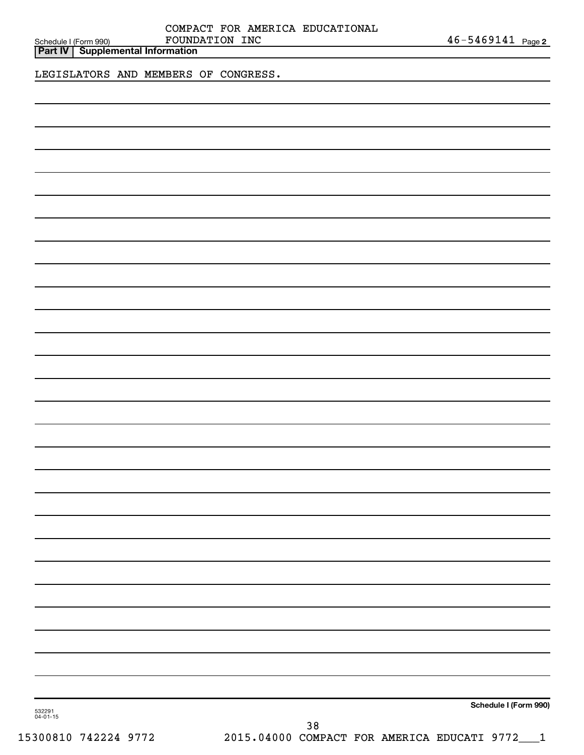| Schedule I (Form 990) FOUND.<br><b>Part IV</b> Supplemental Information |  | FOUNDATION INC | 46-5469141 Page 2     |  |
|-------------------------------------------------------------------------|--|----------------|-----------------------|--|
|                                                                         |  |                |                       |  |
| LEGISLATORS AND MEMBERS OF CONGRESS.                                    |  |                |                       |  |
|                                                                         |  |                |                       |  |
|                                                                         |  |                |                       |  |
|                                                                         |  |                |                       |  |
|                                                                         |  |                |                       |  |
|                                                                         |  |                |                       |  |
|                                                                         |  |                |                       |  |
|                                                                         |  |                |                       |  |
|                                                                         |  |                |                       |  |
|                                                                         |  |                |                       |  |
|                                                                         |  |                |                       |  |
|                                                                         |  |                |                       |  |
|                                                                         |  |                |                       |  |
|                                                                         |  |                |                       |  |
|                                                                         |  |                |                       |  |
|                                                                         |  |                |                       |  |
|                                                                         |  |                |                       |  |
|                                                                         |  |                |                       |  |
|                                                                         |  |                |                       |  |
|                                                                         |  |                |                       |  |
|                                                                         |  |                |                       |  |
|                                                                         |  |                |                       |  |
|                                                                         |  |                |                       |  |
|                                                                         |  |                |                       |  |
|                                                                         |  |                |                       |  |
|                                                                         |  |                |                       |  |
|                                                                         |  |                |                       |  |
|                                                                         |  |                |                       |  |
|                                                                         |  |                |                       |  |
|                                                                         |  |                |                       |  |
|                                                                         |  |                |                       |  |
|                                                                         |  |                |                       |  |
|                                                                         |  |                |                       |  |
|                                                                         |  |                |                       |  |
|                                                                         |  |                |                       |  |
|                                                                         |  |                |                       |  |
|                                                                         |  |                |                       |  |
|                                                                         |  |                |                       |  |
|                                                                         |  |                |                       |  |
|                                                                         |  |                |                       |  |
|                                                                         |  |                |                       |  |
|                                                                         |  |                |                       |  |
|                                                                         |  |                |                       |  |
|                                                                         |  |                |                       |  |
|                                                                         |  |                |                       |  |
|                                                                         |  |                |                       |  |
|                                                                         |  |                | Schedule I (Form 990) |  |
| 532291<br>04-01-15                                                      |  |                |                       |  |
|                                                                         |  | $38$           |                       |  |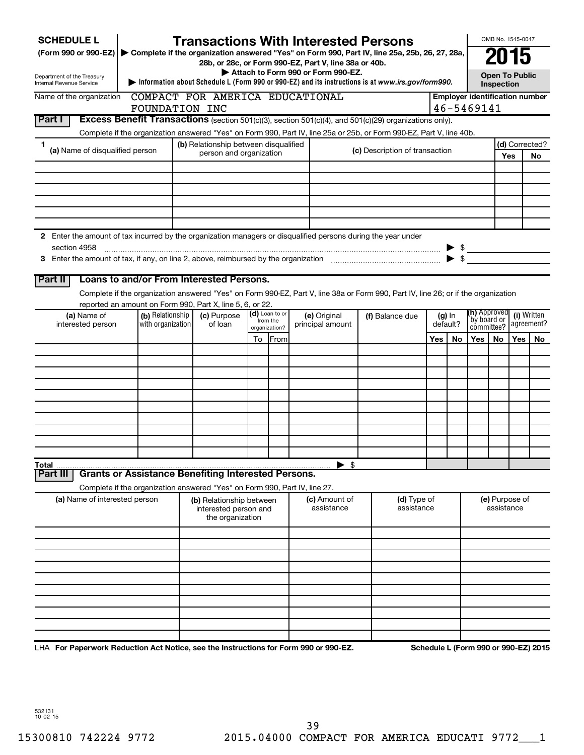| <b>SCHEDULE L</b><br>(Form 990 or 990-EZ)<br>Department of the Treasury<br>Internal Revenue Service           |                   |                                                                                                        |    |                           | <b>Transactions With Interested Persons</b><br>Complete if the organization answered "Yes" on Form 990, Part IV, line 25a, 25b, 26, 27, 28a,<br>28b, or 28c, or Form 990-EZ, Part V, line 38a or 40b.<br>Attach to Form 990 or Form 990-EZ.<br>Information about Schedule L (Form 990 or 990-EZ) and its instructions is at www.irs.gov/form990. |                                |     |                    |                                       | OMB No. 1545-0047<br><b>Open To Public</b> |     |                |
|---------------------------------------------------------------------------------------------------------------|-------------------|--------------------------------------------------------------------------------------------------------|----|---------------------------|--------------------------------------------------------------------------------------------------------------------------------------------------------------------------------------------------------------------------------------------------------------------------------------------------------------------------------------------------|--------------------------------|-----|--------------------|---------------------------------------|--------------------------------------------|-----|----------------|
| Name of the organization                                                                                      |                   | COMPACT FOR AMERICA EDUCATIONAL                                                                        |    |                           |                                                                                                                                                                                                                                                                                                                                                  |                                |     |                    | <b>Employer identification number</b> | Inspection                                 |     |                |
|                                                                                                               |                   | FOUNDATION INC                                                                                         |    |                           |                                                                                                                                                                                                                                                                                                                                                  |                                |     |                    | 46-5469141                            |                                            |     |                |
| Part I                                                                                                        |                   |                                                                                                        |    |                           | <b>Excess Benefit Transactions</b> (section 501(c)(3), section 501(c)(4), and 501(c)(29) organizations only).                                                                                                                                                                                                                                    |                                |     |                    |                                       |                                            |     |                |
| 1                                                                                                             |                   | (b) Relationship between disqualified                                                                  |    |                           | Complete if the organization answered "Yes" on Form 990, Part IV, line 25a or 25b, or Form 990-EZ, Part V, line 40b.                                                                                                                                                                                                                             |                                |     |                    |                                       |                                            |     | (d) Corrected? |
| (a) Name of disqualified person                                                                               |                   | person and organization                                                                                |    |                           |                                                                                                                                                                                                                                                                                                                                                  | (c) Description of transaction |     |                    |                                       |                                            | Yes | No             |
|                                                                                                               |                   |                                                                                                        |    |                           |                                                                                                                                                                                                                                                                                                                                                  |                                |     |                    |                                       |                                            |     |                |
|                                                                                                               |                   |                                                                                                        |    |                           |                                                                                                                                                                                                                                                                                                                                                  |                                |     |                    |                                       |                                            |     |                |
|                                                                                                               |                   |                                                                                                        |    |                           |                                                                                                                                                                                                                                                                                                                                                  |                                |     |                    |                                       |                                            |     |                |
|                                                                                                               |                   |                                                                                                        |    |                           |                                                                                                                                                                                                                                                                                                                                                  |                                |     |                    |                                       |                                            |     |                |
|                                                                                                               |                   |                                                                                                        |    |                           |                                                                                                                                                                                                                                                                                                                                                  |                                |     |                    |                                       |                                            |     |                |
| 2 Enter the amount of tax incurred by the organization managers or disqualified persons during the year under |                   |                                                                                                        |    |                           |                                                                                                                                                                                                                                                                                                                                                  |                                |     |                    |                                       |                                            |     |                |
| section 4958                                                                                                  |                   |                                                                                                        |    |                           |                                                                                                                                                                                                                                                                                                                                                  |                                |     |                    | $\triangleright$ \$                   |                                            |     |                |
|                                                                                                               |                   |                                                                                                        |    |                           |                                                                                                                                                                                                                                                                                                                                                  |                                |     |                    |                                       |                                            |     |                |
| Part II                                                                                                       |                   | Loans to and/or From Interested Persons.                                                               |    |                           |                                                                                                                                                                                                                                                                                                                                                  |                                |     |                    |                                       |                                            |     |                |
|                                                                                                               |                   |                                                                                                        |    |                           | Complete if the organization answered "Yes" on Form 990-EZ, Part V, line 38a or Form 990, Part IV, line 26; or if the organization                                                                                                                                                                                                               |                                |     |                    |                                       |                                            |     |                |
| (a) Name of                                                                                                   | (b) Relationship  | reported an amount on Form 990, Part X, line 5, 6, or 22.<br>(c) Purpose                               |    | (d) Loan to or            | (e) Original                                                                                                                                                                                                                                                                                                                                     | (f) Balance due                |     |                    |                                       | ( <b>h)</b> Approved                       |     | (i) Written    |
| interested person                                                                                             | with organization | of loan                                                                                                |    | from the<br>organization? | principal amount                                                                                                                                                                                                                                                                                                                                 |                                |     | (g) In<br>default? |                                       | `bv board or<br>committee?                 |     | agreement?     |
|                                                                                                               |                   |                                                                                                        | To | <b>IFrom</b>              |                                                                                                                                                                                                                                                                                                                                                  |                                | Yes | <b>No</b>          | Yes                                   | <b>No</b>                                  | Yes | No.            |
|                                                                                                               |                   |                                                                                                        |    |                           |                                                                                                                                                                                                                                                                                                                                                  |                                |     |                    |                                       |                                            |     |                |
|                                                                                                               |                   |                                                                                                        |    |                           |                                                                                                                                                                                                                                                                                                                                                  |                                |     |                    |                                       |                                            |     |                |
|                                                                                                               |                   |                                                                                                        |    |                           |                                                                                                                                                                                                                                                                                                                                                  |                                |     |                    |                                       |                                            |     |                |
|                                                                                                               |                   |                                                                                                        |    |                           |                                                                                                                                                                                                                                                                                                                                                  |                                |     |                    |                                       |                                            |     |                |
|                                                                                                               |                   |                                                                                                        |    |                           |                                                                                                                                                                                                                                                                                                                                                  |                                |     |                    |                                       |                                            |     |                |
|                                                                                                               |                   |                                                                                                        |    |                           |                                                                                                                                                                                                                                                                                                                                                  |                                |     |                    |                                       |                                            |     |                |
|                                                                                                               |                   |                                                                                                        |    |                           |                                                                                                                                                                                                                                                                                                                                                  |                                |     |                    |                                       |                                            |     |                |
|                                                                                                               |                   |                                                                                                        |    |                           |                                                                                                                                                                                                                                                                                                                                                  |                                |     |                    |                                       |                                            |     |                |
| Total                                                                                                         |                   |                                                                                                        |    |                           | $\blacktriangleright$ \$                                                                                                                                                                                                                                                                                                                         |                                |     |                    |                                       |                                            |     |                |
| Part II                                                                                                       |                   | <b>Grants or Assistance Benefiting Interested Persons.</b>                                             |    |                           |                                                                                                                                                                                                                                                                                                                                                  |                                |     |                    |                                       |                                            |     |                |
| (a) Name of interested person                                                                                 |                   | Complete if the organization answered "Yes" on Form 990, Part IV, line 27.<br>(b) Relationship between |    |                           | (c) Amount of                                                                                                                                                                                                                                                                                                                                    | (d) Type of                    |     |                    |                                       | (e) Purpose of                             |     |                |
|                                                                                                               |                   | interested person and<br>the organization                                                              |    |                           | assistance                                                                                                                                                                                                                                                                                                                                       | assistance                     |     |                    |                                       | assistance                                 |     |                |
|                                                                                                               |                   |                                                                                                        |    |                           |                                                                                                                                                                                                                                                                                                                                                  |                                |     |                    |                                       |                                            |     |                |
|                                                                                                               |                   |                                                                                                        |    |                           |                                                                                                                                                                                                                                                                                                                                                  |                                |     |                    |                                       |                                            |     |                |
|                                                                                                               |                   |                                                                                                        |    |                           |                                                                                                                                                                                                                                                                                                                                                  |                                |     |                    |                                       |                                            |     |                |
|                                                                                                               |                   |                                                                                                        |    |                           |                                                                                                                                                                                                                                                                                                                                                  |                                |     |                    |                                       |                                            |     |                |
|                                                                                                               |                   |                                                                                                        |    |                           |                                                                                                                                                                                                                                                                                                                                                  |                                |     |                    |                                       |                                            |     |                |
|                                                                                                               |                   |                                                                                                        |    |                           |                                                                                                                                                                                                                                                                                                                                                  |                                |     |                    |                                       |                                            |     |                |
|                                                                                                               |                   |                                                                                                        |    |                           |                                                                                                                                                                                                                                                                                                                                                  |                                |     |                    |                                       |                                            |     |                |
|                                                                                                               |                   |                                                                                                        |    |                           |                                                                                                                                                                                                                                                                                                                                                  |                                |     |                    |                                       |                                            |     |                |
|                                                                                                               |                   |                                                                                                        |    |                           |                                                                                                                                                                                                                                                                                                                                                  |                                |     |                    |                                       |                                            |     |                |

LHA For Paperwork Reduction Act Notice, see the Instructions for Form 990 or 990-EZ. Schedule L (Form 990 or 990-EZ) 2015

532131 10-02-15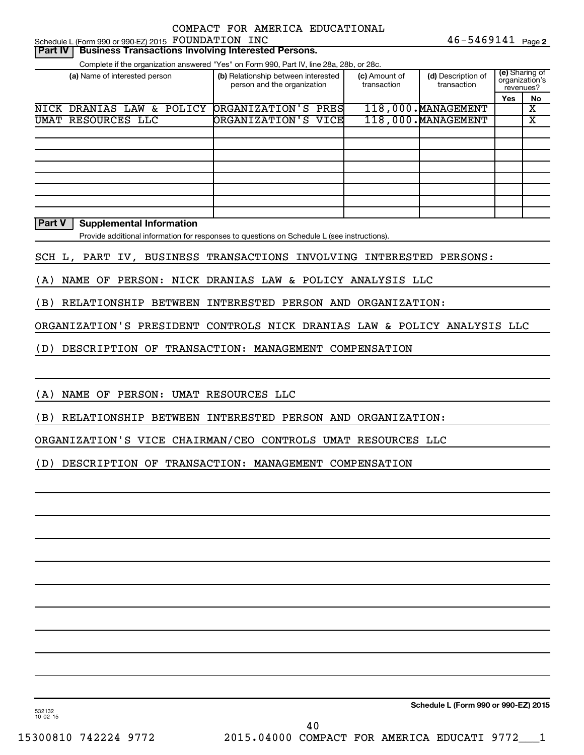46-5469141 Page 2 Schedule L (Form 990 or 990-EZ) 2015  ${\rm \bf FOUNDATION}$   ${\rm \bf INC}$  and  ${\rm \bf A0}$  and  ${\rm \bf A0}$  and  ${\rm \bf A0}$  and  ${\rm \bf A0}$  and  ${\rm \bf A0}$  and  ${\rm \bf A0}$  and  ${\rm \bf A0}$  and  ${\rm \bf A0}$  and  ${\rm \bf A0}$  and  ${\rm \bf A0}$  and  ${\rm \bf A0}$  and  ${\rm \bf$ 

#### **Part IV Business Transactions Involving Interested Persons.**

Complete if the organization answered "Yes" on Form 990, Part IV, line 28a, 28b, or 28c.

| (a) Name of interested person | (b) Relationship between interested<br>person and the organization | (c) Amount of<br>transaction | (d) Description of<br>transaction |     | (e) Sharing of<br>organization's<br>revenues? |
|-------------------------------|--------------------------------------------------------------------|------------------------------|-----------------------------------|-----|-----------------------------------------------|
|                               |                                                                    |                              |                                   | Yes | No                                            |
| NICK DRANIAS LAW & POLICY     | ORGANIZATION'S PRES                                                |                              | 118,000.MANAGEMENT                |     | Х                                             |
| UMAT RESOURCES LLC            | ORGANIZATION'S VICE                                                |                              | 118,000.MANAGEMENT                |     | $\overline{\texttt{x}}$                       |
|                               |                                                                    |                              |                                   |     |                                               |
|                               |                                                                    |                              |                                   |     |                                               |
|                               |                                                                    |                              |                                   |     |                                               |
|                               |                                                                    |                              |                                   |     |                                               |
|                               |                                                                    |                              |                                   |     |                                               |
|                               |                                                                    |                              |                                   |     |                                               |
|                               |                                                                    |                              |                                   |     |                                               |
|                               |                                                                    |                              |                                   |     |                                               |

#### **Part V** | Supplemental Information

Provide additional information for responses to questions on Schedule L (see instructions).

SCH L, PART IV, BUSINESS TRANSACTIONS INVOLVING INTERESTED PERSONS:

(A) NAME OF PERSON: NICK DRANIAS LAW & POLICY ANALYSIS LLC

(B) RELATIONSHIP BETWEEN INTERESTED PERSON AND ORGANIZATION:

ORGANIZATION'S PRESIDENT CONTROLS NICK DRANIAS LAW & POLICY ANALYSIS LLC

(D) DESCRIPTION OF TRANSACTION: MANAGEMENT COMPENSATION

(A) NAME OF PERSON: UMAT RESOURCES LLC

(B) RELATIONSHIP BETWEEN INTERESTED PERSON AND ORGANIZATION:

ORGANIZATION'S VICE CHAIRMAN/CEO CONTROLS UMAT RESOURCES LLC

(D) DESCRIPTION OF TRANSACTION: MANAGEMENT COMPENSATION

**Schedule L (Form 990 or 990-EZ) 2015**

532132 10-02-15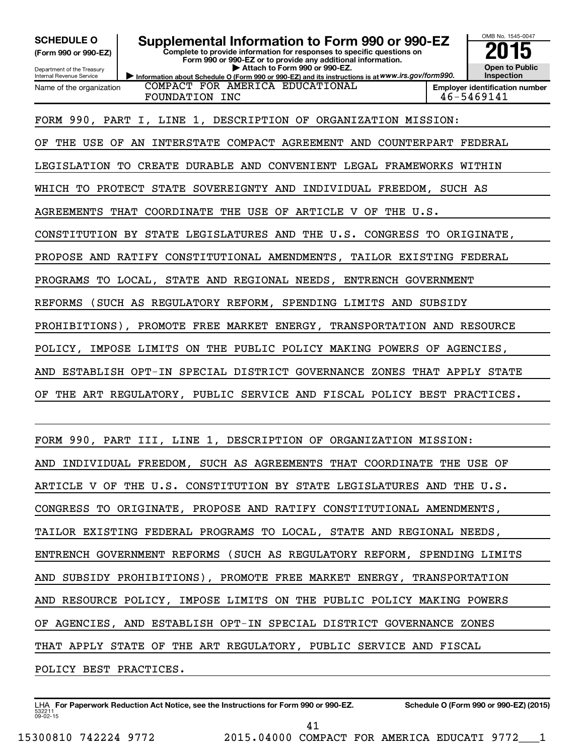Internal Revenue Service

Department of the Treasury **(Form 990 or 990-EZ)**

Name of the organization

**SCHEDULE O Supplemental Information to Form 990 or 990-EZ 2015**

**Complete to provide information for responses to specific questions on Form 990 or 990-EZ or to provide any additional information. | Attach to Form 990 or 990-EZ.**



COMPACT FOR AMERICA EDUCATIONAL FOUNDATION INC 46-5469141

FORM 990, PART I, LINE 1, DESCRIPTION OF ORGANIZATION MISSION:

OF THE USE OF AN INTERSTATE COMPACT AGREEMENT AND COUNTERPART FEDERAL

LEGISLATION TO CREATE DURABLE AND CONVENIENT LEGAL FRAMEWORKS WITHIN

WHICH TO PROTECT STATE SOVEREIGNTY AND INDIVIDUAL FREEDOM, SUCH AS

AGREEMENTS THAT COORDINATE THE USE OF ARTICLE V OF THE U.S.

CONSTITUTION BY STATE LEGISLATURES AND THE U.S. CONGRESS TO ORIGINATE,

PROPOSE AND RATIFY CONSTITUTIONAL AMENDMENTS, TAILOR EXISTING FEDERAL

PROGRAMS TO LOCAL, STATE AND REGIONAL NEEDS, ENTRENCH GOVERNMENT

REFORMS (SUCH AS REGULATORY REFORM, SPENDING LIMITS AND SUBSIDY

PROHIBITIONS), PROMOTE FREE MARKET ENERGY, TRANSPORTATION AND RESOURCE

POLICY, IMPOSE LIMITS ON THE PUBLIC POLICY MAKING POWERS OF AGENCIES,

AND ESTABLISH OPT-IN SPECIAL DISTRICT GOVERNANCE ZONES THAT APPLY STATE

OF THE ART REGULATORY, PUBLIC SERVICE AND FISCAL POLICY BEST PRACTICES.

FORM 990, PART III, LINE 1, DESCRIPTION OF ORGANIZATION MISSION: AND INDIVIDUAL FREEDOM, SUCH AS AGREEMENTS THAT COORDINATE THE USE OF ARTICLE V OF THE U.S. CONSTITUTION BY STATE LEGISLATURES AND THE U.S. CONGRESS TO ORIGINATE, PROPOSE AND RATIFY CONSTITUTIONAL AMENDMENTS, TAILOR EXISTING FEDERAL PROGRAMS TO LOCAL, STATE AND REGIONAL NEEDS, ENTRENCH GOVERNMENT REFORMS (SUCH AS REGULATORY REFORM, SPENDING LIMITS AND SUBSIDY PROHIBITIONS), PROMOTE FREE MARKET ENERGY, TRANSPORTATION AND RESOURCE POLICY, IMPOSE LIMITS ON THE PUBLIC POLICY MAKING POWERS OF AGENCIES, AND ESTABLISH OPT-IN SPECIAL DISTRICT GOVERNANCE ZONES THAT APPLY STATE OF THE ART REGULATORY, PUBLIC SERVICE AND FISCAL POLICY BEST PRACTICES.

532211 09-02-15 LHA For Paperwork Reduction Act Notice, see the Instructions for Form 990 or 990-EZ. Schedule O (Form 990 or 990-EZ) (2015)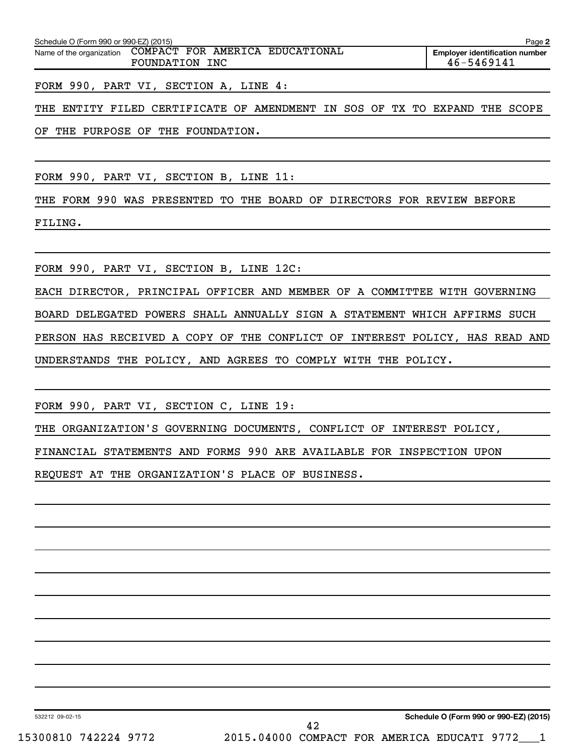| Schedule O (Form 990 or 990-EZ) (2015)<br>Page 2 |                                                   |                                                     |  |  |  |  |  |  |
|--------------------------------------------------|---------------------------------------------------|-----------------------------------------------------|--|--|--|--|--|--|
| Name of the organization                         | COMPACT FOR AMERICA EDUCATIONAL<br>FOUNDATION INC | <b>Emplover identification number</b><br>46-5469141 |  |  |  |  |  |  |

FORM 990, PART VI, SECTION A, LINE 4:

THE ENTITY FILED CERTIFICATE OF AMENDMENT IN SOS OF TX TO EXPAND THE SCOPE

OF THE PURPOSE OF THE FOUNDATION.

FORM 990, PART VI, SECTION B, LINE 11:

THE FORM 990 WAS PRESENTED TO THE BOARD OF DIRECTORS FOR REVIEW BEFORE

FILING.

FORM 990, PART VI, SECTION B, LINE 12C:

EACH DIRECTOR, PRINCIPAL OFFICER AND MEMBER OF A COMMITTEE WITH GOVERNING

BOARD DELEGATED POWERS SHALL ANNUALLY SIGN A STATEMENT WHICH AFFIRMS SUCH

PERSON HAS RECEIVED A COPY OF THE CONFLICT OF INTEREST POLICY, HAS READ AND UNDERSTANDS THE POLICY, AND AGREES TO COMPLY WITH THE POLICY.

FORM 990, PART VI, SECTION C, LINE 19:

THE ORGANIZATION'S GOVERNING DOCUMENTS, CONFLICT OF INTEREST POLICY,

FINANCIAL STATEMENTS AND FORMS 990 ARE AVAILABLE FOR INSPECTION UPON

REQUEST AT THE ORGANIZATION'S PLACE OF BUSINESS.

532212 09-02-15